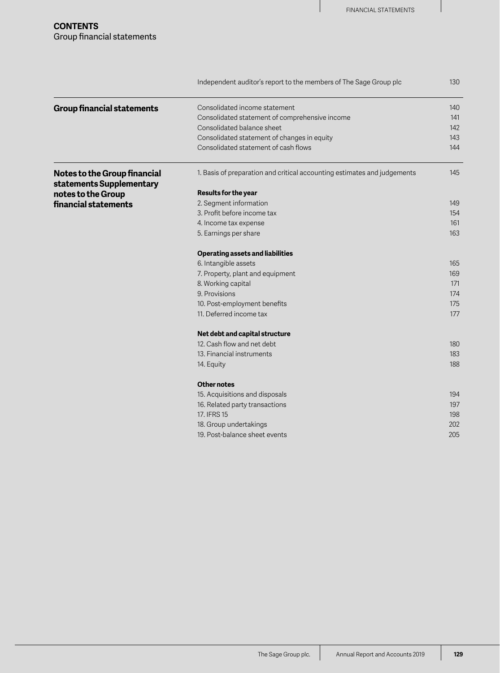|                                                          | Independent auditor's report to the members of The Sage Group plc        | 130 |
|----------------------------------------------------------|--------------------------------------------------------------------------|-----|
| <b>Group financial statements</b>                        | Consolidated income statement                                            | 140 |
|                                                          | Consolidated statement of comprehensive income                           | 141 |
|                                                          | Consolidated balance sheet                                               | 142 |
|                                                          | Consolidated statement of changes in equity                              | 143 |
|                                                          | Consolidated statement of cash flows                                     | 144 |
| Notes to the Group financial<br>statements Supplementary | 1. Basis of preparation and critical accounting estimates and judgements | 145 |
| notes to the Group                                       | Results for the year                                                     |     |
| financial statements                                     | 2. Segment information                                                   | 149 |
|                                                          | 3. Profit before income tax                                              | 154 |
|                                                          | 4. Income tax expense                                                    | 161 |
|                                                          | 5. Earnings per share                                                    | 163 |
|                                                          | <b>Operating assets and liabilities</b>                                  |     |
|                                                          | 6. Intangible assets                                                     | 165 |
|                                                          | 7. Property, plant and equipment                                         | 169 |
|                                                          | 8. Working capital                                                       | 171 |
|                                                          | 9. Provisions                                                            | 174 |
|                                                          | 10. Post-employment benefits                                             | 175 |
|                                                          | 11. Deferred income tax                                                  | 177 |
|                                                          | Net debt and capital structure                                           |     |
|                                                          | 12. Cash flow and net debt.                                              | 180 |
|                                                          | 13. Financial instruments                                                | 183 |
|                                                          | 14. Equity                                                               | 188 |
|                                                          | Other notes                                                              |     |
|                                                          | 15. Acquisitions and disposals                                           | 194 |
|                                                          | 16. Related party transactions                                           | 197 |
|                                                          | 17. IFRS 15                                                              | 198 |
|                                                          | 18. Group undertakings                                                   | 202 |
|                                                          | 19. Post-balance sheet events                                            | 205 |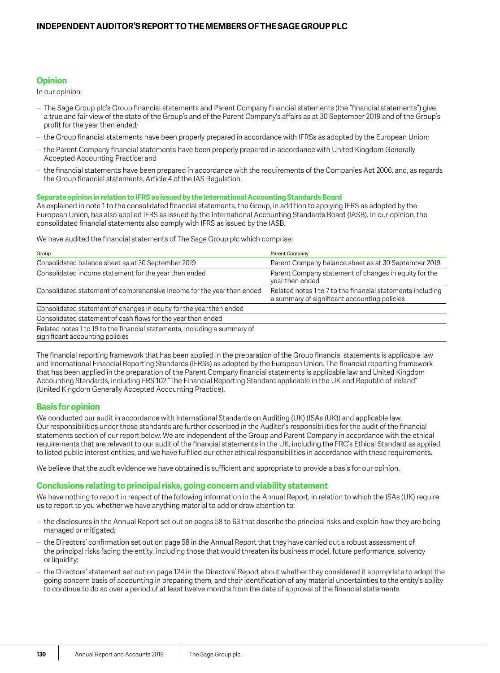# **Opinion**

In our opinion:

- The Sage Group plc's Group financial statements and Parent Company financial statements (the "financial statements") give a true and fair view of the state of the Group's and of the Parent Company's affairs as at 30 September 2019 and of the Group's profit for the year then ended;
- the Group financial statements have been properly prepared in accordance with IFRSs as adopted by the European Union;
- the Parent Company financial statements have been properly prepared in accordance with United Kingdom Generally Accepted Accounting Practice; and
- the financial statements have been prepared in accordance with the requirements of the Companies Act 2006, and, as regards the Group financial statements, Article 4 of the IAS Regulation.

#### **Separate opinion in relation to IFRS as issued by the International Accounting Standards Board**

As explained in note 1 to the consolidated financial statements, the Group, in addition to applying IFRS as adopted by the European Union, has also applied IFRS as issued by the International Accounting Standards Board (IASB). In our opinion, the consolidated financial statements also comply with IFRS as issued by the IASB.

We have audited the financial statements of The Sage Group plc which comprise:

| Group                                                                                                        | Parent Company                                                                                             |
|--------------------------------------------------------------------------------------------------------------|------------------------------------------------------------------------------------------------------------|
| Consolidated balance sheet as at 30 September 2019                                                           | Parent Company balance sheet as at 30 September 2019                                                       |
| Consolidated income statement for the year then ended                                                        | Parent Company statement of changes in equity for the<br>year then ended                                   |
| Consolidated statement of comprehensive income for the year then ended                                       | Related notes 1 to 7 to the financial statements including<br>a summary of significant accounting policies |
| Consolidated statement of changes in equity for the year then ended                                          |                                                                                                            |
| Consolidated statement of cash flows for the year then ended                                                 |                                                                                                            |
| Related notes 1 to 19 to the financial statements, including a summary of<br>significant accounting policies |                                                                                                            |

The financial reporting framework that has been applied in the preparation of the Group financial statements is applicable law and International Financial Reporting Standards (IFRSs) as adopted by the European Union. The financial reporting framework that has been applied in the preparation of the Parent Company financial statements is applicable law and United Kingdom Accounting Standards, including FRS 102 "The Financial Reporting Standard applicable in the UK and Republic of Ireland" (United Kingdom Generally Accepted Accounting Practice).

## **Basis for opinion**

We conducted our audit in accordance with International Standards on Auditing (UK) (ISAs (UK)) and applicable law. Our responsibilities under those standards are further described in the Auditor's responsibilities for the audit of the financial statements section of our report below. We are independent of the Group and Parent Company in accordance with the ethical requirements that are relevant to our audit of the financial statements in the UK, including the FRC's Ethical Standard as applied to listed public interest entities, and we have fulfilled our other ethical responsibilities in accordance with these requirements.

We believe that the audit evidence we have obtained is sufficient and appropriate to provide a basis for our opinion.

## **Conclusions relating to principal risks, going concern and viability statement**

We have nothing to report in respect of the following information in the Annual Report, in relation to which the ISAs (UK) require us to report to you whether we have anything material to add or draw attention to:

- the disclosures in the Annual Report set out on pages 58 to 63 that describe the principal risks and explain how they are being managed or mitigated;
- the Directors' confirmation set out on page 58 in the Annual Report that they have carried out a robust assessment of the principal risks facing the entity, including those that would threaten its business model, future performance, solvency or liquidity;
- the Directors' statement set out on page 124 in the Directors' Report about whether they considered it appropriate to adopt the going concern basis of accounting in preparing them, and their identification of any material uncertainties to the entity's ability to continue to do so over a period of at least twelve months from the date of approval of the financial statements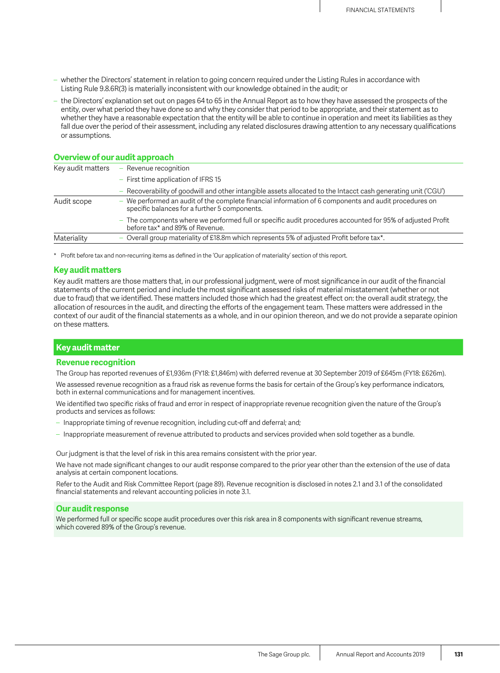- whether the Directors' statement in relation to going concern required under the Listing Rules in accordance with Listing Rule 9.8.6R(3) is materially inconsistent with our knowledge obtained in the audit; or
- the Directors' explanation set out on pages 64 to 65 in the Annual Report as to how they have assessed the prospects of the entity, over what period they have done so and why they consider that period to be appropriate, and their statement as to whether they have a reasonable expectation that the entity will be able to continue in operation and meet its liabilities as they fall due over the period of their assessment, including any related disclosures drawing attention to any necessary qualifications or assumptions.

### **Overview of our audit approach**

| Key audit matters | - Revenue recognition                                                                                                                                            |
|-------------------|------------------------------------------------------------------------------------------------------------------------------------------------------------------|
|                   | $-$ First time application of IFRS 15                                                                                                                            |
|                   | Recoverability of goodwill and other intangible assets allocated to the Intacct cash generating unit ('CGU') ·                                                   |
| Audit scope       | We performed an audit of the complete financial information of 6 components and audit procedures on<br>specific balances for a further 5 components.             |
|                   | The components where we performed full or specific audit procedures accounted for 95% of adjusted Profit<br>$\qquad \qquad -$<br>before tax* and 89% of Revenue. |
| Materiality       | Overall group materiality of £18.8m which represents 5% of adjusted Profit before tax*.                                                                          |

\* Profit before tax and non-recurring items as defined in the 'Our application of materiality' section of this report.

#### **Key audit matters**

Key audit matters are those matters that, in our professional judgment, were of most significance in our audit of the financial statements of the current period and include the most significant assessed risks of material misstatement (whether or not due to fraud) that we identified. These matters included those which had the greatest effect on: the overall audit strategy, the allocation of resources in the audit, and directing the efforts of the engagement team. These matters were addressed in the context of our audit of the financial statements as a whole, and in our opinion thereon, and we do not provide a separate opinion on these matters.

## **Key audit matter**

#### **Revenue recognition**

The Group has reported revenues of £1,936m (FY18: £1,846m) with deferred revenue at 30 September 2019 of £645m (FY18: £626m).

We assessed revenue recognition as a fraud risk as revenue forms the basis for certain of the Group's key performance indicators, both in external communications and for management incentives.

We identified two specific risks of fraud and error in respect of inappropriate revenue recognition given the nature of the Group's products and services as follows:

- Inappropriate timing of revenue recognition, including cut-off and deferral; and;
- Inappropriate measurement of revenue attributed to products and services provided when sold together as a bundle.

Our judgment is that the level of risk in this area remains consistent with the prior year.

We have not made significant changes to our audit response compared to the prior year other than the extension of the use of data analysis at certain component locations.

Refer to the Audit and Risk Committee Report (page 89). Revenue recognition is disclosed in notes 2.1 and 3.1 of the consolidated financial statements and relevant accounting policies in note 3.1.

#### **Our audit response**

We performed full or specific scope audit procedures over this risk area in 8 components with significant revenue streams, which covered 89% of the Group's revenue.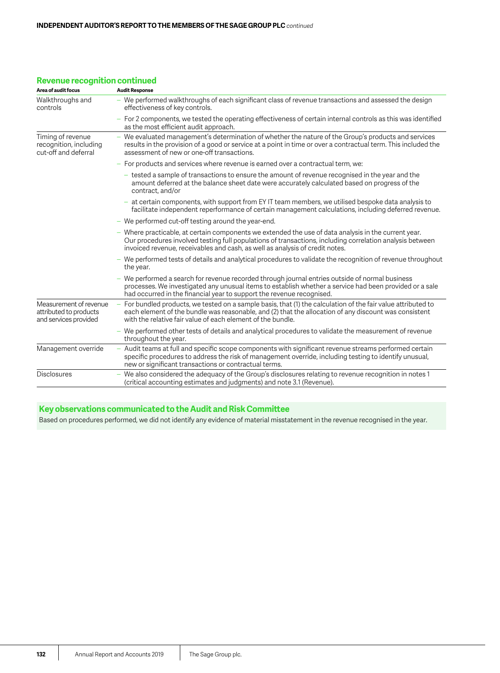| Area of audit focus                                                       | <b>Audit Response</b>                                                                                                                                                                                                                                                                            |
|---------------------------------------------------------------------------|--------------------------------------------------------------------------------------------------------------------------------------------------------------------------------------------------------------------------------------------------------------------------------------------------|
| Walkthroughs and<br>controls                                              | - We performed walkthroughs of each significant class of revenue transactions and assessed the design<br>effectiveness of key controls.                                                                                                                                                          |
|                                                                           | $-$ For 2 components, we tested the operating effectiveness of certain internal controls as this was identified<br>as the most efficient audit approach.                                                                                                                                         |
| Timing of revenue<br>recognition, including<br>cut-off and deferral       | - We evaluated management's determination of whether the nature of the Group's products and services<br>results in the provision of a good or service at a point in time or over a contractual term. This included the<br>assessment of new or one-off transactions.                             |
|                                                                           | - For products and services where revenue is earned over a contractual term, we:                                                                                                                                                                                                                 |
|                                                                           | - tested a sample of transactions to ensure the amount of revenue recognised in the year and the<br>amount deferred at the balance sheet date were accurately calculated based on progress of the<br>contract, and/or                                                                            |
|                                                                           | $-$ at certain components, with support from EY IT team members, we utilised bespoke data analysis to<br>facilitate independent reperformance of certain management calculations, including deferred revenue.                                                                                    |
|                                                                           | - We performed cut-off testing around the year-end.                                                                                                                                                                                                                                              |
|                                                                           | - Where practicable, at certain components we extended the use of data analysis in the current year.<br>Our procedures involved testing full populations of transactions, including correlation analysis between<br>invoiced revenue, receivables and cash, as well as analysis of credit notes. |
|                                                                           | – We performed tests of details and analytical procedures to validate the recognition of revenue throughout<br>the year.                                                                                                                                                                         |
|                                                                           | - We performed a search for revenue recorded through journal entries outside of normal business<br>processes. We investigated any unusual items to establish whether a service had been provided or a sale<br>had occurred in the financial year to support the revenue recognised.              |
| Measurement of revenue<br>attributed to products<br>and services provided | For bundled products, we tested on a sample basis, that (1) the calculation of the fair value attributed to<br>each element of the bundle was reasonable, and (2) that the allocation of any discount was consistent<br>with the relative fair value of each element of the bundle.              |
|                                                                           | - We performed other tests of details and analytical procedures to validate the measurement of revenue<br>throughout the year.                                                                                                                                                                   |
| Management override                                                       | - Audit teams at full and specific scope components with significant revenue streams performed certain<br>specific procedures to address the risk of management override, including testing to identify unusual,<br>new or significant transactions or contractual terms.                        |
| <b>Disclosures</b>                                                        | – We also considered the adequacy of the Group's disclosures relating to revenue recognition in notes 1<br>(critical accounting estimates and judgments) and note 3.1 (Revenue).                                                                                                                 |

# **Revenue recognition continued**

# **Key observations communicated to the Audit and Risk Committee**

Based on procedures performed, we did not identify any evidence of material misstatement in the revenue recognised in the year.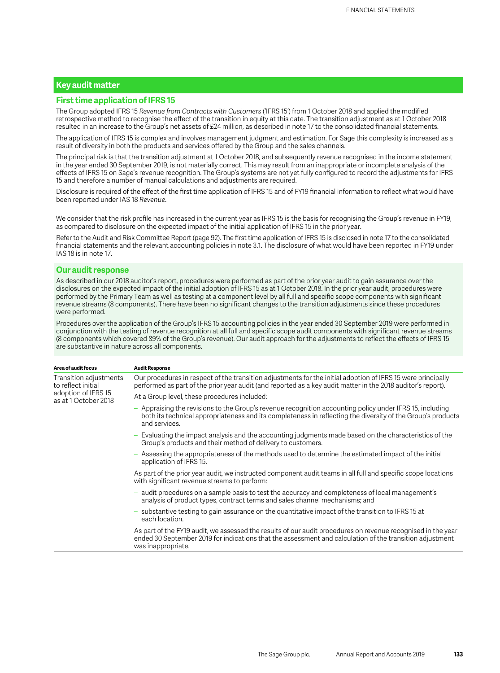# **Key audit matter**

### **First time application of IFRS 15**

The Group adopted IFRS 15 *Revenue from Contracts with Customers* ('IFRS 15') from 1 October 2018 and applied the modified retrospective method to recognise the effect of the transition in equity at this date. The transition adjustment as at 1 October 2018 resulted in an increase to the Group's net assets of £24 million, as described in note 17 to the consolidated financial statements.

The application of IFRS 15 is complex and involves management judgment and estimation. For Sage this complexity is increased as a result of diversity in both the products and services offered by the Group and the sales channels.

The principal risk is that the transition adjustment at 1 October 2018, and subsequently revenue recognised in the income statement in the year ended 30 September 2019, is not materially correct. This may result from an inappropriate or incomplete analysis of the effects of IFRS 15 on Sage's revenue recognition. The Group's systems are not yet fully configured to record the adjustments for IFRS 15 and therefore a number of manual calculations and adjustments are required.

Disclosure is required of the effect of the first time application of IFRS 15 and of FY19 financial information to reflect what would have been reported under IAS 18 *Revenue*.

We consider that the risk profile has increased in the current year as IFRS 15 is the basis for recognising the Group's revenue in FY19, as compared to disclosure on the expected impact of the initial application of IFRS 15 in the prior year.

Refer to the Audit and Risk Committee Report (page 92). The first time application of IFRS 15 is disclosed in note 17 to the consolidated financial statements and the relevant accounting policies in note 3.1. The disclosure of what would have been reported in FY19 under IAS 18 is in note 17.

#### **Our audit response**

As described in our 2018 auditor's report, procedures were performed as part of the prior year audit to gain assurance over the disclosures on the expected impact of the initial adoption of IFRS 15 as at 1 October 2018. In the prior year audit, procedures were performed by the Primary Team as well as testing at a component level by all full and specific scope components with significant revenue streams (8 components). There have been no significant changes to the transition adjustments since these procedures were performed.

Procedures over the application of the Group's IFRS 15 accounting policies in the year ended 30 September 2019 were performed in conjunction with the testing of revenue recognition at all full and specific scope audit components with significant revenue streams (8 components which covered 89% of the Group's revenue). Our audit approach for the adjustments to reflect the effects of IFRS 15 are substantive in nature across all components.

| Area of audit focus                          | <b>Audit Response</b>                                                                                                                                                                                                                          |
|----------------------------------------------|------------------------------------------------------------------------------------------------------------------------------------------------------------------------------------------------------------------------------------------------|
| Transition adjustments<br>to reflect initial | Our procedures in respect of the transition adjustments for the initial adoption of IFRS 15 were principally<br>performed as part of the prior year audit (and reported as a key audit matter in the 2018 auditor's report).                   |
| adoption of IFRS 15<br>as at 1 October 2018  | At a Group level, these procedures included:                                                                                                                                                                                                   |
|                                              | - Appraising the revisions to the Group's revenue recognition accounting policy under IFRS 15, including<br>both its technical appropriateness and its completeness in reflecting the diversity of the Group's products<br>and services.       |
|                                              | - Evaluating the impact analysis and the accounting judgments made based on the characteristics of the<br>Group's products and their method of delivery to customers.                                                                          |
|                                              | - Assessing the appropriateness of the methods used to determine the estimated impact of the initial<br>application of IFRS 15.                                                                                                                |
|                                              | As part of the prior year audit, we instructed component audit teams in all full and specific scope locations<br>with significant revenue streams to perform:                                                                                  |
|                                              | $-$ audit procedures on a sample basis to test the accuracy and completeness of local management's<br>analysis of product types, contract terms and sales channel mechanisms; and                                                              |
|                                              | $-$ substantive testing to gain assurance on the quantitative impact of the transition to IFRS 15 at<br>each location.                                                                                                                         |
|                                              | As part of the FY19 audit, we assessed the results of our audit procedures on revenue recognised in the year<br>ended 30 September 2019 for indications that the assessment and calculation of the transition adjustment<br>was inappropriate. |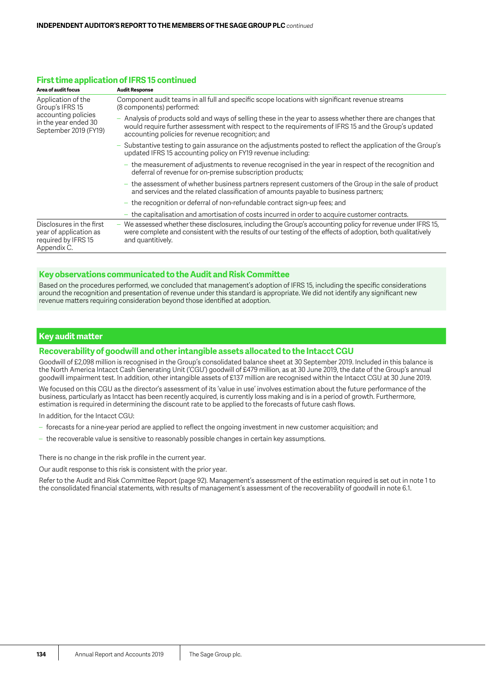| .                                                                                                             |                                                                                                                                                                                                                                                                      |
|---------------------------------------------------------------------------------------------------------------|----------------------------------------------------------------------------------------------------------------------------------------------------------------------------------------------------------------------------------------------------------------------|
| Area of audit focus                                                                                           | <b>Audit Response</b>                                                                                                                                                                                                                                                |
| Application of the<br>Group's IFRS 15<br>accounting policies<br>in the year ended 30<br>September 2019 (FY19) | Component audit teams in all full and specific scope locations with significant revenue streams<br>(8 components) performed:                                                                                                                                         |
|                                                                                                               | Analysis of products sold and ways of selling these in the year to assess whether there are changes that<br>would require further assessment with respect to the requirements of IFRS 15 and the Group's updated<br>accounting policies for revenue recognition; and |
|                                                                                                               | Substantive testing to gain assurance on the adjustments posted to reflect the application of the Group's<br>updated IFRS 15 accounting policy on FY19 revenue including:                                                                                            |
|                                                                                                               | - the measurement of adjustments to revenue recognised in the year in respect of the recognition and<br>deferral of revenue for on-premise subscription products;                                                                                                    |
|                                                                                                               | - the assessment of whether business partners represent customers of the Group in the sale of product<br>and services and the related classification of amounts payable to business partners;                                                                        |
|                                                                                                               | - the recognition or deferral of non-refundable contract sign-up fees; and                                                                                                                                                                                           |
|                                                                                                               | - the capitalisation and amortisation of costs incurred in order to acquire customer contracts.                                                                                                                                                                      |
| Disclosures in the first<br>year of application as<br>required by IFRS 15<br>Appendix C.                      | We assessed whether these disclosures, including the Group's accounting policy for revenue under IFRS 15,<br>were complete and consistent with the results of our testing of the effects of adoption, both qualitatively<br>and quantitively.                        |

## **First time application of IFRS 15 continued**

### **Key observations communicated to the Audit and Risk Committee**

Based on the procedures performed, we concluded that management's adoption of IFRS 15, including the specific considerations around the recognition and presentation of revenue under this standard is appropriate. We did not identify any significant new revenue matters requiring consideration beyond those identified at adoption.

## **Key audit matter**

#### **Recoverability of goodwill and other intangible assets allocated to the Intacct CGU**

Goodwill of £2,098 million is recognised in the Group's consolidated balance sheet at 30 September 2019. Included in this balance is the North America Intacct Cash Generating Unit ('CGU') goodwill of £479 million, as at 30 June 2019, the date of the Group's annual goodwill impairment test. In addition, other intangible assets of £137 million are recognised within the Intacct CGU at 30 June 2019.

We focused on this CGU as the director's assessment of its 'value in use' involves estimation about the future performance of the business, particularly as Intacct has been recently acquired, is currently loss making and is in a period of growth. Furthermore, estimation is required in determining the discount rate to be applied to the forecasts of future cash flows.

In addition, for the Intacct CGU:

- forecasts for a nine-year period are applied to reflect the ongoing investment in new customer acquisition; and
- the recoverable value is sensitive to reasonably possible changes in certain key assumptions.

There is no change in the risk profile in the current year.

Our audit response to this risk is consistent with the prior year.

Refer to the Audit and Risk Committee Report (page 92). Management's assessment of the estimation required is set out in note 1 to the consolidated financial statements, with results of management's assessment of the recoverability of goodwill in note 6.1.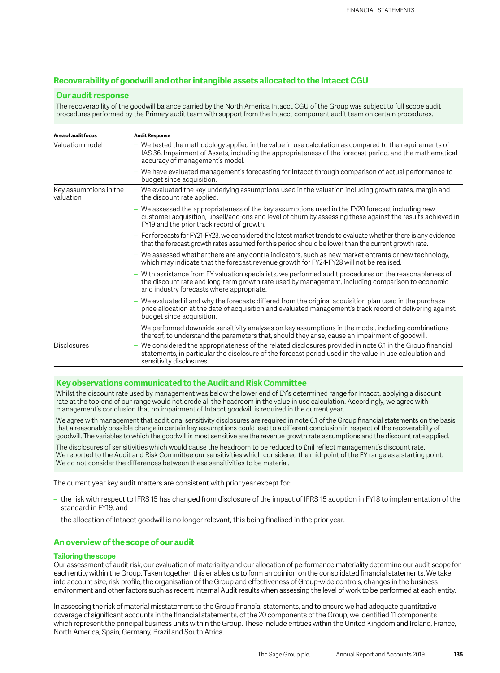# **Recoverability of goodwill and other intangible assets allocated to the Intacct CGU**

### **Our audit response**

The recoverability of the goodwill balance carried by the North America Intacct CGU of the Group was subject to full scope audit procedures performed by the Primary audit team with support from the Intacct component audit team on certain procedures.

| Area of audit focus                 | <b>Audit Response</b>                                                                                                                                                                                                                                          |
|-------------------------------------|----------------------------------------------------------------------------------------------------------------------------------------------------------------------------------------------------------------------------------------------------------------|
| Valuation model                     | - We tested the methodology applied in the value in use calculation as compared to the requirements of<br>IAS 36, Impairment of Assets, including the appropriateness of the forecast period, and the mathematical<br>accuracy of management's model.          |
|                                     | - We have evaluated management's forecasting for Intacct through comparison of actual performance to<br>budget since acquisition.                                                                                                                              |
| Key assumptions in the<br>valuation | - We evaluated the key underlying assumptions used in the valuation including growth rates, margin and<br>the discount rate applied.                                                                                                                           |
|                                     | $-$ We assessed the appropriateness of the key assumptions used in the FY20 forecast including new<br>customer acquisition, upsell/add-ons and level of churn by assessing these against the results achieved in<br>FY19 and the prior track record of growth. |
|                                     | - For forecasts for FY21-FY23, we considered the latest market trends to evaluate whether there is any evidence<br>that the forecast growth rates assumed for this period should be lower than the current growth rate.                                        |
|                                     | $-$ We assessed whether there are any contra indicators, such as new market entrants or new technology,<br>which may indicate that the forecast revenue growth for FY24-FY28 will not be realised.                                                             |
|                                     | - With assistance from EY valuation specialists, we performed audit procedures on the reasonableness of<br>the discount rate and long-term growth rate used by management, including comparison to economic<br>and industry forecasts where appropriate.       |
|                                     | - We evaluated if and why the forecasts differed from the original acquisition plan used in the purchase<br>price allocation at the date of acquisition and evaluated management's track record of delivering against<br>budget since acquisition.             |
|                                     | - We performed downside sensitivity analyses on key assumptions in the model, including combinations<br>thereof, to understand the parameters that, should they arise, cause an impairment of goodwill.                                                        |
| <b>Disclosures</b>                  | - We considered the appropriateness of the related disclosures provided in note 6.1 in the Group financial<br>statements, in particular the disclosure of the forecast period used in the value in use calculation and<br>sensitivity disclosures.             |

### **Key observations communicated to the Audit and Risk Committee**

Whilst the discount rate used by management was below the lower end of EY's determined range for Intacct, applying a discount rate at the top-end of our range would not erode all the headroom in the value in use calculation. Accordingly, we agree with management's conclusion that no impairment of Intacct goodwill is required in the current year.

We agree with management that additional sensitivity disclosures are required in note 6.1 of the Group financial statements on the basis that a reasonably possible change in certain key assumptions could lead to a different conclusion in respect of the recoverability of goodwill. The variables to which the goodwill is most sensitive are the revenue growth rate assumptions and the discount rate applied.

The disclosures of sensitivities which would cause the headroom to be reduced to £nil reflect management's discount rate. We reported to the Audit and Risk Committee our sensitivities which considered the mid-point of the EY range as a starting point. We do not consider the differences between these sensitivities to be material.

The current year key audit matters are consistent with prior year except for:

- the risk with respect to IFRS 15 has changed from disclosure of the impact of IFRS 15 adoption in FY18 to implementation of the standard in FY19, and
- the allocation of Intacct goodwill is no longer relevant, this being finalised in the prior year.

## **An overview of the scope of our audit**

#### **Tailoring the scope**

Our assessment of audit risk, our evaluation of materiality and our allocation of performance materiality determine our audit scope for each entity within the Group. Taken together, this enables us to form an opinion on the consolidated financial statements. We take into account size, risk profile, the organisation of the Group and effectiveness of Group-wide controls, changes in the business environment and other factors such as recent Internal Audit results when assessing the level of work to be performed at each entity.

In assessing the risk of material misstatement to the Group financial statements, and to ensure we had adequate quantitative coverage of significant accounts in the financial statements, of the 20 components of the Group, we identified 11 components which represent the principal business units within the Group. These include entities within the United Kingdom and Ireland, France, North America, Spain, Germany, Brazil and South Africa.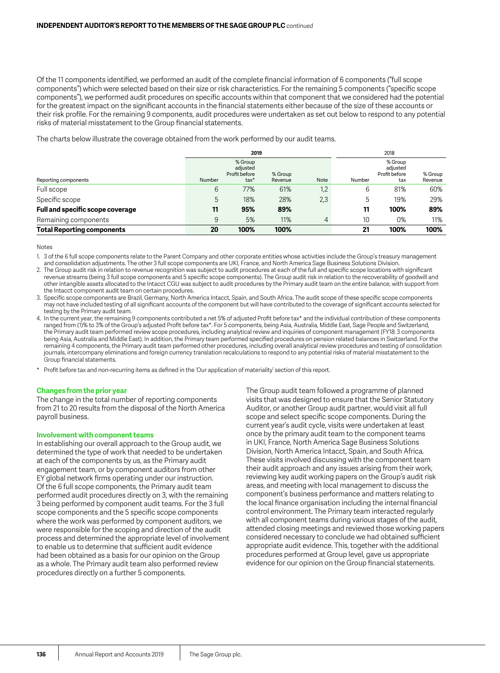Of the 11 components identified, we performed an audit of the complete financial information of 6 components ("full scope components") which were selected based on their size or risk characteristics. For the remaining 5 components ("specific scope components"), we performed audit procedures on specific accounts within that component that we considered had the potential for the greatest impact on the significant accounts in the financial statements either because of the size of these accounts or their risk profile. For the remaining 9 components, audit procedures were undertaken as set out below to respond to any potential risks of material misstatement to the Group financial statements.

The charts below illustrate the coverage obtained from the work performed by our audit teams.

|                                   | 2019   |                                                          |                    |      | 2018   |                                             |                    |
|-----------------------------------|--------|----------------------------------------------------------|--------------------|------|--------|---------------------------------------------|--------------------|
| Reporting components              | Number | % Group<br>adjusted<br>Profit before<br>tax <sup>*</sup> | % Group<br>Revenue | Note | Number | % Group<br>adjusted<br>Profit before<br>tax | % Group<br>Revenue |
| Full scope                        | 6      | 77%                                                      | 61%                | 1,2  | 6      | 81%                                         | 60%                |
| Specific scope                    | 5      | 18%                                                      | 28%                | 2,3  | 5      | 19%                                         | 29%                |
| Full and specific scope coverage  | 11     | 95%                                                      | 89%                |      | 11     | 100%                                        | 89%                |
| Remaining components              | 9      | 5%                                                       | 11%                | 4    | 10     | 0%                                          | 11%                |
| <b>Total Reporting components</b> | 20     | 100%                                                     | 100%               |      | 21     | 100%                                        | 100%               |

Notes

1. 3 of the 6 full scope components relate to the Parent Company and other corporate entities whose activities include the Group's treasury management and consolidation adjustments. The other 3 full scope components are UKI, France, and North America Sage Business Solutions Division.

2. The Group audit risk in relation to revenue recognition was subject to audit procedures at each of the full and specific scope locations with significant revenue streams (being 3 full scope components and 5 specific scope components). The Group audit risk in relation to the recoverability of goodwill and other intangible assets allocated to the Intacct CGU was subject to audit procedures by the Primary audit team on the entire balance, with support from the Intacct component audit team on certain procedures.

3. Specific scope components are Brazil, Germany, North America Intacct, Spain, and South Africa. The audit scope of these specific scope components may not have included testing of all significant accounts of the component but will have contributed to the coverage of significant accounts selected for testing by the Primary audit team.

4. In the current year, the remaining 9 components contributed a net 5% of adjusted Profit before tax\* and the individual contribution of these components ranged from (1)% to 3% of the Group's adjusted Profit before tax\*. For 5 components, being Asia, Australia, Middle East, Sage People and Switzerland, the Primary audit team performed review scope procedures, including analytical review and inquiries of component management (FY18: 3 components being Asia, Australia and Middle East). In addition, the Primary team performed specified procedures on pension related balances in Switzerland. For the remaining 4 components, the Primary audit team performed other procedures, including overall analytical review procedures and testing of consolidation journals, intercompany eliminations and foreign currency translation recalculations to respond to any potential risks of material misstatement to the Group financial statements.

Profit before tax and non-recurring items as defined in the 'Our application of materiality' section of this report.

#### **Changes from the prior year**

The change in the total number of reporting components from 21 to 20 results from the disposal of the North America payroll business.

#### **Involvement with component teams**

In establishing our overall approach to the Group audit, we determined the type of work that needed to be undertaken at each of the components by us, as the Primary audit engagement team, or by component auditors from other EY global network firms operating under our instruction. Of the 6 full scope components, the Primary audit team performed audit procedures directly on 3, with the remaining 3 being performed by component audit teams. For the 3 full scope components and the 5 specific scope components where the work was performed by component auditors, we were responsible for the scoping and direction of the audit process and determined the appropriate level of involvement to enable us to determine that sufficient audit evidence had been obtained as a basis for our opinion on the Group as a whole. The Primary audit team also performed review procedures directly on a further 5 components.

The Group audit team followed a programme of planned visits that was designed to ensure that the Senior Statutory Auditor, or another Group audit partner, would visit all full scope and select specific scope components. During the current year's audit cycle, visits were undertaken at least once by the primary audit team to the component teams in UKI, France, North America Sage Business Solutions Division, North America Intacct, Spain, and South Africa. These visits involved discussing with the component team their audit approach and any issues arising from their work, reviewing key audit working papers on the Group's audit risk areas, and meeting with local management to discuss the component's business performance and matters relating to the local finance organisation including the internal financial control environment. The Primary team interacted regularly with all component teams during various stages of the audit, attended closing meetings and reviewed those working papers considered necessary to conclude we had obtained sufficient appropriate audit evidence. This, together with the additional procedures performed at Group level, gave us appropriate evidence for our opinion on the Group financial statements.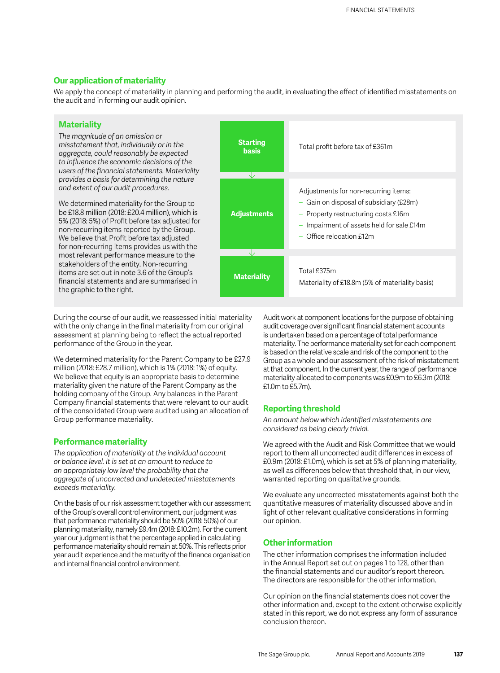## **Our application of materiality**

We apply the concept of materiality in planning and performing the audit, in evaluating the effect of identified misstatements on the audit and in forming our audit opinion.

# **Materiality**

*The magnitude of an omission or misstatement that, individually or in the aggregate, could reasonably be expected to influence the economic decisions of the users of the financial statements. Materiality provides a basis for determining the nature and extent of our audit procedures.*

We determined materiality for the Group to be £18.8 million (2018: £20.4 million), which is 5% (2018: 5%) of Profit before tax adjusted for non-recurring items reported by the Group. We believe that Profit before tax adjusted for non-recurring items provides us with the most relevant performance measure to the stakeholders of the entity. Non-recurring items are set out in note 3.6 of the Group's financial statements and are summarised in the graphic to the right.



During the course of our audit, we reassessed initial materiality with the only change in the final materiality from our original assessment at planning being to reflect the actual reported performance of the Group in the year.

We determined materiality for the Parent Company to be £27.9 million (2018: £28.7 million), which is 1% (2018: 1%) of equity. We believe that equity is an appropriate basis to determine materiality given the nature of the Parent Company as the holding company of the Group. Any balances in the Parent Company financial statements that were relevant to our audit of the consolidated Group were audited using an allocation of Group performance materiality.

## **Performance materiality**

*The application of materiality at the individual account or balance level. It is set at an amount to reduce to an appropriately low level the probability that the aggregate of uncorrected and undetected misstatements exceeds materiality.*

On the basis of our risk assessment together with our assessment of the Group's overall control environment, our judgment was that performance materiality should be 50% (2018: 50%) of our planning materiality, namely £9.4m (2018: £10.2m). For the current year our judgment is that the percentage applied in calculating performance materiality should remain at 50%. This reflects prior year audit experience and the maturity of the finance organisation and internal financial control environment.

Audit work at component locations for the purpose of obtaining audit coverage over significant financial statement accounts is undertaken based on a percentage of total performance materiality. The performance materiality set for each component is based on the relative scale and risk of the component to the Group as a whole and our assessment of the risk of misstatement at that component. In the current year, the range of performance materiality allocated to components was £0.9m to £6.3m (2018: £1.0m to £5.7m).

## **Reporting threshold**

*An amount below which identified misstatements are considered as being clearly trivial.*

We agreed with the Audit and Risk Committee that we would report to them all uncorrected audit differences in excess of £0.9m (2018: £1.0m), which is set at 5% of planning materiality, as well as differences below that threshold that, in our view, warranted reporting on qualitative grounds.

We evaluate any uncorrected misstatements against both the quantitative measures of materiality discussed above and in light of other relevant qualitative considerations in forming our opinion.

## **Other information**

The other information comprises the information included in the Annual Report set out on pages 1 to 128, other than the financial statements and our auditor's report thereon. The directors are responsible for the other information.

Our opinion on the financial statements does not cover the other information and, except to the extent otherwise explicitly stated in this report, we do not express any form of assurance conclusion thereon.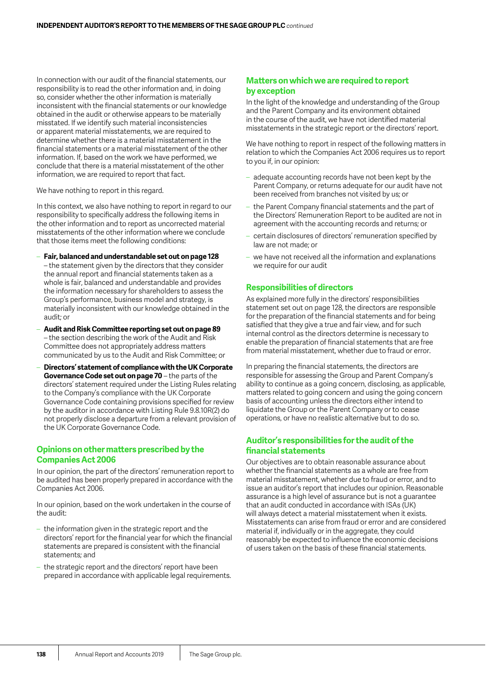In connection with our audit of the financial statements, our responsibility is to read the other information and, in doing so, consider whether the other information is materially inconsistent with the financial statements or our knowledge obtained in the audit or otherwise appears to be materially misstated. If we identify such material inconsistencies or apparent material misstatements, we are required to determine whether there is a material misstatement in the financial statements or a material misstatement of the other information. If, based on the work we have performed, we conclude that there is a material misstatement of the other information, we are required to report that fact.

We have nothing to report in this regard.

In this context, we also have nothing to report in regard to our responsibility to specifically address the following items in the other information and to report as uncorrected material misstatements of the other information where we conclude that those items meet the following conditions:

- **Fair, balanced and understandable set out on page 128** – the statement given by the directors that they consider the annual report and financial statements taken as a whole is fair, balanced and understandable and provides the information necessary for shareholders to assess the Group's performance, business model and strategy, is materially inconsistent with our knowledge obtained in the audit; or
- **Audit and Risk Committee reporting set out on page 89** – the section describing the work of the Audit and Risk Committee does not appropriately address matters communicated by us to the Audit and Risk Committee; or
- **Directors' statement of compliance with the UK Corporate Governance Code set out on page 70** – the parts of the directors' statement required under the Listing Rules relating to the Company's compliance with the UK Corporate Governance Code containing provisions specified for review by the auditor in accordance with Listing Rule 9.8.10R(2) do not properly disclose a departure from a relevant provision of the UK Corporate Governance Code.

## **Opinions on other matters prescribed by the Companies Act 2006**

In our opinion, the part of the directors' remuneration report to be audited has been properly prepared in accordance with the Companies Act 2006.

In our opinion, based on the work undertaken in the course of the audit:

- the information given in the strategic report and the directors' report for the financial year for which the financial statements are prepared is consistent with the financial statements; and
- the strategic report and the directors' report have been prepared in accordance with applicable legal requirements.

## **Matters on which we are required to report by exception**

In the light of the knowledge and understanding of the Group and the Parent Company and its environment obtained in the course of the audit, we have not identified material misstatements in the strategic report or the directors' report.

We have nothing to report in respect of the following matters in relation to which the Companies Act 2006 requires us to report to you if, in our opinion:

- adequate accounting records have not been kept by the Parent Company, or returns adequate for our audit have not been received from branches not visited by us; or
- the Parent Company financial statements and the part of the Directors' Remuneration Report to be audited are not in agreement with the accounting records and returns; or
- certain disclosures of directors' remuneration specified by law are not made; or
- we have not received all the information and explanations we require for our audit

## **Responsibilities of directors**

As explained more fully in the directors' responsibilities statement set out on page 128, the directors are responsible for the preparation of the financial statements and for being satisfied that they give a true and fair view, and for such internal control as the directors determine is necessary to enable the preparation of financial statements that are free from material misstatement, whether due to fraud or error.

In preparing the financial statements, the directors are responsible for assessing the Group and Parent Company's ability to continue as a going concern, disclosing, as applicable, matters related to going concern and using the going concern basis of accounting unless the directors either intend to liquidate the Group or the Parent Company or to cease operations, or have no realistic alternative but to do so.

# **Auditor's responsibilities for the audit of the financial statements**

Our objectives are to obtain reasonable assurance about whether the financial statements as a whole are free from material misstatement, whether due to fraud or error, and to issue an auditor's report that includes our opinion. Reasonable assurance is a high level of assurance but is not a guarantee that an audit conducted in accordance with ISAs (UK) will always detect a material misstatement when it exists. Misstatements can arise from fraud or error and are considered material if, individually or in the aggregate, they could reasonably be expected to influence the economic decisions of users taken on the basis of these financial statements.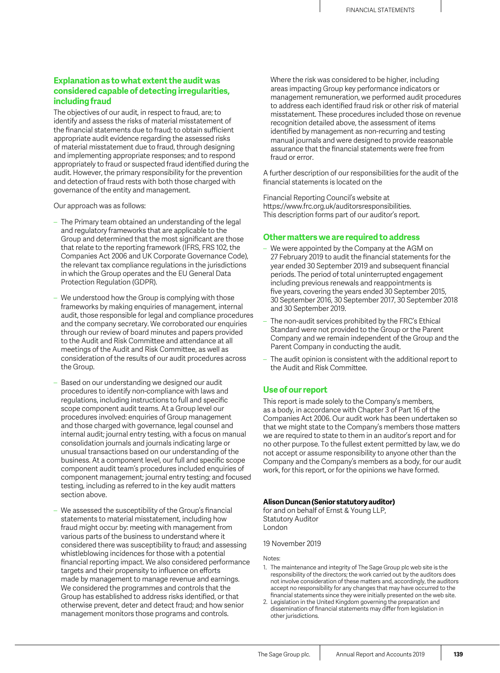# **Explanation as to what extent the audit was considered capable of detecting irregularities, including fraud**

The objectives of our audit, in respect to fraud, are; to identify and assess the risks of material misstatement of the financial statements due to fraud; to obtain sufficient appropriate audit evidence regarding the assessed risks of material misstatement due to fraud, through designing and implementing appropriate responses; and to respond appropriately to fraud or suspected fraud identified during the audit. However, the primary responsibility for the prevention and detection of fraud rests with both those charged with governance of the entity and management.

Our approach was as follows:

- The Primary team obtained an understanding of the legal and regulatory frameworks that are applicable to the Group and determined that the most significant are those that relate to the reporting framework (IFRS, FRS 102, the Companies Act 2006 and UK Corporate Governance Code), the relevant tax compliance regulations in the jurisdictions in which the Group operates and the EU General Data Protection Regulation (GDPR).
- We understood how the Group is complying with those frameworks by making enquiries of management, internal audit, those responsible for legal and compliance procedures and the company secretary. We corroborated our enquiries through our review of board minutes and papers provided to the Audit and Risk Committee and attendance at all meetings of the Audit and Risk Committee, as well as consideration of the results of our audit procedures across the Group.
- Based on our understanding we designed our audit procedures to identify non-compliance with laws and regulations, including instructions to full and specific scope component audit teams. At a Group level our procedures involved: enquiries of Group management and those charged with governance, legal counsel and internal audit; journal entry testing, with a focus on manual consolidation journals and journals indicating large or unusual transactions based on our understanding of the business. At a component level, our full and specific scope component audit team's procedures included enquiries of component management; journal entry testing; and focused testing, including as referred to in the key audit matters section above.
- We assessed the susceptibility of the Group's financial statements to material misstatement, including how fraud might occur by: meeting with management from various parts of the business to understand where it considered there was susceptibility to fraud; and assessing whistleblowing incidences for those with a potential financial reporting impact. We also considered performance targets and their propensity to influence on efforts made by management to manage revenue and earnings. We considered the programmes and controls that the Group has established to address risks identified, or that otherwise prevent, deter and detect fraud; and how senior management monitors those programs and controls.

Where the risk was considered to be higher, including areas impacting Group key performance indicators or management remuneration, we performed audit procedures to address each identified fraud risk or other risk of material misstatement. These procedures included those on revenue recognition detailed above, the assessment of items identified by management as non-recurring and testing manual journals and were designed to provide reasonable assurance that the financial statements were free from fraud or error.

A further description of our responsibilities for the audit of the financial statements is located on the

Financial Reporting Council's website at https://www.frc.org.uk/auditorsresponsibilities. This description forms part of our auditor's report.

### **Other matters we are required to address**

- We were appointed by the Company at the AGM on 27 February 2019 to audit the financial statements for the year ended 30 September 2019 and subsequent financial periods. The period of total uninterrupted engagement including previous renewals and reappointments is five years, covering the years ended 30 September 2015, 30 September 2016, 30 September 2017, 30 September 2018 and 30 September 2019.
- The non-audit services prohibited by the FRC's Ethical Standard were not provided to the Group or the Parent Company and we remain independent of the Group and the Parent Company in conducting the audit.
- The audit opinion is consistent with the additional report to the Audit and Risk Committee.

## **Use of our report**

This report is made solely to the Company's members, as a body, in accordance with Chapter 3 of Part 16 of the Companies Act 2006. Our audit work has been undertaken so that we might state to the Company's members those matters we are required to state to them in an auditor's report and for no other purpose. To the fullest extent permitted by law, we do not accept or assume responsibility to anyone other than the Company and the Company's members as a body, for our audit work, for this report, or for the opinions we have formed.

#### **Alison Duncan (Senior statutory auditor)**

for and on behalf of Ernst & Young LLP, Statutory Auditor London

19 November 2019

Notes:

- 1. The maintenance and integrity of The Sage Group plc web site is the responsibility of the directors; the work carried out by the auditors does not involve consideration of these matters and, accordingly, the auditors accept no responsibility for any changes that may have occurred to the financial statements since they were initially presented on the web site.
- 2. Legislation in the United Kingdom governing the preparation and dissemination of financial statements may differ from legislation in other jurisdictions.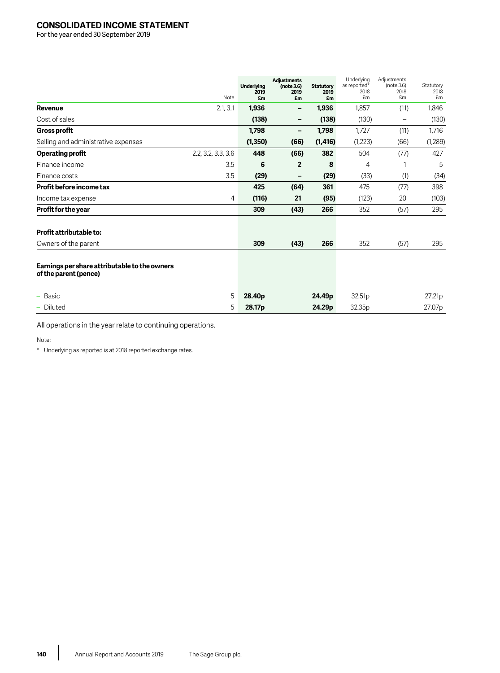# **CONSOLIDATED INCOME STATEMENT**

For the year ended 30 September 2019

|                                                                        | Note               | <b>Underlying</b><br>2019<br>£m | <b>Adjustments</b><br>(note 3.6)<br>2019<br>£m | Statutory<br>2019<br>£m | Underlying<br>as reported*<br>2018<br>£m | Adjustments<br>(note 3.6)<br>2018<br>£m | Statutory<br>2018<br>£m |
|------------------------------------------------------------------------|--------------------|---------------------------------|------------------------------------------------|-------------------------|------------------------------------------|-----------------------------------------|-------------------------|
| Revenue                                                                | 2.1, 3.1           | 1,936                           | -                                              | 1,936                   | 1,857                                    | (11)                                    | 1,846                   |
| Cost of sales                                                          |                    | (138)                           | -                                              | (138)                   | (130)                                    | $\qquad \qquad -$                       | (130)                   |
| <b>Gross profit</b>                                                    |                    | 1,798                           | -                                              | 1,798                   | 1,727                                    | (11)                                    | 1,716                   |
| Selling and administrative expenses                                    |                    | (1, 350)                        | (66)                                           | (1, 416)                | (1, 223)                                 | (66)                                    | (1,289)                 |
| Operating profit                                                       | 2.2, 3.2, 3.3, 3.6 | 448                             | (66)                                           | 382                     | 504                                      | (77)                                    | 427                     |
| Finance income                                                         | 3.5                | 6                               | 2                                              | 8                       | 4                                        | 1                                       | 5                       |
| Finance costs                                                          | 3.5                | (29)                            | -                                              | (29)                    | (33)                                     | (1)                                     | (34)                    |
| Profit before income tax                                               |                    | 425                             | (64)                                           | 361                     | 475                                      | (77)                                    | 398                     |
| Income tax expense                                                     | 4                  | (116)                           | 21                                             | (95)                    | (123)                                    | 20                                      | (103)                   |
| Profit for the year                                                    |                    | 309                             | (43)                                           | 266                     | 352                                      | (57)                                    | 295                     |
| Profit attributable to:                                                |                    |                                 |                                                |                         |                                          |                                         |                         |
| Owners of the parent                                                   |                    | 309                             | (43)                                           | 266                     | 352                                      | (57)                                    | 295                     |
| Earnings per share attributable to the owners<br>of the parent (pence) |                    |                                 |                                                |                         |                                          |                                         |                         |
| Basic                                                                  | 5                  | 28.40 <sub>p</sub>              |                                                | 24.49p                  | 32.51p                                   |                                         | 27.21p                  |
| Diluted<br>-                                                           | 5                  | 28.17p                          |                                                | 24.29p                  | 32.35p                                   |                                         | 27.07p                  |

All operations in the year relate to continuing operations.

Note:

\* Underlying as reported is at 2018 reported exchange rates.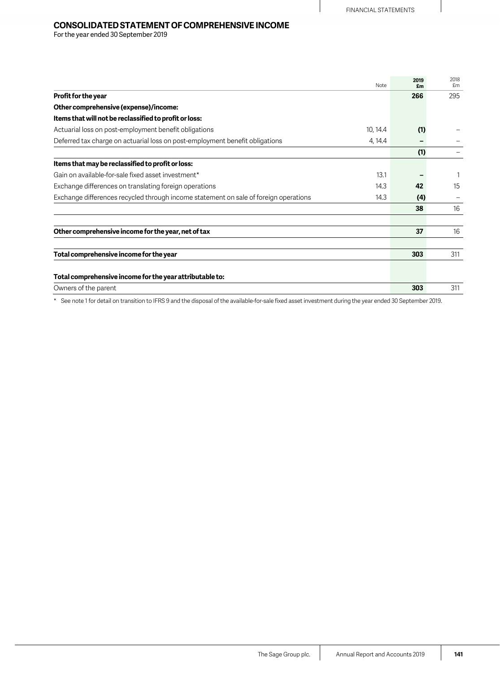# **CONSOLIDATED STATEMENT OF COMPREHENSIVE INCOME**

For the year ended 30 September 2019

|                                                                                                                                                            | Note    | 2019<br>£m | 2018<br>£m |
|------------------------------------------------------------------------------------------------------------------------------------------------------------|---------|------------|------------|
| Profit for the year                                                                                                                                        |         | 266        | 295        |
| Other comprehensive (expense)/income:                                                                                                                      |         |            |            |
| Items that will not be reclassified to profit or loss:                                                                                                     |         |            |            |
| Actuarial loss on post-employment benefit obligations                                                                                                      | 10.14.4 | (1)        |            |
| Deferred tax charge on actuarial loss on post-employment benefit obligations                                                                               | 4, 14.4 |            |            |
|                                                                                                                                                            |         | (1)        |            |
| Items that may be reclassified to profit or loss:                                                                                                          |         |            |            |
| Gain on available-for-sale fixed asset investment*                                                                                                         | 13.1    |            |            |
| Exchange differences on translating foreign operations                                                                                                     | 14.3    | 42         | 15         |
| Exchange differences recycled through income statement on sale of foreign operations                                                                       | 14.3    | (4)        |            |
|                                                                                                                                                            |         | 38         | 16         |
|                                                                                                                                                            |         |            |            |
| Other comprehensive income for the year, net of tax                                                                                                        |         | 37         | 16         |
|                                                                                                                                                            |         |            |            |
| Total comprehensive income for the year                                                                                                                    |         | 303        | 311        |
| Total comprehensive income for the year attributable to:                                                                                                   |         |            |            |
| Owners of the parent                                                                                                                                       |         | 303        | 311        |
| * See note 1 for detail on transition to IFRS 9 and the disposal of the available-for-sale fixed asset investment during the year ended 30 September 2019. |         |            |            |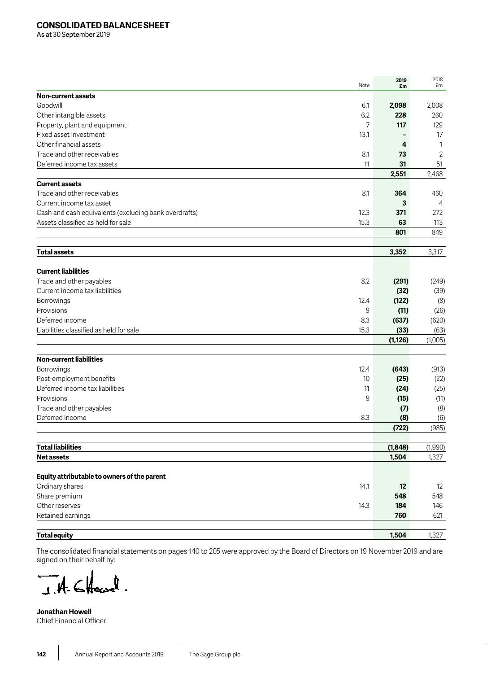# **CONSOLIDATED BALANCE SHEET**

As at 30 September 2019

|                                                       |      | 2019     | 2018           |
|-------------------------------------------------------|------|----------|----------------|
| <b>Non-current assets</b>                             | Note | £m       | £m             |
| Goodwill                                              | 6.1  | 2,098    | 2,008          |
| Other intangible assets                               | 6.2  | 228      | 260            |
| Property, plant and equipment                         | 7    | 117      | 129            |
| Fixed asset investment                                | 13.1 |          | 17             |
| Other financial assets                                |      | 4        | 1              |
| Trade and other receivables                           | 8.1  | 73       | 2              |
| Deferred income tax assets                            | 11   | 31       | 51             |
|                                                       |      | 2,551    | 2,468          |
| <b>Current assets</b>                                 |      |          |                |
| Trade and other receivables                           | 8.1  | 364      | 460            |
| Current income tax asset                              |      | 3        | $\overline{4}$ |
| Cash and cash equivalents (excluding bank overdrafts) | 12.3 | 371      | 272            |
| Assets classified as held for sale                    | 15.3 | 63       | 113            |
|                                                       |      | 801      | 849            |
|                                                       |      |          |                |
| <b>Total assets</b>                                   |      | 3,352    | 3,317          |
|                                                       |      |          |                |
| <b>Current liabilities</b>                            |      |          |                |
| Trade and other payables                              | 8.2  | (291)    | (249)          |
| Current income tax liabilities                        |      | (32)     | (39)           |
| Borrowings                                            | 12.4 | (122)    | (8)            |
| Provisions                                            | 9    | (11)     | (26)           |
| Deferred income                                       | 8.3  | (637)    | (620)          |
| Liabilities classified as held for sale               | 15.3 | (33)     | (63)           |
|                                                       |      | (1, 126) | (1,005)        |
| <b>Non-current liabilities</b>                        |      |          |                |
| Borrowings                                            | 12.4 | (643)    | (913)          |
| Post-employment benefits                              | 10   | (25)     | (22)           |
| Deferred income tax liabilities                       | 11   | (24)     | (25)           |
| Provisions                                            | 9    | (15)     | (11)           |
| Trade and other payables                              |      | (7)      | (8)            |
| Deferred income                                       | 8.3  | (8)      | (6)            |
|                                                       |      | (722)    | (985)          |
|                                                       |      |          |                |
| <b>Total liabilities</b>                              |      | (1, 848) | (1,990)        |
| <b>Net assets</b>                                     |      | 1,504    | 1,327          |
| Equity attributable to owners of the parent           |      |          |                |
| Ordinary shares                                       | 14.1 | 12       | 12             |
| Share premium                                         |      | 548      | 548            |
| Other reserves                                        | 14.3 | 184      | 146            |
| Retained earnings                                     |      | 760      | 621            |
|                                                       |      |          |                |
| <b>Total equity</b>                                   |      | 1,504    | 1,327          |

The consolidated financial statements on pages 140 to 205 were approved by the Board of Directors on 19 November 2019 and are signed on their behalf by:

 $J.A.6$ 

**Jonathan Howell**  Chief Financial Officer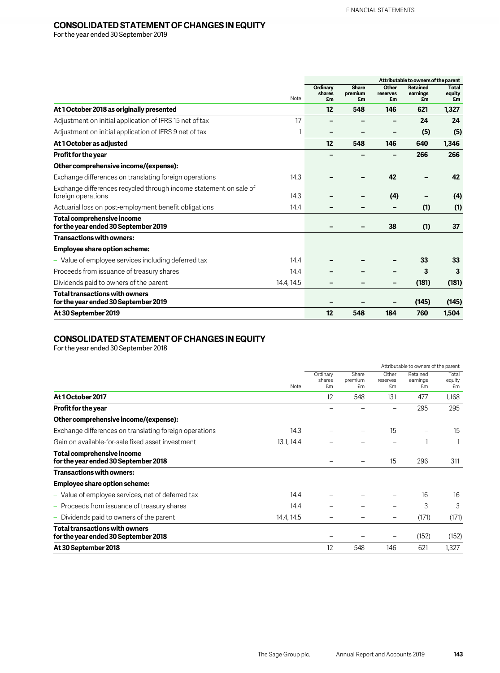# **CONSOLIDATED STATEMENT OF CHANGES IN EQUITY**

For the year ended 30 September 2019

| Note                                                                                            | Ordinary<br>shares<br>£m<br>12 | Share<br>premium<br>£m | Other<br>reserves<br>£m | Retained<br>earnings | Total<br>equity |
|-------------------------------------------------------------------------------------------------|--------------------------------|------------------------|-------------------------|----------------------|-----------------|
|                                                                                                 |                                |                        |                         |                      |                 |
|                                                                                                 |                                |                        |                         | £m                   | £m              |
| At 1 October 2018 as originally presented                                                       |                                | 548                    | 146                     | 621                  | 1,327           |
| 17<br>Adjustment on initial application of IFRS 15 net of tax                                   |                                |                        |                         | 24                   | 24              |
| Adjustment on initial application of IFRS 9 net of tax<br>1                                     |                                |                        |                         | (5)                  | (5)             |
| At 1 October as adjusted                                                                        | 12                             | 548                    | 146                     | 640                  | 1,346           |
| <b>Profit for the year</b>                                                                      |                                |                        |                         | 266                  | 266             |
| Other comprehensive income/(expense):                                                           |                                |                        |                         |                      |                 |
| Exchange differences on translating foreign operations<br>14.3                                  |                                |                        | 42                      |                      | 42              |
| Exchange differences recycled through income statement on sale of<br>14.3<br>foreign operations |                                |                        | (4)                     |                      | (4)             |
| Actuarial loss on post-employment benefit obligations<br>14.4                                   |                                |                        |                         | (1)                  | (1)             |
| Total comprehensive income<br>for the year ended 30 September 2019                              |                                |                        | 38                      | (1)                  | 37              |
| Transactions with owners:                                                                       |                                |                        |                         |                      |                 |
| Employee share option scheme:                                                                   |                                |                        |                         |                      |                 |
| - Value of employee services including deferred tax<br>14.4                                     |                                |                        |                         | 33                   | 33              |
| Proceeds from issuance of treasury shares<br>14.4                                               |                                |                        |                         | 3                    | 3               |
| Dividends paid to owners of the parent<br>14.4, 14.5                                            |                                |                        |                         | (181)                | (181)           |
| <b>Total transactions with owners</b><br>for the year ended 30 September 2019                   |                                |                        |                         | (145)                | (145)           |
| At 30 September 2019                                                                            | 12                             | 548                    | 184                     | 760                  | 1.504           |

# **CONSOLIDATED STATEMENT OF CHANGES IN EQUITY**

For the year ended 30 September 2018

|                                                                               |            |                    |                  |                   | Attributable to owners of the parent |                 |
|-------------------------------------------------------------------------------|------------|--------------------|------------------|-------------------|--------------------------------------|-----------------|
|                                                                               |            | Ordinary<br>shares | Share<br>premium | Other<br>reserves | Retained<br>earnings                 | Total<br>equity |
|                                                                               | Note       | £m                 | £m               | £m                | £m                                   | £m              |
| At 1 October 2017                                                             |            | 12                 | 548              | 131               | 477                                  | 1,168           |
| <b>Profit for the year</b>                                                    |            |                    |                  |                   | 295                                  | 295             |
| Other comprehensive income/(expense):                                         |            |                    |                  |                   |                                      |                 |
| Exchange differences on translating foreign operations                        | 14.3       |                    |                  | 15                |                                      | 15              |
| Gain on available-for-sale fixed asset investment                             | 13.1, 14.4 |                    |                  |                   |                                      |                 |
| Total comprehensive income<br>for the year ended 30 September 2018            |            |                    |                  | 15                | 296                                  | 311             |
| <b>Transactions with owners:</b>                                              |            |                    |                  |                   |                                      |                 |
| Employee share option scheme:                                                 |            |                    |                  |                   |                                      |                 |
| - Value of employee services, net of deferred tax                             | 14.4       |                    |                  |                   | 16                                   | 16              |
| Proceeds from issuance of treasury shares                                     | 14.4       |                    |                  |                   | 3                                    | 3               |
| Dividends paid to owners of the parent                                        | 14.4, 14.5 |                    |                  |                   | (171)                                | (171)           |
| <b>Total transactions with owners</b><br>for the year ended 30 September 2018 |            |                    |                  |                   | (152)                                | (152)           |
| At 30 September 2018                                                          |            | 12                 | 548              | 146               | 621                                  | 1,327           |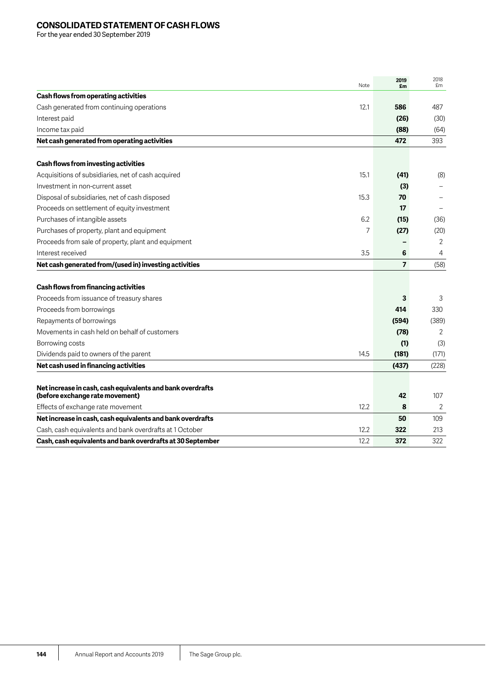# **CONSOLIDATED STATEMENT OF CASH FLOWS**

For the year ended 30 September 2019

|                                                                                               | Note | 2019<br>£m     | 2018<br>£m     |
|-----------------------------------------------------------------------------------------------|------|----------------|----------------|
| Cash flows from operating activities                                                          |      |                |                |
| Cash generated from continuing operations                                                     | 12.1 | 586            | 487            |
| Interest paid                                                                                 |      | (26)           | (30)           |
| Income tax paid                                                                               |      | (88)           | (64)           |
| Net cash generated from operating activities                                                  |      | 472            | 393            |
| Cash flows from investing activities                                                          |      |                |                |
| Acquisitions of subsidiaries, net of cash acquired                                            | 15.1 | (41)           | (8)            |
| Investment in non-current asset                                                               |      | (3)            |                |
| Disposal of subsidiaries, net of cash disposed                                                | 15.3 | 70             |                |
| Proceeds on settlement of equity investment                                                   |      | 17             |                |
| Purchases of intangible assets                                                                | 6.2  | (15)           | (36)           |
| Purchases of property, plant and equipment                                                    | 7    | (27)           | (20)           |
| Proceeds from sale of property, plant and equipment                                           |      |                | $\overline{2}$ |
| Interest received                                                                             | 3.5  | 6              | 4              |
| Net cash generated from/(used in) investing activities                                        |      | $\overline{7}$ | (58)           |
| Cash flows from financing activities                                                          |      |                |                |
| Proceeds from issuance of treasury shares                                                     |      | 3              | 3              |
| Proceeds from borrowings                                                                      |      | 414            | 330            |
| Repayments of borrowings                                                                      |      | (594)          | (389)          |
| Movements in cash held on behalf of customers                                                 |      | (78)           | 2              |
| Borrowing costs                                                                               |      | (1)            | (3)            |
| Dividends paid to owners of the parent                                                        | 14.5 | (181)          | (171)          |
| Net cash used in financing activities                                                         |      | (437)          | (228)          |
| Net increase in cash, cash equivalents and bank overdrafts<br>(before exchange rate movement) |      | 42             | 107            |
| Effects of exchange rate movement                                                             | 12.2 | 8              | 2              |
| Net increase in cash, cash equivalents and bank overdrafts                                    |      | 50             | 109            |
| Cash, cash equivalents and bank overdrafts at 1 October                                       | 12.2 | 322            | 213            |
| Cash, cash equivalents and bank overdrafts at 30 September                                    | 12.2 | 372            | 322            |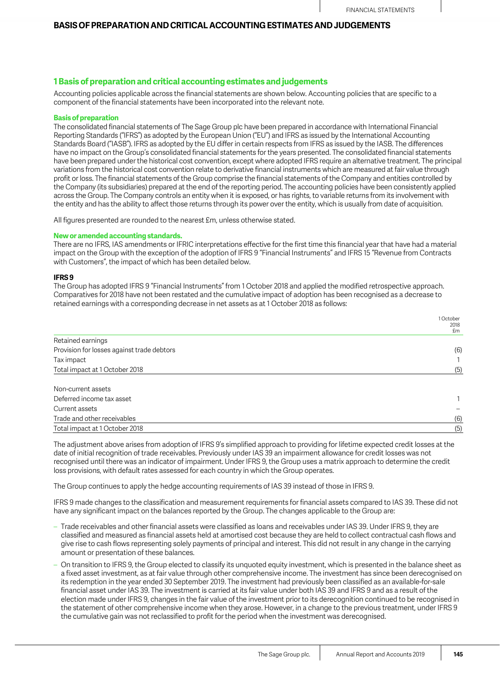## **BASIS OF PREPARATION AND CRITICAL ACCOUNTING ESTIMATES AND JUDGEMENTS**

### **1 Basis of preparation and critical accounting estimates and judgements**

Accounting policies applicable across the financial statements are shown below. Accounting policies that are specific to a component of the financial statements have been incorporated into the relevant note.

#### **Basis of preparation**

The consolidated financial statements of The Sage Group plc have been prepared in accordance with International Financial Reporting Standards ("IFRS") as adopted by the European Union ("EU") and IFRS as issued by the International Accounting Standards Board ("IASB"). IFRS as adopted by the EU differ in certain respects from IFRS as issued by the IASB. The differences have no impact on the Group's consolidated financial statements for the years presented. The consolidated financial statements have been prepared under the historical cost convention, except where adopted IFRS require an alternative treatment. The principal variations from the historical cost convention relate to derivative financial instruments which are measured at fair value through profit or loss. The financial statements of the Group comprise the financial statements of the Company and entities controlled by the Company (its subsidiaries) prepared at the end of the reporting period. The accounting policies have been consistently applied across the Group. The Company controls an entity when it is exposed, or has rights, to variable returns from its involvement with the entity and has the ability to affect those returns through its power over the entity, which is usually from date of acquisition.

All figures presented are rounded to the nearest £m, unless otherwise stated.

#### **New or amended accounting standards.**

There are no IFRS, IAS amendments or IFRIC interpretations effective for the first time this financial year that have had a material impact on the Group with the exception of the adoption of IFRS 9 "Financial Instruments" and IFRS 15 "Revenue from Contracts with Customers", the impact of which has been detailed below.

### **IFRS 9**

The Group has adopted IFRS 9 "Financial Instruments" from 1 October 2018 and applied the modified retrospective approach. Comparatives for 2018 have not been restated and the cumulative impact of adoption has been recognised as a decrease to retained earnings with a corresponding decrease in net assets as at 1 October 2018 as follows:

|                                            | 1 October<br>2018 |
|--------------------------------------------|-------------------|
|                                            | £m                |
| Retained earnings                          |                   |
| Provision for losses against trade debtors | (6)               |
| Tax impact                                 |                   |
| Total impact at 1 October 2018             | (5)               |
| Non-current assets                         |                   |
| Deferred income tax asset                  |                   |
|                                            |                   |
| Current assets                             |                   |
| Trade and other receivables                | (6)               |
| Total impact at 1 October 2018             | (5)               |

The adjustment above arises from adoption of IFRS 9's simplified approach to providing for lifetime expected credit losses at the date of initial recognition of trade receivables. Previously under IAS 39 an impairment allowance for credit losses was not recognised until there was an indicator of impairment. Under IFRS 9, the Group uses a matrix approach to determine the credit loss provisions, with default rates assessed for each country in which the Group operates.

The Group continues to apply the hedge accounting requirements of IAS 39 instead of those in IFRS 9.

IFRS 9 made changes to the classification and measurement requirements for financial assets compared to IAS 39. These did not have any significant impact on the balances reported by the Group. The changes applicable to the Group are:

- Trade receivables and other financial assets were classified as loans and receivables under IAS 39. Under IFRS 9, they are classified and measured as financial assets held at amortised cost because they are held to collect contractual cash flows and give rise to cash flows representing solely payments of principal and interest. This did not result in any change in the carrying amount or presentation of these balances.
- On transition to IFRS 9, the Group elected to classify its unquoted equity investment, which is presented in the balance sheet as a fixed asset investment, as at fair value through other comprehensive income. The investment has since been derecognised on its redemption in the year ended 30 September 2019. The investment had previously been classified as an available-for-sale financial asset under IAS 39. The investment is carried at its fair value under both IAS 39 and IFRS 9 and as a result of the election made under IFRS 9, changes in the fair value of the investment prior to its derecognition continued to be recognised in the statement of other comprehensive income when they arose. However, in a change to the previous treatment, under IFRS 9 the cumulative gain was not reclassified to profit for the period when the investment was derecognised.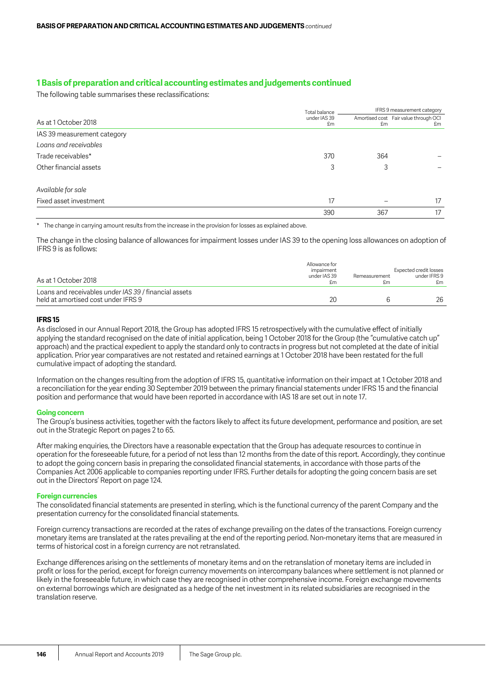# **1 Basis of preparation and critical accounting estimates and judgements continued**

The following table summarises these reclassifications:

|                             | Total balance      | IFRS 9 measurement category |                                             |  |  |
|-----------------------------|--------------------|-----------------------------|---------------------------------------------|--|--|
| As at 1 October 2018        | under IAS 39<br>£m | £m                          | Amortised cost Fair value through OCI<br>£m |  |  |
| IAS 39 measurement category |                    |                             |                                             |  |  |
| Loans and receivables       |                    |                             |                                             |  |  |
| Trade receivables*          | 370                | 364                         |                                             |  |  |
| Other financial assets      | 3                  | 3                           |                                             |  |  |
| Available for sale          |                    |                             |                                             |  |  |
| Fixed asset investment      | 17                 |                             | 17                                          |  |  |
|                             | 390                | 367                         | 17                                          |  |  |

The change in carrying amount results from the increase in the provision for losses as explained above.

The change in the closing balance of allowances for impairment losses under IAS 39 to the opening loss allowances on adoption of IFRS 9 is as follows:

| As at 1 October 2018                                                                         | Allowance for<br>impairment<br>under IAS 39<br>£m | Remeasurement<br>£m | Expected credit losses<br>under IFRS 9<br>£m |
|----------------------------------------------------------------------------------------------|---------------------------------------------------|---------------------|----------------------------------------------|
| Loans and receivables under IAS 39 / financial assets<br>held at amortised cost under IFRS 9 | 20                                                |                     | 26                                           |

### **IFRS 15**

As disclosed in our Annual Report 2018, the Group has adopted IFRS 15 retrospectively with the cumulative effect of initially applying the standard recognised on the date of initial application, being 1 October 2018 for the Group (the "cumulative catch up" approach) and the practical expedient to apply the standard only to contracts in progress but not completed at the date of initial application. Prior year comparatives are not restated and retained earnings at 1 October 2018 have been restated for the full cumulative impact of adopting the standard.

Information on the changes resulting from the adoption of IFRS 15, quantitative information on their impact at 1 October 2018 and a reconciliation for the year ending 30 September 2019 between the primary financial statements under IFRS 15 and the financial position and performance that would have been reported in accordance with IAS 18 are set out in note 17.

#### **Going concern**

The Group's business activities, together with the factors likely to affect its future development, performance and position, are set out in the Strategic Report on pages 2 to 65.

After making enquiries, the Directors have a reasonable expectation that the Group has adequate resources to continue in operation for the foreseeable future, for a period of not less than 12 months from the date of this report. Accordingly, they continue to adopt the going concern basis in preparing the consolidated financial statements, in accordance with those parts of the Companies Act 2006 applicable to companies reporting under IFRS. Further details for adopting the going concern basis are set out in the Directors' Report on page 124.

#### **Foreign currencies**

The consolidated financial statements are presented in sterling, which is the functional currency of the parent Company and the presentation currency for the consolidated financial statements.

Foreign currency transactions are recorded at the rates of exchange prevailing on the dates of the transactions. Foreign currency monetary items are translated at the rates prevailing at the end of the reporting period. Non-monetary items that are measured in terms of historical cost in a foreign currency are not retranslated.

Exchange differences arising on the settlements of monetary items and on the retranslation of monetary items are included in profit or loss for the period, except for foreign currency movements on intercompany balances where settlement is not planned or likely in the foreseeable future, in which case they are recognised in other comprehensive income. Foreign exchange movements on external borrowings which are designated as a hedge of the net investment in its related subsidiaries are recognised in the translation reserve.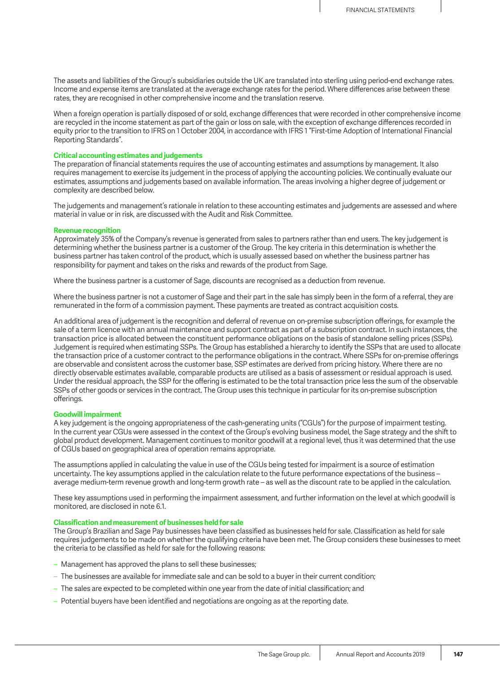The assets and liabilities of the Group's subsidiaries outside the UK are translated into sterling using period-end exchange rates. Income and expense items are translated at the average exchange rates for the period. Where differences arise between these rates, they are recognised in other comprehensive income and the translation reserve.

When a foreign operation is partially disposed of or sold, exchange differences that were recorded in other comprehensive income are recycled in the income statement as part of the gain or loss on sale, with the exception of exchange differences recorded in equity prior to the transition to IFRS on 1 October 2004, in accordance with IFRS 1 "First-time Adoption of International Financial Reporting Standards".

#### **Critical accounting estimates and judgements**

The preparation of financial statements requires the use of accounting estimates and assumptions by management. It also requires management to exercise its judgement in the process of applying the accounting policies. We continually evaluate our estimates, assumptions and judgements based on available information. The areas involving a higher degree of judgement or complexity are described below.

The judgements and management's rationale in relation to these accounting estimates and judgements are assessed and where material in value or in risk, are discussed with the Audit and Risk Committee.

#### **Revenue recognition**

Approximately 35% of the Company's revenue is generated from sales to partners rather than end users. The key judgement is determining whether the business partner is a customer of the Group. The key criteria in this determination is whether the business partner has taken control of the product, which is usually assessed based on whether the business partner has responsibility for payment and takes on the risks and rewards of the product from Sage.

Where the business partner is a customer of Sage, discounts are recognised as a deduction from revenue.

Where the business partner is not a customer of Sage and their part in the sale has simply been in the form of a referral, they are remunerated in the form of a commission payment. These payments are treated as contract acquisition costs.

An additional area of judgement is the recognition and deferral of revenue on on-premise subscription offerings, for example the sale of a term licence with an annual maintenance and support contract as part of a subscription contract. In such instances, the transaction price is allocated between the constituent performance obligations on the basis of standalone selling prices (SSPs). Judgement is required when estimating SSPs. The Group has established a hierarchy to identify the SSPs that are used to allocate the transaction price of a customer contract to the performance obligations in the contract. Where SSPs for on-premise offerings are observable and consistent across the customer base, SSP estimates are derived from pricing history. Where there are no directly observable estimates available, comparable products are utilised as a basis of assessment or residual approach is used. Under the residual approach, the SSP for the offering is estimated to be the total transaction price less the sum of the observable SSPs of other goods or services in the contract. The Group uses this technique in particular for its on-premise subscription offerings.

#### **Goodwill impairment**

A key judgement is the ongoing appropriateness of the cash-generating units ("CGUs") for the purpose of impairment testing. In the current year CGUs were assessed in the context of the Group's evolving business model, the Sage strategy and the shift to global product development. Management continues to monitor goodwill at a regional level, thus it was determined that the use of CGUs based on geographical area of operation remains appropriate.

The assumptions applied in calculating the value in use of the CGUs being tested for impairment is a source of estimation uncertainty. The key assumptions applied in the calculation relate to the future performance expectations of the business – average medium-term revenue growth and long-term growth rate – as well as the discount rate to be applied in the calculation.

These key assumptions used in performing the impairment assessment, and further information on the level at which goodwill is monitored, are disclosed in note 6.1.

#### **Classification and measurement of businesses held for sale**

The Group's Brazilian and Sage Pay businesses have been classified as businesses held for sale. Classification as held for sale requires judgements to be made on whether the qualifying criteria have been met. The Group considers these businesses to meet the criteria to be classified as held for sale for the following reasons:

- Management has approved the plans to sell these businesses;
- The businesses are available for immediate sale and can be sold to a buyer in their current condition;
- The sales are expected to be completed within one year from the date of initial classification; and
- Potential buyers have been identified and negotiations are ongoing as at the reporting date.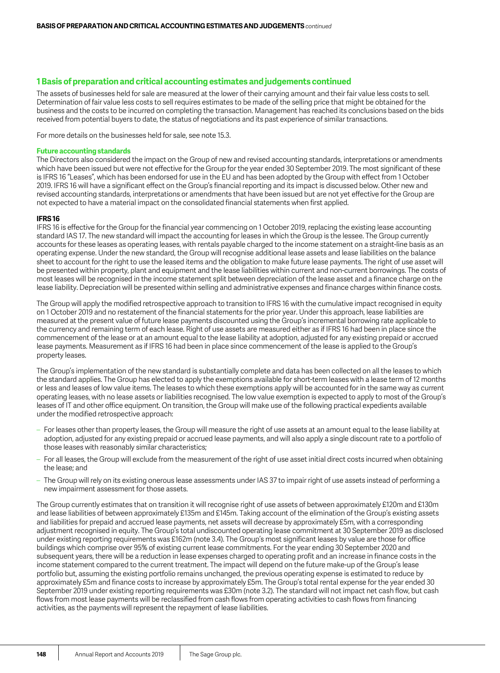### **1 Basis of preparation and critical accounting estimates and judgements continued**

The assets of businesses held for sale are measured at the lower of their carrying amount and their fair value less costs to sell. Determination of fair value less costs to sell requires estimates to be made of the selling price that might be obtained for the business and the costs to be incurred on completing the transaction. Management has reached its conclusions based on the bids received from potential buyers to date, the status of negotiations and its past experience of similar transactions.

For more details on the businesses held for sale, see note 15.3.

#### **Future accounting standards**

The Directors also considered the impact on the Group of new and revised accounting standards, interpretations or amendments which have been issued but were not effective for the Group for the year ended 30 September 2019. The most significant of these is IFRS 16 "Leases", which has been endorsed for use in the EU and has been adopted by the Group with effect from 1 October 2019. IFRS 16 will have a significant effect on the Group's financial reporting and its impact is discussed below. Other new and revised accounting standards, interpretations or amendments that have been issued but are not yet effective for the Group are not expected to have a material impact on the consolidated financial statements when first applied.

#### **IFRS 16**

IFRS 16 is effective for the Group for the financial year commencing on 1 October 2019, replacing the existing lease accounting standard IAS 17. The new standard will impact the accounting for leases in which the Group is the lessee. The Group currently accounts for these leases as operating leases, with rentals payable charged to the income statement on a straight-line basis as an operating expense. Under the new standard, the Group will recognise additional lease assets and lease liabilities on the balance sheet to account for the right to use the leased items and the obligation to make future lease payments. The right of use asset will be presented within property, plant and equipment and the lease liabilities within current and non-current borrowings. The costs of most leases will be recognised in the income statement split between depreciation of the lease asset and a finance charge on the lease liability. Depreciation will be presented within selling and administrative expenses and finance charges within finance costs.

The Group will apply the modified retrospective approach to transition to IFRS 16 with the cumulative impact recognised in equity on 1 October 2019 and no restatement of the financial statements for the prior year. Under this approach, lease liabilities are measured at the present value of future lease payments discounted using the Group's incremental borrowing rate applicable to the currency and remaining term of each lease. Right of use assets are measured either as if IFRS 16 had been in place since the commencement of the lease or at an amount equal to the lease liability at adoption, adjusted for any existing prepaid or accrued lease payments. Measurement as if IFRS 16 had been in place since commencement of the lease is applied to the Group's property leases.

The Group's implementation of the new standard is substantially complete and data has been collected on all the leases to which the standard applies. The Group has elected to apply the exemptions available for short-term leases with a lease term of 12 months or less and leases of low value items. The leases to which these exemptions apply will be accounted for in the same way as current operating leases, with no lease assets or liabilities recognised. The low value exemption is expected to apply to most of the Group's leases of IT and other office equipment. On transition, the Group will make use of the following practical expedients available under the modified retrospective approach:

- For leases other than property leases, the Group will measure the right of use assets at an amount equal to the lease liability at adoption, adjusted for any existing prepaid or accrued lease payments, and will also apply a single discount rate to a portfolio of those leases with reasonably similar characteristics;
- For all leases, the Group will exclude from the measurement of the right of use asset initial direct costs incurred when obtaining the lease; and
- The Group will rely on its existing onerous lease assessments under IAS 37 to impair right of use assets instead of performing a new impairment assessment for those assets.

The Group currently estimates that on transition it will recognise right of use assets of between approximately £120m and £130m and lease liabilities of between approximately £135m and £145m. Taking account of the elimination of the Group's existing assets and liabilities for prepaid and accrued lease payments, net assets will decrease by approximately £5m, with a corresponding adjustment recognised in equity. The Group's total undiscounted operating lease commitment at 30 September 2019 as disclosed under existing reporting requirements was £162m (note 3.4). The Group's most significant leases by value are those for office buildings which comprise over 95% of existing current lease commitments. For the year ending 30 September 2020 and subsequent years, there will be a reduction in lease expenses charged to operating profit and an increase in finance costs in the income statement compared to the current treatment. The impact will depend on the future make-up of the Group's lease portfolio but, assuming the existing portfolio remains unchanged, the previous operating expense is estimated to reduce by approximately £5m and finance costs to increase by approximately £5m. The Group's total rental expense for the year ended 30 September 2019 under existing reporting requirements was £30m (note 3.2). The standard will not impact net cash flow, but cash flows from most lease payments will be reclassified from cash flows from operating activities to cash flows from financing activities, as the payments will represent the repayment of lease liabilities.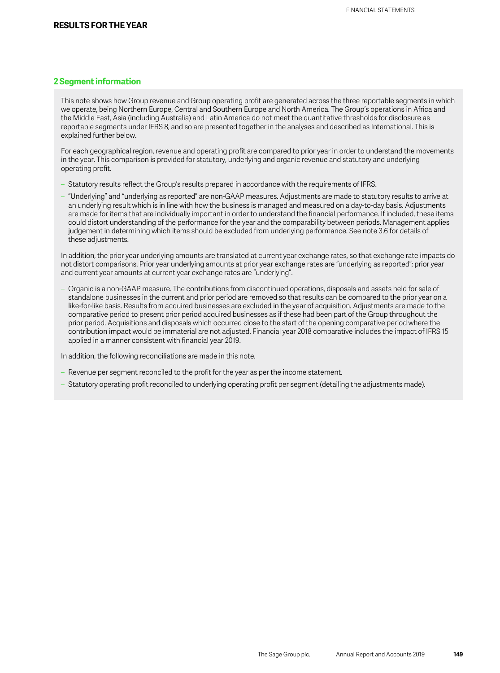## **2 Segment information**

This note shows how Group revenue and Group operating profit are generated across the three reportable segments in which we operate, being Northern Europe, Central and Southern Europe and North America. The Group's operations in Africa and the Middle East, Asia (including Australia) and Latin America do not meet the quantitative thresholds for disclosure as reportable segments under IFRS 8, and so are presented together in the analyses and described as International. This is explained further below.

For each geographical region, revenue and operating profit are compared to prior year in order to understand the movements in the year. This comparison is provided for statutory, underlying and organic revenue and statutory and underlying operating profit.

- Statutory results reflect the Group's results prepared in accordance with the requirements of IFRS.
- "Underlying" and "underlying as reported" are non-GAAP measures. Adjustments are made to statutory results to arrive at an underlying result which is in line with how the business is managed and measured on a day-to-day basis. Adjustments are made for items that are individually important in order to understand the financial performance. If included, these items could distort understanding of the performance for the year and the comparability between periods. Management applies judgement in determining which items should be excluded from underlying performance. See note 3.6 for details of these adjustments.

In addition, the prior year underlying amounts are translated at current year exchange rates, so that exchange rate impacts do not distort comparisons. Prior year underlying amounts at prior year exchange rates are "underlying as reported"; prior year and current year amounts at current year exchange rates are "underlying".

– Organic is a non-GAAP measure. The contributions from discontinued operations, disposals and assets held for sale of standalone businesses in the current and prior period are removed so that results can be compared to the prior year on a like-for-like basis. Results from acquired businesses are excluded in the year of acquisition. Adjustments are made to the comparative period to present prior period acquired businesses as if these had been part of the Group throughout the prior period. Acquisitions and disposals which occurred close to the start of the opening comparative period where the contribution impact would be immaterial are not adjusted. Financial year 2018 comparative includes the impact of IFRS 15 applied in a manner consistent with financial year 2019.

In addition, the following reconciliations are made in this note.

- Revenue per segment reconciled to the profit for the year as per the income statement.
- Statutory operating profit reconciled to underlying operating profit per segment (detailing the adjustments made).

149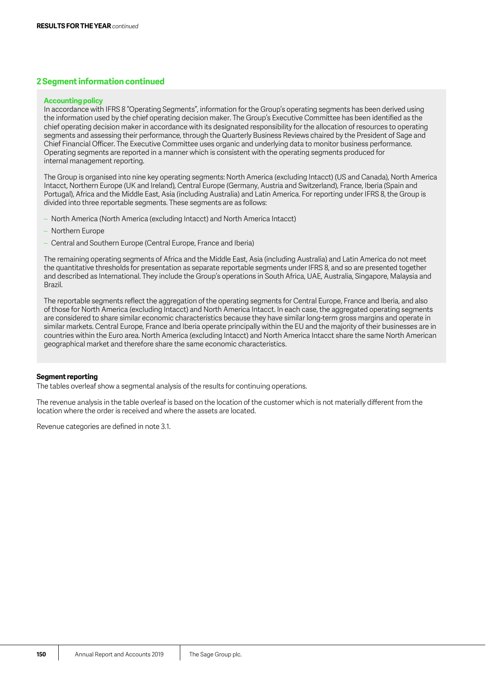### **2 Segment information continued**

#### **Accounting policy**

In accordance with IFRS 8 "Operating Segments", information for the Group's operating segments has been derived using the information used by the chief operating decision maker. The Group's Executive Committee has been identified as the chief operating decision maker in accordance with its designated responsibility for the allocation of resources to operating segments and assessing their performance, through the Quarterly Business Reviews chaired by the President of Sage and Chief Financial Officer. The Executive Committee uses organic and underlying data to monitor business performance. Operating segments are reported in a manner which is consistent with the operating segments produced for internal management reporting.

The Group is organised into nine key operating segments: North America (excluding Intacct) (US and Canada), North America Intacct, Northern Europe (UK and Ireland), Central Europe (Germany, Austria and Switzerland), France, Iberia (Spain and Portugal), Africa and the Middle East, Asia (including Australia) and Latin America. For reporting under IFRS 8, the Group is divided into three reportable segments. These segments are as follows:

- North America (North America (excluding Intacct) and North America Intacct)
- Northern Europe
- Central and Southern Europe (Central Europe, France and Iberia)

The remaining operating segments of Africa and the Middle East, Asia (including Australia) and Latin America do not meet the quantitative thresholds for presentation as separate reportable segments under IFRS 8, and so are presented together and described as International. They include the Group's operations in South Africa, UAE, Australia, Singapore, Malaysia and Brazil.

The reportable segments reflect the aggregation of the operating segments for Central Europe, France and Iberia, and also of those for North America (excluding Intacct) and North America Intacct. In each case, the aggregated operating segments are considered to share similar economic characteristics because they have similar long-term gross margins and operate in similar markets. Central Europe, France and Iberia operate principally within the EU and the majority of their businesses are in countries within the Euro area. North America (excluding Intacct) and North America Intacct share the same North American geographical market and therefore share the same economic characteristics.

#### **Segment reporting**

The tables overleaf show a segmental analysis of the results for continuing operations.

The revenue analysis in the table overleaf is based on the location of the customer which is not materially different from the location where the order is received and where the assets are located.

Revenue categories are defined in note 3.1.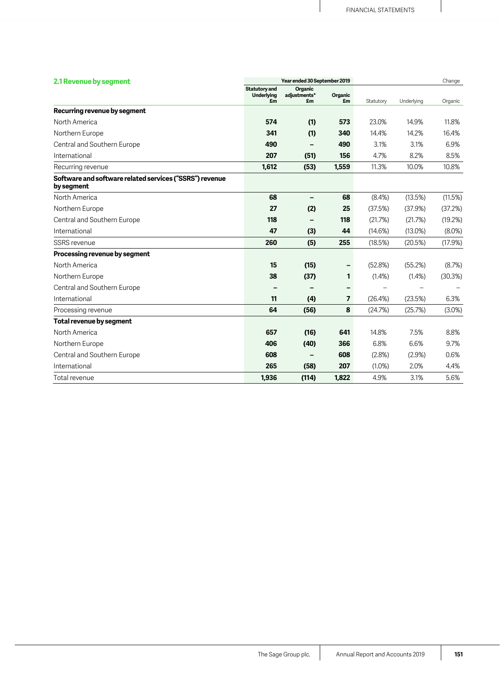| 2.1 Revenue by segment                                                |                                          | Year ended 30 September 2019  |                |           |            |           |  |
|-----------------------------------------------------------------------|------------------------------------------|-------------------------------|----------------|-----------|------------|-----------|--|
|                                                                       | Statutory and<br><b>Underlying</b><br>£m | Organic<br>adjustments*<br>£m | Organic<br>£m  | Statutory | Underlying | Organic   |  |
| Recurring revenue by segment                                          |                                          |                               |                |           |            |           |  |
| North America                                                         | 574                                      | (1)                           | 573            | 23.0%     | 14.9%      | 11.8%     |  |
| Northern Europe                                                       | 341                                      | (1)                           | 340            | 14.4%     | 14.2%      | 16.4%     |  |
| Central and Southern Europe                                           | 490                                      | $\overline{\phantom{0}}$      | 490            | 3.1%      | 3.1%       | 6.9%      |  |
| International                                                         | 207                                      | (51)                          | 156            | 4.7%      | 8.2%       | 8.5%      |  |
| Recurring revenue                                                     | 1,612                                    | (53)                          | 1,559          | 11.3%     | 10.0%      | 10.8%     |  |
| Software and software related services ("SSRS") revenue<br>by segment |                                          |                               |                |           |            |           |  |
| North America                                                         | 68                                       | -                             | 68             | $(8.4\%)$ | (13.5%)    | (11.5%)   |  |
| Northern Europe                                                       | 27                                       | (2)                           | 25             | (37.5%)   | (37.9%)    | (37.2%)   |  |
| Central and Southern Europe                                           | 118                                      |                               | 118            | (21.7%)   | (21.7%)    | (19.2%)   |  |
| International                                                         | 47                                       | (3)                           | 44             | (14.6%)   | $(13.0\%)$ | (8.0%)    |  |
| <b>SSRS</b> revenue                                                   | 260                                      | (5)                           | 255            | (18.5%)   | (20.5%)    | (17.9%)   |  |
| Processing revenue by segment                                         |                                          |                               |                |           |            |           |  |
| North America                                                         | 15                                       | (15)                          |                | (52.8%)   | (55.2%)    | (8.7%)    |  |
| Northern Europe                                                       | 38                                       | (37)                          | 1              | (1.4% )   | $(1.4\%)$  | (30.3%)   |  |
| Central and Southern Europe                                           |                                          | -                             |                |           |            |           |  |
| International                                                         | 11                                       | (4)                           | $\overline{7}$ | (26.4%)   | (23.5%)    | 6.3%      |  |
| Processing revenue                                                    | 64                                       | (56)                          | 8              | (24.7%)   | (25.7%)    | $(3.0\%)$ |  |
| Total revenue by segment                                              |                                          |                               |                |           |            |           |  |
| North America                                                         | 657                                      | (16)                          | 641            | 14.8%     | 7.5%       | 8.8%      |  |
| Northern Europe                                                       | 406                                      | (40)                          | 366            | 6.8%      | 6.6%       | 9.7%      |  |
| Central and Southern Europe                                           | 608                                      |                               | 608            | $(2.8\%)$ | (2.9%)     | 0.6%      |  |
| International                                                         | 265                                      | (58)                          | 207            | $(1.0\%)$ | 2.0%       | 4.4%      |  |
| Total revenue                                                         | 1,936                                    | (114)                         | 1,822          | 4.9%      | 3.1%       | 5.6%      |  |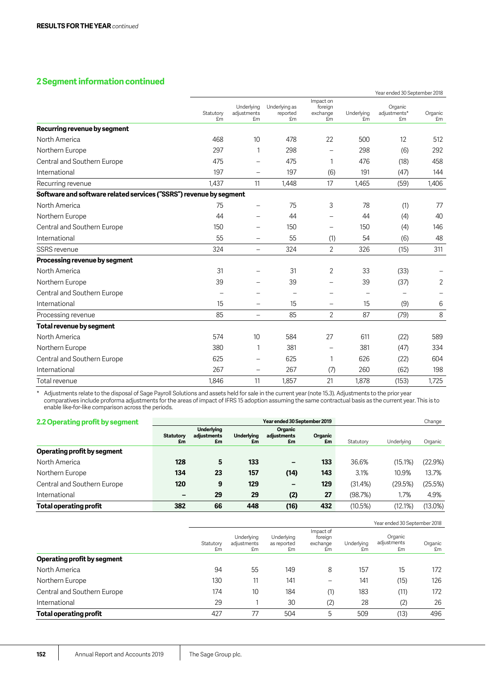# **2 Segment information continued**

|                                                                    | Year ended 30 September 2018 |                                 |                                  |                                        |                  |                               |               |
|--------------------------------------------------------------------|------------------------------|---------------------------------|----------------------------------|----------------------------------------|------------------|-------------------------------|---------------|
|                                                                    | Statutory<br>£m              | Underlying<br>adjustments<br>£m | Underlying as<br>reported<br>f.m | Impact on<br>foreign<br>exchange<br>£m | Underlying<br>£m | Organic<br>adjustments*<br>£m | Organic<br>£m |
| Recurring revenue by segment                                       |                              |                                 |                                  |                                        |                  |                               |               |
| North America                                                      | 468                          | 10                              | 478                              | 22                                     | 500              | 12                            | 512           |
| Northern Europe                                                    | 297                          | $\mathbf{1}$                    | 298                              |                                        | 298              | (6)                           | 292           |
| Central and Southern Europe                                        | 475                          | $\overline{\phantom{0}}$        | 475                              | 1                                      | 476              | (18)                          | 458           |
| International                                                      | 197                          | $\overline{\phantom{a}}$        | 197                              | (6)                                    | 191              | (47)                          | 144           |
| Recurring revenue                                                  | 1.437                        | 11                              | 1,448                            | 17                                     | 1,465            | (59)                          | 1,406         |
| Software and software related services ("SSRS") revenue by segment |                              |                                 |                                  |                                        |                  |                               |               |
| North America                                                      | 75                           | $\overline{\phantom{0}}$        | 75                               | 3                                      | 78               | (1)                           | 77            |
| Northern Europe                                                    | 44                           |                                 | 44                               |                                        | 44               | (4)                           | 40            |
| Central and Southern Europe                                        | 150                          |                                 | 150                              | -                                      | 150              | (4)                           | 146           |
| International                                                      | 55                           | $\overline{a}$                  | 55                               | (1)                                    | 54               | (6)                           | 48            |
| <b>SSRS</b> revenue                                                | 324                          | $\overline{\phantom{m}}$        | 324                              | $\overline{2}$                         | 326              | (15)                          | 311           |
| Processing revenue by segment                                      |                              |                                 |                                  |                                        |                  |                               |               |
| North America                                                      | 31                           |                                 | 31                               | 2                                      | 33               | (33)                          |               |
| Northern Europe                                                    | 39                           | $\overline{\phantom{0}}$        | 39                               |                                        | 39               | (37)                          | 2             |
| Central and Southern Europe                                        |                              |                                 | $\overline{\phantom{0}}$         |                                        | ۰                |                               |               |
| International                                                      | 15                           |                                 | 15                               |                                        | 15               | (9)                           | 6             |
| Processing revenue                                                 | 85                           | $\overline{\phantom{0}}$        | 85                               | 2                                      | 87               | (79)                          | 8             |
| Total revenue by segment                                           |                              |                                 |                                  |                                        |                  |                               |               |
| North America                                                      | 574                          | 10                              | 584                              | 27                                     | 611              | (22)                          | 589           |
| Northern Europe                                                    | 380                          | 1                               | 381                              | $\overline{\phantom{0}}$               | 381              | (47)                          | 334           |
| Central and Southern Europe                                        | 625                          | $\overline{\phantom{a}}$        | 625                              | 1                                      | 626              | (22)                          | 604           |
| International                                                      | 267                          | $\overline{\phantom{0}}$        | 267                              | (7)                                    | 260              | (62)                          | 198           |
| Total revenue                                                      | 1,846                        | 11                              | 1,857                            | 21                                     | 1.878            | (153)                         | 1,725         |

Adjustments relate to the disposal of Sage Payroll Solutions and assets held for sale in the current year (note 15.3). Adjustments to the prior year \*<br>comparatives include proforma adjustments for the areas of impact of IF enable like-for-like comparison across the periods.

| 2.2 Operating profit by segment | Year ended 30 September 2019 |                                        |                         |                              |               |           |            | Change     |
|---------------------------------|------------------------------|----------------------------------------|-------------------------|------------------------------|---------------|-----------|------------|------------|
|                                 | <b>Statutory</b><br>£m       | <b>Underlying</b><br>adjustments<br>£m | <b>Underlying</b><br>£m | Organic<br>adjustments<br>£m | Organic<br>£m | Statutory | Underlying | Organic    |
| Operating profit by segment     |                              |                                        |                         |                              |               |           |            |            |
| North America                   | 128                          | 5                                      | 133                     | $\overline{\phantom{0}}$     | 133           | 36.6%     | (15.1%)    | (22.9%)    |
| Northern Europe                 | 134                          | 23                                     | 157                     | (14)                         | 143           | 3.1%      | 10.9%      | 13.7%      |
| Central and Southern Europe     | 120                          | 9                                      | 129                     | $\overline{\phantom{0}}$     | 129           | (31.4%)   | (29.5%)    | (25.5%)    |
| International                   |                              | 29                                     | 29                      | (2)                          | 27            | (98.7%)   | 1.7%       | 4.9%       |
| Total operating profit          | 382                          | 66                                     | 448                     | (16)                         | 432           | (10.5%)   | (12.1%)    | $(13.0\%)$ |

|                               |                 | Year ended 30 September 2018    |                                 |                                        |                  |                              |               |  |  |
|-------------------------------|-----------------|---------------------------------|---------------------------------|----------------------------------------|------------------|------------------------------|---------------|--|--|
|                               | Statutory<br>£m | Underlvina<br>adjustments<br>£m | Underlying<br>as reported<br>£m | Impact of<br>foreign<br>exchange<br>£m | Underlying<br>£m | Organic<br>adjustments<br>£m | Organic<br>£m |  |  |
| Operating profit by segment   |                 |                                 |                                 |                                        |                  |                              |               |  |  |
| North America                 | 94              | 55                              | 149                             | 8                                      | 157              | 15                           | 172           |  |  |
| Northern Europe               | 130             | 11                              | 141                             |                                        | 141              | (15)                         | 126           |  |  |
| Central and Southern Europe   | 174             | 10                              | 184                             | (1)                                    | 183              | (11)                         | 172           |  |  |
| International                 | 29              |                                 | 30                              | (2)                                    | 28               | (2)                          | 26            |  |  |
| <b>Total operating profit</b> | 427             | 77                              | 504                             | 5                                      | 509              | (13)                         | 496           |  |  |

Annual Report and Accounts 2019 **The Sage Group plc.**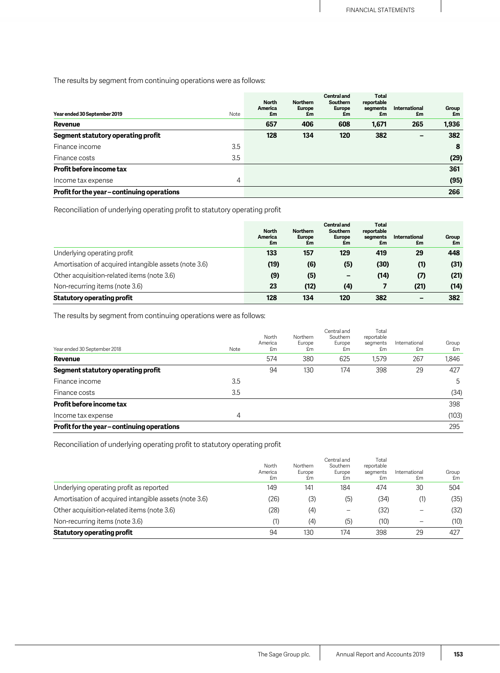The results by segment from continuing operations were as follows:

| Year ended 30 September 2019                | Note | <b>North</b><br>America<br>£m | <b>Northern</b><br><b>Europe</b><br>£m | <b>Central and</b><br><b>Southern</b><br>Europe<br>£m | <b>Total</b><br>reportable<br>segments<br>£m | International<br>£m | Group<br>£m |
|---------------------------------------------|------|-------------------------------|----------------------------------------|-------------------------------------------------------|----------------------------------------------|---------------------|-------------|
| Revenue                                     |      | 657                           | 406                                    | 608                                                   | 1,671                                        | 265                 | 1,936       |
| Segment statutory operating profit          |      | 128                           | 134                                    | 120                                                   | 382                                          |                     | 382         |
| Finance income                              | 3.5  |                               |                                        |                                                       |                                              |                     | 8           |
| Finance costs                               | 3.5  |                               |                                        |                                                       |                                              |                     | (29)        |
| Profit before income tax                    |      |                               |                                        |                                                       |                                              |                     | 361         |
| Income tax expense                          | 4    |                               |                                        |                                                       |                                              |                     | (95)        |
| Profit for the year - continuing operations |      |                               |                                        |                                                       |                                              |                     | 266         |

Reconciliation of underlying operating profit to statutory operating profit

|                                                       | <b>North</b><br>America<br>£m | <b>Northern</b><br>Europe<br>£m | <b>Central and</b><br><b>Southern</b><br><b>Europe</b><br>£m | <b>Total</b><br>reportable<br>segments<br>£m | International<br>£m | Group<br>£m |
|-------------------------------------------------------|-------------------------------|---------------------------------|--------------------------------------------------------------|----------------------------------------------|---------------------|-------------|
| Underlying operating profit                           | 133                           | 157                             | 129                                                          | 419                                          | 29                  | 448         |
| Amortisation of acquired intangible assets (note 3.6) | (19)                          | (6)                             | (5)                                                          | (30)                                         | (1)                 | (31)        |
| Other acquisition-related items (note 3.6)            | (9)                           | (5)                             | $\qquad \qquad \blacksquare$                                 | (14)                                         | (7)                 | (21)        |
| Non-recurring items (note 3.6)                        | 23                            | (12)                            | (4)                                                          |                                              | (21)                | (14)        |
| Statutory operating profit                            | 128                           | 134                             | 120                                                          | 382                                          | -                   | 382         |

The results by segment from continuing operations were as follows:

| Year ended 30 September 2018                | Note | North<br>America<br>£m | Northern<br>Europe<br>£m | Central and<br>Southern<br>Europe<br>£m | Total<br>reportable<br>segments<br>£m | International<br>£m | Group<br>£m |
|---------------------------------------------|------|------------------------|--------------------------|-----------------------------------------|---------------------------------------|---------------------|-------------|
| Revenue                                     |      | 574                    | 380                      | 625                                     | 1.579                                 | 267                 | 1,846       |
| Segment statutory operating profit          |      | 94                     | 130                      | 174                                     | 398                                   | 29                  | 427         |
| Finance income                              | 3.5  |                        |                          |                                         |                                       |                     | 5           |
| Finance costs                               | 3.5  |                        |                          |                                         |                                       |                     | (34)        |
| Profit before income tax                    |      |                        |                          |                                         |                                       |                     | 398         |
| Income tax expense                          | 4    |                        |                          |                                         |                                       |                     | (103)       |
| Profit for the year - continuing operations |      |                        |                          |                                         |                                       |                     | 295         |

Reconciliation of underlying operating profit to statutory operating profit

|                                                       | North<br>America<br>£m | Northern<br>Europe<br>£m | Central and<br>Southern<br>Europe<br>£m | Total<br>reportable<br>segments<br>£m | International<br>£m | Group<br>£m |
|-------------------------------------------------------|------------------------|--------------------------|-----------------------------------------|---------------------------------------|---------------------|-------------|
| Underlying operating profit as reported               | 149                    | 141                      | 184                                     | 474                                   | 30                  | 504         |
| Amortisation of acquired intangible assets (note 3.6) | (26)                   | (3)                      | (5)                                     | (34)                                  | (1)                 | (35)        |
| Other acquisition-related items (note 3.6)            | (28)                   | (4)                      |                                         | (32)                                  |                     | (32)        |
| Non-recurring items (note 3.6)                        | (1)                    | (4)                      | (5)                                     | (10)                                  |                     | (10)        |
| Statutory operating profit                            | 94                     | 130                      | 174                                     | 398                                   | 29                  | 427         |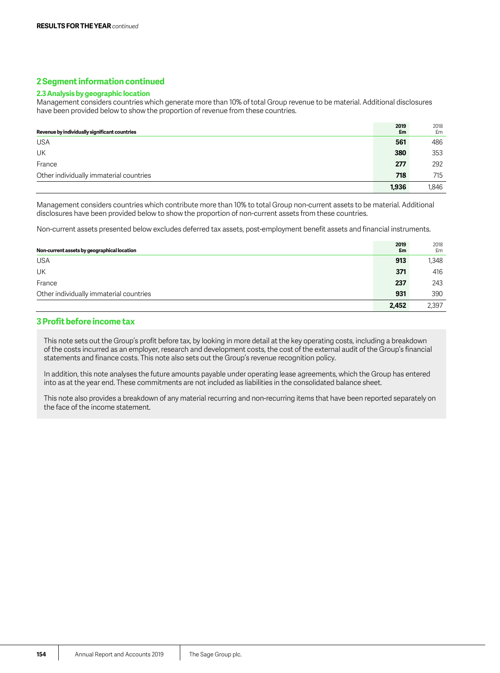## **2 Segment information continued**

### **2.3 Analysis by geographic location**

Management considers countries which generate more than 10% of total Group revenue to be material. Additional disclosures have been provided below to show the proportion of revenue from these countries.

| Revenue by individually significant countries | 2019<br>£m | 2018<br>£m |
|-----------------------------------------------|------------|------------|
| <b>USA</b>                                    | 561        | 486        |
| UK                                            | 380        | 353        |
| France                                        | 277        | 292        |
| Other individually immaterial countries       | 718        | 715        |
|                                               | 1,936      | 1,846      |

Management considers countries which contribute more than 10% to total Group non-current assets to be material. Additional disclosures have been provided below to show the proportion of non-current assets from these countries.

Non-current assets presented below excludes deferred tax assets, post-employment benefit assets and financial instruments.

| Non-current assets by geographical location | 2019<br>£m | 2018<br>£m |
|---------------------------------------------|------------|------------|
| <b>USA</b>                                  | 913        | 1,348      |
| UK                                          | 371        | 416        |
| France                                      | 237        | 243        |
| Other individually immaterial countries     | 931        | 390        |
|                                             | 2,452      | 2,397      |

## **3 Profit before income tax**

This note sets out the Group's profit before tax, by looking in more detail at the key operating costs, including a breakdown of the costs incurred as an employer, research and development costs, the cost of the external audit of the Group's financial statements and finance costs. This note also sets out the Group's revenue recognition policy.

In addition, this note analyses the future amounts payable under operating lease agreements, which the Group has entered into as at the year end. These commitments are not included as liabilities in the consolidated balance sheet.

This note also provides a breakdown of any material recurring and non-recurring items that have been reported separately on the face of the income statement.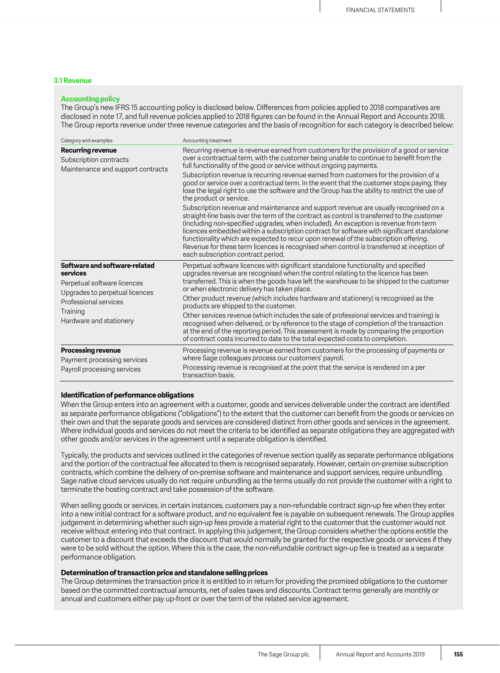#### **3.1 Revenue**

#### **Accounting policy**

The Group's new IFRS 15 accounting policy is disclosed below. Differences from policies applied to 2018 comparatives are disclosed in note 17, and full revenue policies applied to 2018 figures can be found in the Annual Report and Accounts 2018. The Group reports revenue under three revenue categories and the basis of recognition for each category is described below:

| Category and examples                                                                                                                                                      | Accounting treatment                                                                                                                                                                                                                                                                                                                                                                                                                                                                                                                                                                                                                                                                                                                                                                                                       |
|----------------------------------------------------------------------------------------------------------------------------------------------------------------------------|----------------------------------------------------------------------------------------------------------------------------------------------------------------------------------------------------------------------------------------------------------------------------------------------------------------------------------------------------------------------------------------------------------------------------------------------------------------------------------------------------------------------------------------------------------------------------------------------------------------------------------------------------------------------------------------------------------------------------------------------------------------------------------------------------------------------------|
| <b>Recurring revenue</b><br>Subscription contracts<br>Maintenance and support contracts                                                                                    | Recurring revenue is revenue earned from customers for the provision of a good or service<br>over a contractual term, with the customer being unable to continue to benefit from the<br>full functionality of the good or service without ongoing payments.<br>Subscription revenue is recurring revenue earned from customers for the provision of a<br>good or service over a contractual term. In the event that the customer stops paying, they<br>lose the legal right to use the software and the Group has the ability to restrict the use of                                                                                                                                                                                                                                                                       |
|                                                                                                                                                                            | the product or service.<br>Subscription revenue and maintenance and support revenue are usually recognised on a<br>straight-line basis over the term of the contract as control is transferred to the customer<br>(including non-specified upgrades, when included). An exception is revenue from term<br>licences embedded within a subscription contract for software with significant standalone<br>functionality which are expected to recur upon renewal of the subscription offering.<br>Revenue for these term licences is recognised when control is transferred at inception of<br>each subscription contract period.                                                                                                                                                                                             |
| Software and software-related<br>services<br>Perpetual software licences<br>Upgrades to perpetual licences<br>Professional services<br>Training<br>Hardware and stationery | Perpetual software licences with significant standalone functionality and specified<br>upgrades revenue are recognised when the control relating to the licence has been<br>transferred. This is when the goods have left the warehouse to be shipped to the customer<br>or when electronic delivery has taken place.<br>Other product revenue (which includes hardware and stationery) is recognised as the<br>products are shipped to the customer.<br>Other services revenue (which includes the sale of professional services and training) is<br>recognised when delivered, or by reference to the stage of completion of the transaction<br>at the end of the reporting period. This assessment is made by comparing the proportion<br>of contract costs incurred to date to the total expected costs to completion. |
| <b>Processing revenue</b><br>Payment processing services<br>Payroll processing services                                                                                    | Processing revenue is revenue earned from customers for the processing of payments or<br>where Sage colleagues process our customers' payroll.<br>Processing revenue is recognised at the point that the service is rendered on a per<br>transaction basis.                                                                                                                                                                                                                                                                                                                                                                                                                                                                                                                                                                |

#### **Identification of performance obligations**

When the Group enters into an agreement with a customer, goods and services deliverable under the contract are identified as separate performance obligations ("obligations") to the extent that the customer can benefit from the goods or services on their own and that the separate goods and services are considered distinct from other goods and services in the agreement. Where individual goods and services do not meet the criteria to be identified as separate obligations they are aggregated with other goods and/or services in the agreement until a separate obligation is identified.

Typically, the products and services outlined in the categories of revenue section qualify as separate performance obligations and the portion of the contractual fee allocated to them is recognised separately. However, certain on-premise subscription contracts, which combine the delivery of on-premise software and maintenance and support services, require unbundling. Sage native cloud services usually do not require unbundling as the terms usually do not provide the customer with a right to terminate the hosting contract and take possession of the software.

When selling goods or services, in certain instances, customers pay a non-refundable contract sign-up fee when they enter into a new initial contract for a software product, and no equivalent fee is payable on subsequent renewals. The Group applies judgement in determining whether such sign-up fees provide a material right to the customer that the customer would not receive without entering into that contract. In applying this judgement, the Group considers whether the options entitle the customer to a discount that exceeds the discount that would normally be granted for the respective goods or services if they were to be sold without the option. Where this is the case, the non-refundable contract sign-up fee is treated as a separate performance obligation.

#### **Determination of transaction price and standalone selling prices**

The Group determines the transaction price it is entitled to in return for providing the promised obligations to the customer based on the committed contractual amounts, net of sales taxes and discounts. Contract terms generally are monthly or annual and customers either pay up-front or over the term of the related service agreement.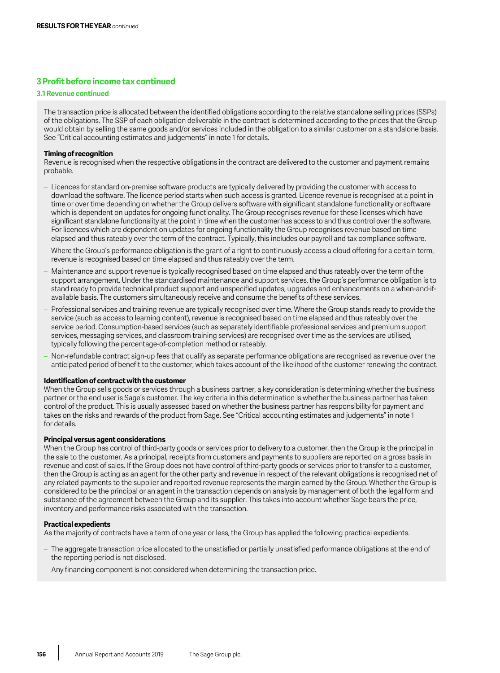## **3 Profit before income tax continued**

### **3.1 Revenue continued**

The transaction price is allocated between the identified obligations according to the relative standalone selling prices (SSPs) of the obligations. The SSP of each obligation deliverable in the contract is determined according to the prices that the Group would obtain by selling the same goods and/or services included in the obligation to a similar customer on a standalone basis. See "Critical accounting estimates and judgements" in note 1 for details.

#### **Timing of recognition**

Revenue is recognised when the respective obligations in the contract are delivered to the customer and payment remains probable.

- Licences for standard on-premise software products are typically delivered by providing the customer with access to download the software. The licence period starts when such access is granted. Licence revenue is recognised at a point in time or over time depending on whether the Group delivers software with significant standalone functionality or software which is dependent on updates for ongoing functionality. The Group recognises revenue for these licenses which have significant standalone functionality at the point in time when the customer has access to and thus control over the software. For licences which are dependent on updates for ongoing functionality the Group recognises revenue based on time elapsed and thus rateably over the term of the contract. Typically, this includes our payroll and tax compliance software.
- Where the Group's performance obligation is the grant of a right to continuously access a cloud offering for a certain term, revenue is recognised based on time elapsed and thus rateably over the term.
- Maintenance and support revenue is typically recognised based on time elapsed and thus rateably over the term of the support arrangement. Under the standardised maintenance and support services, the Group's performance obligation is to stand ready to provide technical product support and unspecified updates, upgrades and enhancements on a when-and-ifavailable basis. The customers simultaneously receive and consume the benefits of these services.
- Professional services and training revenue are typically recognised over time. Where the Group stands ready to provide the service (such as access to learning content), revenue is recognised based on time elapsed and thus rateably over the service period. Consumption-based services (such as separately identifiable professional services and premium support services, messaging services, and classroom training services) are recognised over time as the services are utilised, typically following the percentage-of-completion method or rateably.
- Non-refundable contract sign-up fees that qualify as separate performance obligations are recognised as revenue over the anticipated period of benefit to the customer, which takes account of the likelihood of the customer renewing the contract.

#### **Identification of contract with the customer**

When the Group sells goods or services through a business partner, a key consideration is determining whether the business partner or the end user is Sage's customer. The key criteria in this determination is whether the business partner has taken control of the product. This is usually assessed based on whether the business partner has responsibility for payment and takes on the risks and rewards of the product from Sage. See "Critical accounting estimates and judgements" in note 1 for details.

#### **Principal versus agent considerations**

When the Group has control of third-party goods or services prior to delivery to a customer, then the Group is the principal in the sale to the customer. As a principal, receipts from customers and payments to suppliers are reported on a gross basis in revenue and cost of sales. If the Group does not have control of third-party goods or services prior to transfer to a customer, then the Group is acting as an agent for the other party and revenue in respect of the relevant obligations is recognised net of any related payments to the supplier and reported revenue represents the margin earned by the Group. Whether the Group is considered to be the principal or an agent in the transaction depends on analysis by management of both the legal form and substance of the agreement between the Group and its supplier. This takes into account whether Sage bears the price, inventory and performance risks associated with the transaction.

#### **Practical expedients**

As the majority of contracts have a term of one year or less, the Group has applied the following practical expedients.

- The aggregate transaction price allocated to the unsatisfied or partially unsatisfied performance obligations at the end of the reporting period is not disclosed.
- Any financing component is not considered when determining the transaction price.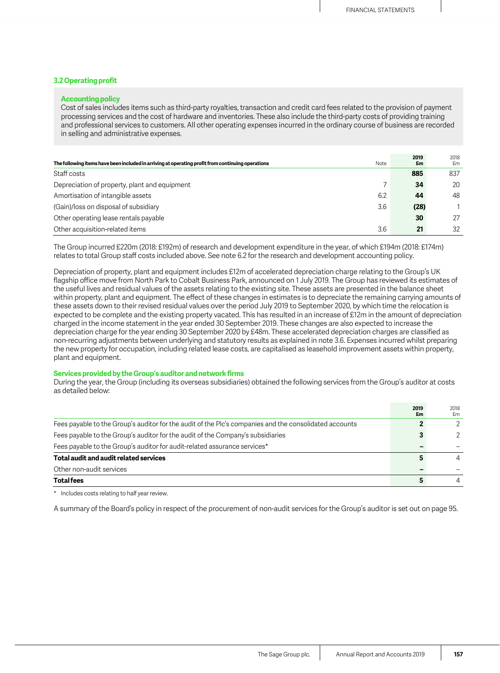#### **3.2 Operating profit**

#### **Accounting policy**

Cost of sales includes items such as third-party royalties, transaction and credit card fees related to the provision of payment processing services and the cost of hardware and inventories. These also include the third-party costs of providing training and professional services to customers. All other operating expenses incurred in the ordinary course of business are recorded in selling and administrative expenses.

| The following items have been included in arriving at operating profit from continuing operations<br>Note | 2019<br>£m | 2018<br>£m |
|-----------------------------------------------------------------------------------------------------------|------------|------------|
| Staff costs                                                                                               | 885        | 837        |
| Depreciation of property, plant and equipment                                                             | 34         | 20         |
| Amortisation of intangible assets<br>6.2                                                                  | 44         | 48         |
| (Gain)/loss on disposal of subsidiary<br>3.6                                                              | (28)       |            |
| Other operating lease rentals payable                                                                     | 30         | 27         |
| Other acquisition-related items<br>3.6                                                                    | 21         | 32         |

The Group incurred £220m (2018: £192m) of research and development expenditure in the year, of which £194m (2018: £174m) relates to total Group staff costs included above. See note 6.2 for the research and development accounting policy.

Depreciation of property, plant and equipment includes £12m of accelerated depreciation charge relating to the Group's UK flagship office move from North Park to Cobalt Business Park, announced on 1 July 2019. The Group has reviewed its estimates of the useful lives and residual values of the assets relating to the existing site. These assets are presented in the balance sheet within property, plant and equipment. The effect of these changes in estimates is to depreciate the remaining carrying amounts of these assets down to their revised residual values over the period July 2019 to September 2020, by which time the relocation is expected to be complete and the existing property vacated. This has resulted in an increase of £12m in the amount of depreciation charged in the income statement in the year ended 30 September 2019. These changes are also expected to increase the depreciation charge for the year ending 30 September 2020 by £48m. These accelerated depreciation charges are classified as non-recurring adjustments between underlying and statutory results as explained in note 3.6. Expenses incurred whilst preparing the new property for occupation, including related lease costs, are capitalised as leasehold improvement assets within property, plant and equipment.

#### **Services provided by the Group's auditor and network firms**

During the year, the Group (including its overseas subsidiaries) obtained the following services from the Group's auditor at costs as detailed below:

|                                                                                                        | 2019<br>£m | 2018<br>£m |
|--------------------------------------------------------------------------------------------------------|------------|------------|
| Fees payable to the Group's auditor for the audit of the Plc's companies and the consolidated accounts |            |            |
| Fees payable to the Group's auditor for the audit of the Company's subsidiaries                        |            |            |
| Fees payable to the Group's auditor for audit-related assurance services*                              |            |            |
| Total audit and audit related services                                                                 |            |            |
| Other non-audit services                                                                               |            |            |
| <b>Total fees</b>                                                                                      |            | Δ          |

\* Includes costs relating to half year review.

A summary of the Board's policy in respect of the procurement of non-audit services for the Group's auditor is set out on page 95.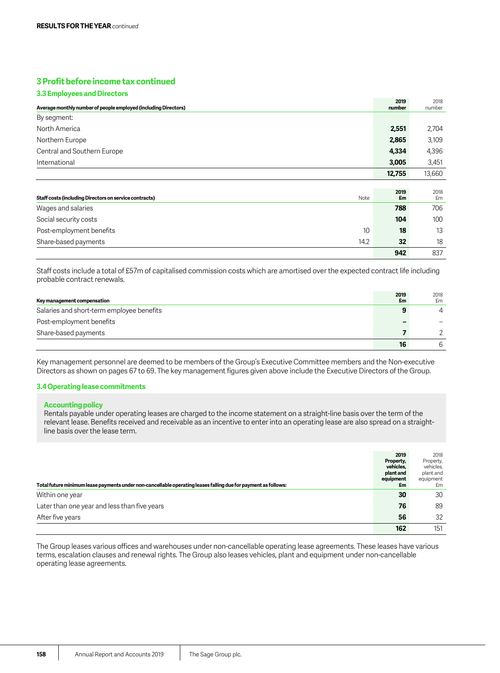# **3 Profit before income tax continued**

### **3.3 Employees and Directors**

| Average monthly number of people employed (including Directors) | 2019<br>number | 2018<br>number |
|-----------------------------------------------------------------|----------------|----------------|
| By segment:                                                     |                |                |
| North America                                                   | 2,551          | 2,704          |
| Northern Europe                                                 | 2,865          | 3,109          |
| Central and Southern Europe                                     | 4,334          | 4,396          |
| International                                                   | 3,005          | 3,451          |
|                                                                 | 12,755         | 13,660         |
|                                                                 |                |                |
| Staff costs (including Directors on service contracts)<br>Note  | 2019<br>£m     | 2018<br>£m     |
| Wages and salaries                                              | 788            | 706            |
| Social security costs                                           | 104            | 100            |
| 10<br>Post-employment benefits                                  | 18             | 13             |
| 14.2<br>Share-based payments                                    | 32             | 18             |
|                                                                 | 942            | 837            |

Staff costs include a total of £57m of capitalised commission costs which are amortised over the expected contract life including probable contract renewals.

| Key management compensation               | 2019<br>£m | 2018<br>£m     |
|-------------------------------------------|------------|----------------|
| Salaries and short-term employee benefits |            | $\overline{4}$ |
| Post-employment benefits                  |            |                |
| Share-based payments                      |            |                |
|                                           | 16         | 6              |

Key management personnel are deemed to be members of the Group's Executive Committee members and the Non-executive Directors as shown on pages 67 to 69. The key management figures given above include the Executive Directors of the Group.

### **3.4 Operating lease commitments**

### **Accounting policy**

Rentals payable under operating leases are charged to the income statement on a straight-line basis over the term of the relevant lease. Benefits received and receivable as an incentive to enter into an operating lease are also spread on a straightline basis over the lease term.

|                                                                                                                | 2019<br>Property,<br>vehicles,<br>plant and<br>equipment | 2018<br>Property,<br>vehicles,<br>plant and<br>equipment |
|----------------------------------------------------------------------------------------------------------------|----------------------------------------------------------|----------------------------------------------------------|
| Total future minimum lease payments under non-cancellable operating leases falling due for payment as follows: | £m                                                       | £m                                                       |
| Within one year                                                                                                | 30                                                       | 30                                                       |
| Later than one year and less than five years                                                                   | 76                                                       | 89                                                       |
| After five years                                                                                               | 56                                                       | 32                                                       |
|                                                                                                                | 162                                                      | 151                                                      |

The Group leases various offices and warehouses under non-cancellable operating lease agreements. These leases have various terms, escalation clauses and renewal rights. The Group also leases vehicles, plant and equipment under non-cancellable operating lease agreements.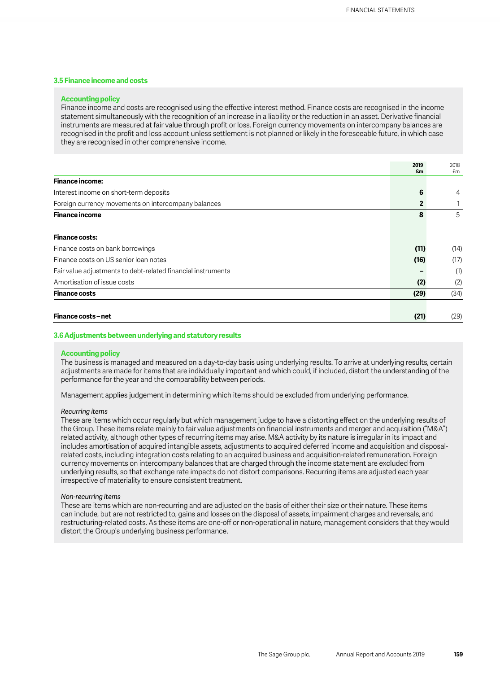#### **3.5 Finance income and costs**

#### **Accounting policy**

Finance income and costs are recognised using the effective interest method. Finance costs are recognised in the income statement simultaneously with the recognition of an increase in a liability or the reduction in an asset. Derivative financial instruments are measured at fair value through profit or loss. Foreign currency movements on intercompany balances are recognised in the profit and loss account unless settlement is not planned or likely in the foreseeable future, in which case they are recognised in other comprehensive income.

| Finance costs – net                                          | (21)       | (29)       |
|--------------------------------------------------------------|------------|------------|
|                                                              |            |            |
| <b>Finance costs</b>                                         | (29)       | (34)       |
| Amortisation of issue costs                                  | (2)        | (2)        |
| Fair value adjustments to debt-related financial instruments |            | (1)        |
| Finance costs on US senior loan notes                        | (16)       | (17)       |
| Finance costs on bank borrowings                             | (11)       | (14)       |
| Finance costs:                                               |            |            |
| <b>Finance income</b>                                        | 8          | 5          |
| Foreign currency movements on intercompany balances          | 2          |            |
| Interest income on short-term deposits                       | 6          | 4          |
| <b>Finance income:</b>                                       |            |            |
|                                                              | 2019<br>£m | 2018<br>£m |

#### **3.6 Adjustments between underlying and statutory results**

#### **Accounting policy**

The business is managed and measured on a day-to-day basis using underlying results. To arrive at underlying results, certain adjustments are made for items that are individually important and which could, if included, distort the understanding of the performance for the year and the comparability between periods.

Management applies judgement in determining which items should be excluded from underlying performance.

#### *Recurring items*

These are items which occur regularly but which management judge to have a distorting effect on the underlying results of the Group. These items relate mainly to fair value adjustments on financial instruments and merger and acquisition ("M&A") related activity, although other types of recurring items may arise. M&A activity by its nature is irregular in its impact and includes amortisation of acquired intangible assets, adjustments to acquired deferred income and acquisition and disposalrelated costs, including integration costs relating to an acquired business and acquisition-related remuneration. Foreign currency movements on intercompany balances that are charged through the income statement are excluded from underlying results, so that exchange rate impacts do not distort comparisons. Recurring items are adjusted each year irrespective of materiality to ensure consistent treatment.

#### *Non-recurring items*

These are items which are non-recurring and are adjusted on the basis of either their size or their nature. These items can include, but are not restricted to, gains and losses on the disposal of assets, impairment charges and reversals, and restructuring-related costs. As these items are one-off or non-operational in nature, management considers that they would distort the Group's underlying business performance.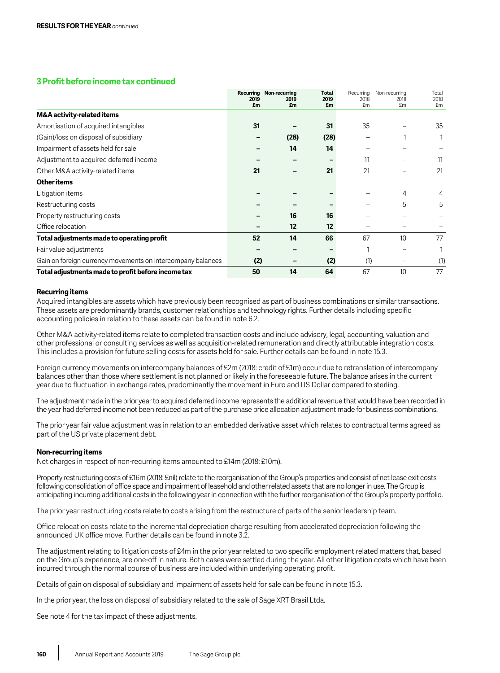## **3 Profit before income tax continued**

|                                                             | 2019 | <b>Recurring Non-recurring</b><br>2019 | <b>Total</b><br>2019 | Recurring<br>2018 | Non-recurring<br>2018 | Total<br>2018 |
|-------------------------------------------------------------|------|----------------------------------------|----------------------|-------------------|-----------------------|---------------|
|                                                             | £m   | £m                                     | £m                   | £m                | £m                    | £m            |
| M&A activity-related items                                  |      |                                        |                      |                   |                       |               |
| Amortisation of acquired intangibles                        | 31   |                                        | 31                   | 35                |                       | 35            |
| (Gain)/loss on disposal of subsidiary                       |      | (28)                                   | (28)                 |                   |                       |               |
| Impairment of assets held for sale                          |      | 14                                     | 14                   |                   |                       |               |
| Adjustment to acquired deferred income                      |      |                                        |                      | 11                |                       | 11            |
| Other M&A activity-related items                            | 21   |                                        | 21                   | 21                |                       | 21            |
| <b>Otheritems</b>                                           |      |                                        |                      |                   |                       |               |
| Litigation items                                            |      |                                        |                      |                   | 4                     |               |
| Restructuring costs                                         |      |                                        |                      |                   | 5                     | 5             |
| Property restructuring costs                                |      | 16                                     | 16                   |                   |                       |               |
| Office relocation                                           |      | 12                                     | 12                   |                   |                       |               |
| Total adjustments made to operating profit                  | 52   | 14                                     | 66                   | 67                | 10                    | 77            |
| Fair value adjustments                                      |      |                                        |                      |                   |                       |               |
| Gain on foreign currency movements on intercompany balances | (2)  |                                        | (2)                  | (1)               |                       | (1)           |
| Total adjustments made to profit before income tax          | 50   | 14                                     | 64                   | 67                | 10                    | 77            |

#### **Recurring items**

Acquired intangibles are assets which have previously been recognised as part of business combinations or similar transactions. These assets are predominantly brands, customer relationships and technology rights. Further details including specific accounting policies in relation to these assets can be found in note 6.2.

Other M&A activity-related items relate to completed transaction costs and include advisory, legal, accounting, valuation and other professional or consulting services as well as acquisition-related remuneration and directly attributable integration costs. This includes a provision for future selling costs for assets held for sale. Further details can be found in note 15.3.

Foreign currency movements on intercompany balances of £2m (2018: credit of £1m) occur due to retranslation of intercompany balances other than those where settlement is not planned or likely in the foreseeable future. The balance arises in the current year due to fluctuation in exchange rates, predominantly the movement in Euro and US Dollar compared to sterling.

The adjustment made in the prior year to acquired deferred income represents the additional revenue that would have been recorded in the year had deferred income not been reduced as part of the purchase price allocation adjustment made for business combinations.

The prior year fair value adjustment was in relation to an embedded derivative asset which relates to contractual terms agreed as part of the US private placement debt.

#### **Non-recurring items**

Net charges in respect of non-recurring items amounted to £14m (2018: £10m).

Property restructuring costs of £16m (2018: £nil) relate to the reorganisation of the Group's properties and consist of net lease exit costs following consolidation of office space and impairment of leasehold and other related assets that are no longer in use. The Group is anticipating incurring additional costs in the following year in connection with the further reorganisation of the Group's property portfolio.

The prior year restructuring costs relate to costs arising from the restructure of parts of the senior leadership team.

Office relocation costs relate to the incremental depreciation charge resulting from accelerated depreciation following the announced UK office move. Further details can be found in note 3.2.

The adjustment relating to litigation costs of £4m in the prior year related to two specific employment related matters that, based on the Group's experience, are one-off in nature. Both cases were settled during the year. All other litigation costs which have been incurred through the normal course of business are included within underlying operating profit.

Details of gain on disposal of subsidiary and impairment of assets held for sale can be found in note 15.3.

In the prior year, the loss on disposal of subsidiary related to the sale of Sage XRT Brasil Ltda.

See note 4 for the tax impact of these adjustments.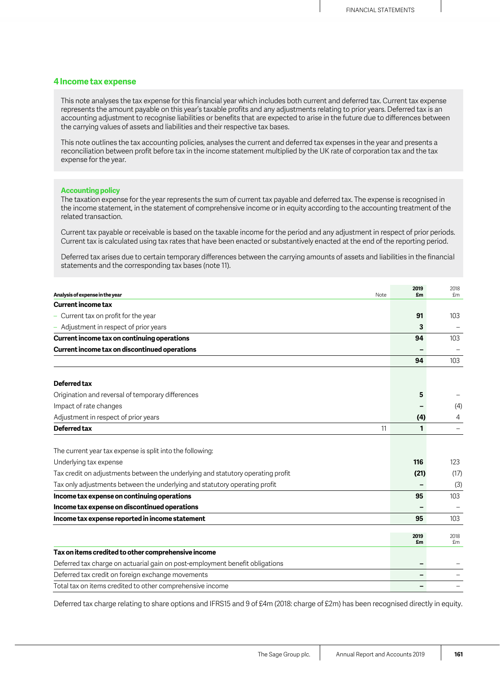### **4 Income tax expense**

This note analyses the tax expense for this financial year which includes both current and deferred tax. Current tax expense represents the amount payable on this year's taxable profits and any adjustments relating to prior years. Deferred tax is an accounting adjustment to recognise liabilities or benefits that are expected to arise in the future due to differences between the carrying values of assets and liabilities and their respective tax bases.

This note outlines the tax accounting policies, analyses the current and deferred tax expenses in the year and presents a reconciliation between profit before tax in the income statement multiplied by the UK rate of corporation tax and the tax expense for the year.

#### **Accounting policy**

The taxation expense for the year represents the sum of current tax payable and deferred tax. The expense is recognised in the income statement, in the statement of comprehensive income or in equity according to the accounting treatment of the related transaction.

Current tax payable or receivable is based on the taxable income for the period and any adjustment in respect of prior periods. Current tax is calculated using tax rates that have been enacted or substantively enacted at the end of the reporting period.

Deferred tax arises due to certain temporary differences between the carrying amounts of assets and liabilities in the financial statements and the corresponding tax bases (note 11).

| Analysis of expense in the year<br>Note                                         | 2019<br>£m | 2018<br>£m |
|---------------------------------------------------------------------------------|------------|------------|
| <b>Current income tax</b>                                                       |            |            |
| Current tax on profit for the year                                              | 91         | 103        |
| Adjustment in respect of prior years                                            | 3          |            |
| Current income tax on continuing operations                                     | 94         | 103        |
| Current income tax on discontinued operations                                   |            |            |
|                                                                                 | 94         | 103        |
| Deferred tax                                                                    |            |            |
| Origination and reversal of temporary differences                               | 5          |            |
| Impact of rate changes                                                          |            | (4)        |
| Adjustment in respect of prior years                                            | (4)        | 4          |
| Deferred tax<br>11                                                              | 1          |            |
| The current year tax expense is split into the following:                       |            |            |
| Underlying tax expense                                                          | 116        | 123        |
| Tax credit on adjustments between the underlying and statutory operating profit | (21)       | (17)       |
| Tax only adjustments between the underlying and statutory operating profit      |            | (3)        |
| Income tax expense on continuing operations                                     | 95         | 103        |
| Income tax expense on discontinued operations                                   |            |            |
| Income tax expense reported in income statement                                 | 95         | 103        |
|                                                                                 | 2019<br>£m | 2018<br>£m |
| Tax on items credited to other comprehensive income                             |            |            |
| Deferred tax charge on actuarial gain on post-employment benefit obligations    |            |            |
| Deferred tax credit on foreign exchange movements                               |            |            |
| Total tax on items credited to other comprehensive income                       |            |            |

Deferred tax charge relating to share options and IFRS15 and 9 of £4m (2018: charge of £2m) has been recognised directly in equity.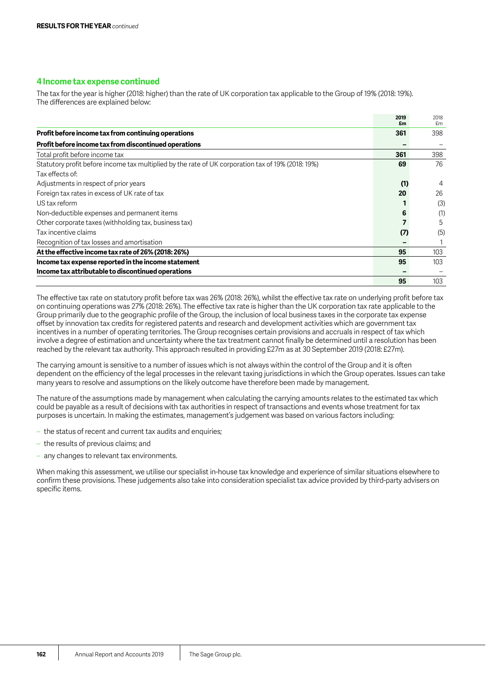### **4 Income tax expense continued**

The tax for the year is higher (2018: higher) than the rate of UK corporation tax applicable to the Group of 19% (2018: 19%). The differences are explained below:

|                                                                                                    | 2019<br>£m | 2018<br>Em |
|----------------------------------------------------------------------------------------------------|------------|------------|
| Profit before income tax from continuing operations                                                | 361        | 398        |
| Profit before income tax from discontinued operations                                              |            |            |
| Total profit before income tax                                                                     | 361        | 398        |
| (2018: 39%) Statutory profit before income tax multiplied by the rate of UK corporation tax of 19% | 69         | 76         |
| Tax effects of:                                                                                    |            |            |
| Adjustments in respect of prior years                                                              | (1)        | 4          |
| Foreign tax rates in excess of UK rate of tax                                                      | 20         | 26         |
| US tax reform                                                                                      |            | (3)        |
| Non-deductible expenses and permanent items                                                        |            | (1)        |
| Other corporate taxes (withholding tax, business tax)                                              |            | 5          |
| Tax incentive claims                                                                               | (7)        | (5)        |
| Recognition of tax losses and amortisation                                                         |            |            |
| At the effective income tax rate of 26% (2018: 26%)                                                | 95         | 103        |
| Income tax expense reported in the income statement                                                | 95         | 103        |
| Income tax attributable to discontinued operations                                                 |            |            |
|                                                                                                    | 95         | 103        |

The effective tax rate on statutory profit before tax was 26% (2018: 26%), whilst the effective tax rate on underlying profit before tax on continuing operations was 27% (2018: 26%). The effective tax rate is higher than the UK corporation tax rate applicable to the Group primarily due to the geographic profile of the Group, the inclusion of local business taxes in the corporate tax expense offset by innovation tax credits for registered patents and research and development activities which are government tax incentives in a number of operating territories. The Group recognises certain provisions and accruals in respect of tax which involve a degree of estimation and uncertainty where the tax treatment cannot finally be determined until a resolution has been reached by the relevant tax authority. This approach resulted in providing £27m as at 30 September 2019 (2018: £27m).

The carrying amount is sensitive to a number of issues which is not always within the control of the Group and it is often dependent on the efficiency of the legal processes in the relevant taxing jurisdictions in which the Group operates. Issues can take many years to resolve and assumptions on the likely outcome have therefore been made by management.

The nature of the assumptions made by management when calculating the carrying amounts relates to the estimated tax which could be payable as a result of decisions with tax authorities in respect of transactions and events whose treatment for tax purposes is uncertain. In making the estimates, management's judgement was based on various factors including:

- the status of recent and current tax audits and enquiries;
- the results of previous claims; and
- any changes to relevant tax environments.

When making this assessment, we utilise our specialist in-house tax knowledge and experience of similar situations elsewhere to confirm these provisions. These judgements also take into consideration specialist tax advice provided by third-party advisers on specific items.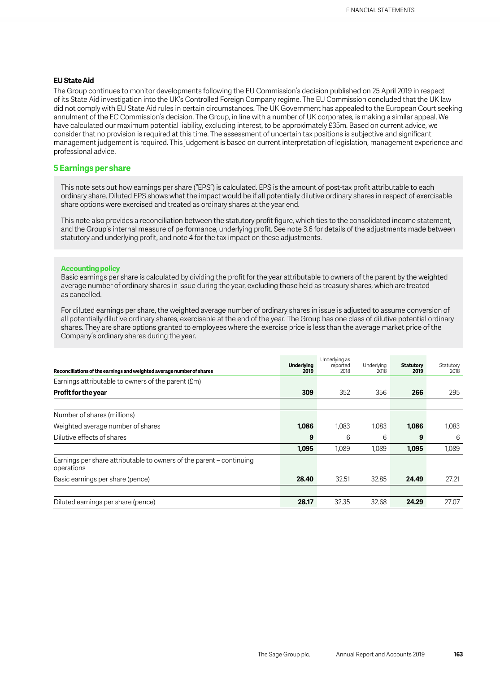#### **EU State Aid**

The Group continues to monitor developments following the EU Commission's decision published on 25 April 2019 in respect of its State Aid investigation into the UK's Controlled Foreign Company regime. The EU Commission concluded that the UK law did not comply with EU State Aid rules in certain circumstances. The UK Government has appealed to the European Court seeking annulment of the EC Commission's decision. The Group, in line with a number of UK corporates, is making a similar appeal. We have calculated our maximum potential liability, excluding interest, to be approximately £35m. Based on current advice, we consider that no provision is required at this time. The assessment of uncertain tax positions is subjective and significant management judgement is required. This judgement is based on current interpretation of legislation, management experience and professional advice.

### **5 Earnings per share**

This note sets out how earnings per share ("EPS") is calculated. EPS is the amount of post-tax profit attributable to each ordinary share. Diluted EPS shows what the impact would be if all potentially dilutive ordinary shares in respect of exercisable share options were exercised and treated as ordinary shares at the year end.

This note also provides a reconciliation between the statutory profit figure, which ties to the consolidated income statement, and the Group's internal measure of performance, underlying profit. See note 3.6 for details of the adjustments made between statutory and underlying profit, and note 4 for the tax impact on these adjustments.

#### **Accounting policy**

Basic earnings per share is calculated by dividing the profit for the year attributable to owners of the parent by the weighted average number of ordinary shares in issue during the year, excluding those held as treasury shares, which are treated as cancelled.

For diluted earnings per share, the weighted average number of ordinary shares in issue is adjusted to assume conversion of all potentially dilutive ordinary shares, exercisable at the end of the year. The Group has one class of dilutive potential ordinary shares. They are share options granted to employees where the exercise price is less than the average market price of the Company's ordinary shares during the year.

| Reconciliations of the earnings and weighted average number of shares              | Underlying<br>2019 | Underlying as<br>reported<br>2018 | Underlying<br>2018 | <b>Statutory</b><br>2019 | Statutory<br>2018 |
|------------------------------------------------------------------------------------|--------------------|-----------------------------------|--------------------|--------------------------|-------------------|
| Earnings attributable to owners of the parent (£m)                                 |                    |                                   |                    |                          |                   |
| <b>Profit for the year</b>                                                         | 309                | 352                               | 356                | 266                      | 295               |
|                                                                                    |                    |                                   |                    |                          |                   |
| Number of shares (millions)                                                        |                    |                                   |                    |                          |                   |
| Weighted average number of shares                                                  | 1,086              | 1.083                             | 1,083              | 1,086                    | 1.083             |
| Dilutive effects of shares                                                         | 9                  | 6                                 | 6                  | 9                        | 6                 |
|                                                                                    | 1,095              | 1,089                             | 1.089              | 1,095                    | 1,089             |
| Earnings per share attributable to owners of the parent – continuing<br>operations |                    |                                   |                    |                          |                   |
| Basic earnings per share (pence)                                                   | 28.40              | 32.51                             | 32.85              | 24.49                    | 27.21             |
|                                                                                    |                    |                                   |                    |                          |                   |
| Diluted earnings per share (pence)                                                 | 28.17              | 32.35                             | 32.68              | 24.29                    | 27.07             |

163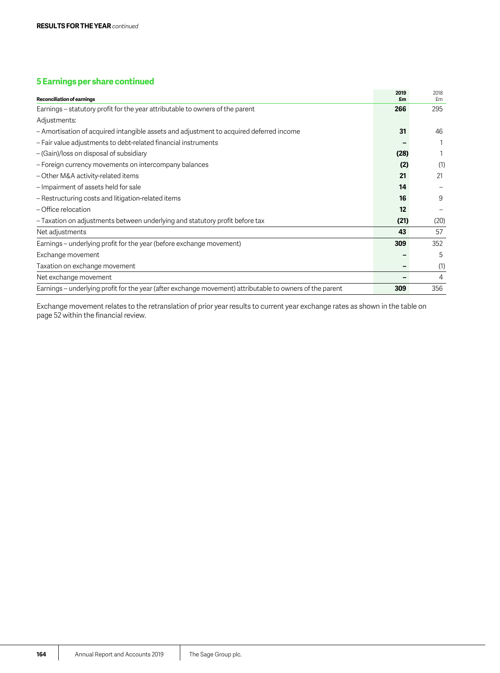# **5 Earnings per share continued**

| Reconciliation of earnings                                                                               | 2019<br>£m | 2018<br>£m |
|----------------------------------------------------------------------------------------------------------|------------|------------|
| Earnings – statutory profit for the year attributable to owners of the parent                            | 266        | 295        |
| Adjustments:                                                                                             |            |            |
| - Amortisation of acquired intangible assets and adjustment to acquired deferred income                  | 31         | 46         |
| - Fair value adjustments to debt-related financial instruments                                           |            |            |
| – (Gain)/loss on disposal of subsidiary                                                                  | (28)       |            |
| - Foreign currency movements on intercompany balances                                                    | (2)        | (1)        |
| - Other M&A activity-related items                                                                       | 21         | 21         |
| - Impairment of assets held for sale                                                                     | 14         |            |
| - Restructuring costs and litigation-related items                                                       | 16         | 9          |
| - Office relocation                                                                                      | 12         |            |
| -Taxation on adjustments between underlying and statutory profit before tax                              | (21)       | (20)       |
| Net adjustments                                                                                          | 43         | 57         |
| Earnings – underlying profit for the year (before exchange movement)                                     | 309        | 352        |
| Exchange movement                                                                                        |            | 5          |
| Taxation on exchange movement                                                                            |            | (1)        |
| Net exchange movement                                                                                    |            | 4          |
| Earnings – underlying profit for the year (after exchange movement) attributable to owners of the parent | 309        | 356        |

Exchange movement relates to the retranslation of prior year results to current year exchange rates as shown in the table on page 52 within the financial review.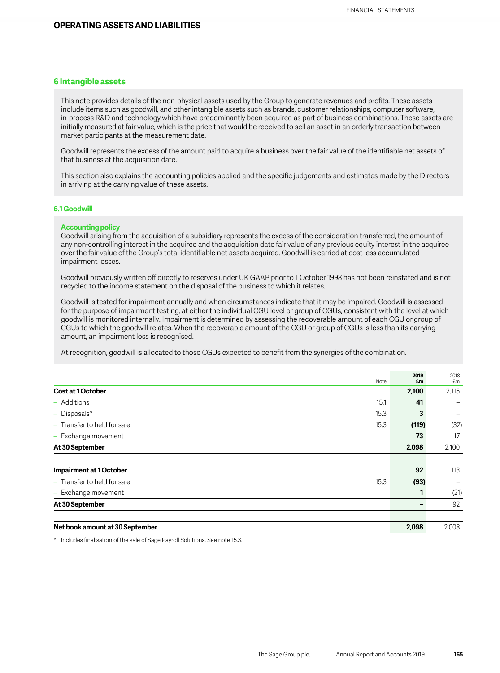# **6 Intangible assets**

This note provides details of the non-physical assets used by the Group to generate revenues and profits. These assets include items such as goodwill, and other intangible assets such as brands, customer relationships, computer software, in-process R&D and technology which have predominantly been acquired as part of business combinations. These assets are initially measured at fair value, which is the price that would be received to sell an asset in an orderly transaction between market participants at the measurement date.

Goodwill represents the excess of the amount paid to acquire a business over the fair value of the identifiable net assets of that business at the acquisition date.

This section also explains the accounting policies applied and the specific judgements and estimates made by the Directors in arriving at the carrying value of these assets.

### **6.1 Goodwill**

#### **Accounting policy**

Goodwill arising from the acquisition of a subsidiary represents the excess of the consideration transferred, the amount of any non-controlling interest in the acquiree and the acquisition date fair value of any previous equity interest in the acquiree over the fair value of the Group's total identifiable net assets acquired. Goodwill is carried at cost less accumulated impairment losses.

Goodwill previously written off directly to reserves under UK GAAP prior to 1 October 1998 has not been reinstated and is not recycled to the income statement on the disposal of the business to which it relates.

Goodwill is tested for impairment annually and when circumstances indicate that it may be impaired. Goodwill is assessed for the purpose of impairment testing, at either the individual CGU level or group of CGUs, consistent with the level at which goodwill is monitored internally. Impairment is determined by assessing the recoverable amount of each CGU or group of CGUs to which the goodwill relates. When the recoverable amount of the CGU or group of CGUs is less than its carrying amount, an impairment loss is recognised.

At recognition, goodwill is allocated to those CGUs expected to benefit from the synergies of the combination.

|                                 | Note | 2019<br>£m | 2018<br>£m |
|---------------------------------|------|------------|------------|
| Cost at 1 October               |      | 2,100      | 2,115      |
| - Additions                     | 15.1 | 41         |            |
| Disposals*<br>-                 | 15.3 | 3          |            |
| - Transfer to held for sale     | 15.3 | (119)      | (32)       |
| Exchange movement<br>۰          |      | 73         | 17         |
| At 30 September                 |      | 2,098      | 2,100      |
|                                 |      |            |            |
| <b>Impairment at 1 October</b>  |      | 92         | 113        |
| - Transfer to held for sale     | 15.3 | (93)       |            |
| Exchange movement<br>-          |      |            | (21)       |
| At 30 September                 |      |            | 92         |
|                                 |      |            |            |
| Net book amount at 30 September |      | 2,098      | 2,008      |

Includes finalisation of the sale of Sage Payroll Solutions. See note 15.3.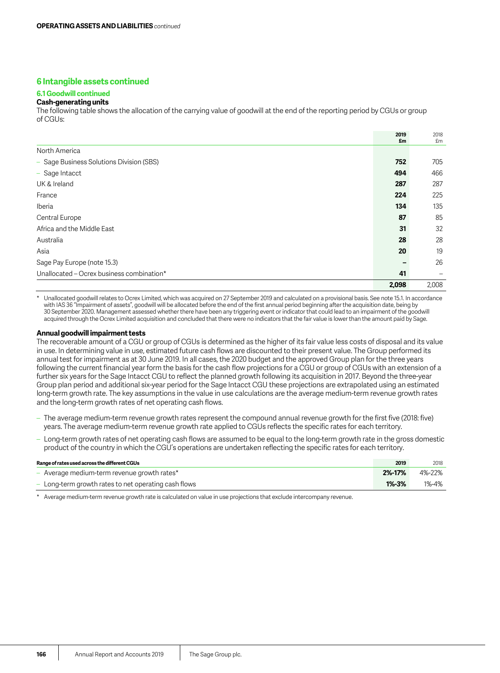# **6 Intangible assets continued**

# **6.1 Goodwill continued**

# **Cash-generating units**

The following table shows the allocation of the carrying value of goodwill at the end of the reporting period by CGUs or group of CGUs:

|                                           | 2019<br>£m | 2018<br>£m |
|-------------------------------------------|------------|------------|
| North America                             |            |            |
| - Sage Business Solutions Division (SBS)  | 752        | 705        |
| $-$ Sage Intacct                          | 494        | 466        |
| UK & Ireland                              | 287        | 287        |
| France                                    | 224        | 225        |
| Iberia                                    | 134        | 135        |
| Central Europe                            | 87         | 85         |
| Africa and the Middle East                | 31         | 32         |
| Australia                                 | 28         | 28         |
| Asia                                      | 20         | 19         |
| Sage Pay Europe (note 15.3)               |            | 26         |
| Unallocated – Ocrex business combination* | 41         |            |
|                                           | 2,098      | 2,008      |

Unallocated goodwill relates to Ocrex Limited, which was acquired on 27 September 2019 and calculated on a provisional basis. See note 15.1. In accordance with IAS 36 "Impairment of assets", goodwill will be allocated before the end of the first annual period beginning after the acquisition date, being by 30 September 2020. Management assessed whether there have been any triggering event or indicator that could lead to an impairment of the goodwill acquired through the Ocrex Limited acquisition and concluded that there were no indicators that the fair value is lower than the amount paid by Sage.

#### **Annual goodwill impairment tests**

The recoverable amount of a CGU or group of CGUs is determined as the higher of its fair value less costs of disposal and its value in use. In determining value in use, estimated future cash flows are discounted to their present value. The Group performed its annual test for impairment as at 30 June 2019. In all cases, the 2020 budget and the approved Group plan for the three years following the current financial year form the basis for the cash flow projections for a CGU or group of CGUs with an extension of a further six years for the Sage Intacct CGU to reflect the planned growth following its acquisition in 2017. Beyond the three-year Group plan period and additional six-year period for the Sage Intacct CGU these projections are extrapolated using an estimated long-term growth rate. The key assumptions in the value in use calculations are the average medium-term revenue growth rates and the long-term growth rates of net operating cash flows.

- The average medium-term revenue growth rates represent the compound annual revenue growth for the first five (2018: five) years. The average medium-term revenue growth rate applied to CGUs reflects the specific rates for each territory.
- Long-term growth rates of net operating cash flows are assumed to be equal to the long-term growth rate in the gross domestic product of the country in which the CGU's operations are undertaken reflecting the specific rates for each territory.

| Range of rates used across the different CGUs        | 2019        | 2018   |
|------------------------------------------------------|-------------|--------|
| - Average medium-term revenue growth rates $*$       | 2%-17%      | 4%-22% |
| - Long-term growth rates to net operating cash flows | $1\% - 3\%$ | 1%-4%  |

Average medium-term revenue growth rate is calculated on value in use projections that exclude intercompany revenue.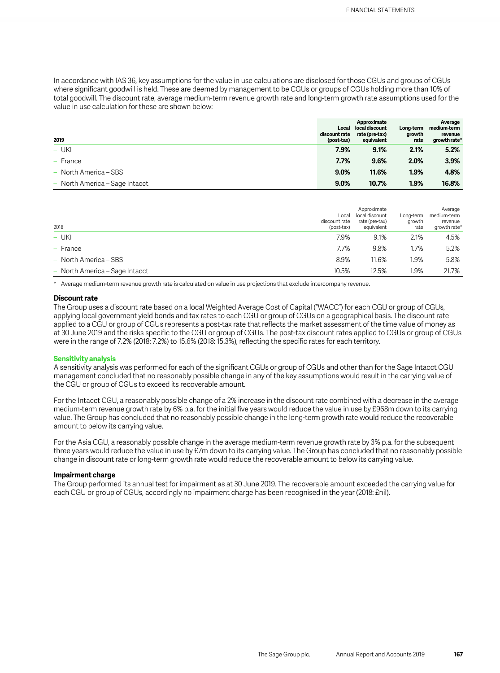In accordance with IAS 36, key assumptions for the value in use calculations are disclosed for those CGUs and groups of CGUs where significant goodwill is held. These are deemed by management to be CGUs or groups of CGUs holding more than 10% of total goodwill. The discount rate, average medium-term revenue growth rate and long-term growth rate assumptions used for the value in use calculation for these are shown below:

| 2019                           | (post-tax) | Approximate<br>Local local discount<br>discount rate rate (pre-tax)<br>equivalent | Long-term<br>growth<br>rate | Average<br>medium-term<br>revenue<br>growth rate* |
|--------------------------------|------------|-----------------------------------------------------------------------------------|-----------------------------|---------------------------------------------------|
| $-$ UKI                        | 7.9%       | 9.1%                                                                              | 2.1%                        | 5.2%                                              |
| $-$ France                     | 7.7%       | 9.6%                                                                              | 2.0%                        | 3.9%                                              |
| – North America – SBS          | 9.0%       | 11.6%                                                                             | 1.9%                        | 4.8%                                              |
| - North America - Sage Intacct | 9.0%       | 10.7%                                                                             | 1.9%                        | 16.8%                                             |

| 2018                           | Local<br>discount rate<br>(post-tax) | Approximate<br>local discount<br>rate (pre-tax)<br>equivalent | Long-term<br>arowth<br>rate | Average<br>medium-term<br>revenue<br>growth rate* |
|--------------------------------|--------------------------------------|---------------------------------------------------------------|-----------------------------|---------------------------------------------------|
| $-$ UKI                        | 7.9%                                 | 9.1%                                                          | 2.1%                        | 4.5%                                              |
| $-$ France                     | 7.7%                                 | 9.8%                                                          | 1.7%                        | 5.2%                                              |
| - North America - SBS          | 8.9%                                 | 11.6%                                                         | 1.9%                        | 5.8%                                              |
| - North America - Sage Intacct | 10.5%                                | 12.5%                                                         | 1.9%                        | 21.7%                                             |

\* Average medium-term revenue growth rate is calculated on value in use projections that exclude intercompany revenue.

### **Discount rate**

The Group uses a discount rate based on a local Weighted Average Cost of Capital ("WACC") for each CGU or group of CGUs, applying local government yield bonds and tax rates to each CGU or group of CGUs on a geographical basis. The discount rate applied to a CGU or group of CGUs represents a post-tax rate that reflects the market assessment of the time value of money as at 30 June 2019 and the risks specific to the CGU or group of CGUs. The post-tax discount rates applied to CGUs or group of CGUs were in the range of 7.2% (2018: 7.2%) to 15.6% (2018: 15.3%), reflecting the specific rates for each territory.

#### **Sensitivity analysis**

A sensitivity analysis was performed for each of the significant CGUs or group of CGUs and other than for the Sage Intacct CGU management concluded that no reasonably possible change in any of the key assumptions would result in the carrying value of the CGU or group of CGUs to exceed its recoverable amount.

For the Intacct CGU, a reasonably possible change of a 2% increase in the discount rate combined with a decrease in the average medium-term revenue growth rate by 6% p.a. for the initial five years would reduce the value in use by £968m down to its carrying value. The Group has concluded that no reasonably possible change in the long-term growth rate would reduce the recoverable amount to below its carrying value.

For the Asia CGU, a reasonably possible change in the average medium-term revenue growth rate by 3% p.a. for the subsequent three years would reduce the value in use by £7m down to its carrying value. The Group has concluded that no reasonably possible change in discount rate or long-term growth rate would reduce the recoverable amount to below its carrying value.

#### **Impairment charge**

The Group performed its annual test for impairment as at 30 June 2019. The recoverable amount exceeded the carrying value for each CGU or group of CGUs, accordingly no impairment charge has been recognised in the year (2018: £nil).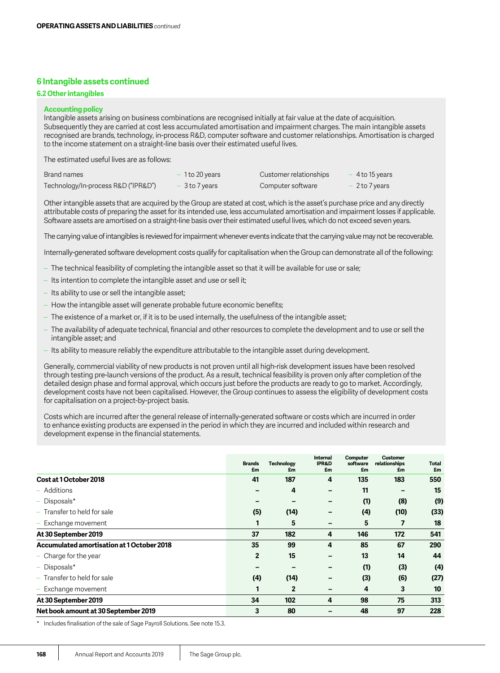# **6 Intangible assets continued**

### **6.2 Other intangibles**

#### **Accounting policy**

Intangible assets arising on business combinations are recognised initially at fair value at the date of acquisition. Subsequently they are carried at cost less accumulated amortisation and impairment charges. The main intangible assets recognised are brands, technology, in-process R&D, computer software and customer relationships. Amortisation is charged to the income statement on a straight-line basis over their estimated useful lives.

The estimated useful lives are as follows:

| Brand names                         | $-1$ to 20 years | Customer relationships | $-4$ to 15 years |
|-------------------------------------|------------------|------------------------|------------------|
| Technology/In-process R&D ("IPR&D") | 3 to 7 years     | Computer software      | $-2$ to 7 years  |

Other intangible assets that are acquired by the Group are stated at cost, which is the asset's purchase price and any directly attributable costs of preparing the asset for its intended use, less accumulated amortisation and impairment losses if applicable. Software assets are amortised on a straight-line basis over their estimated useful lives, which do not exceed seven years.

The carrying value of intangibles is reviewed for impairment whenever events indicate that the carrying value may not be recoverable.

Internally-generated software development costs qualify for capitalisation when the Group can demonstrate all of the following:

- The technical feasibility of completing the intangible asset so that it will be available for use or sale;
- Its intention to complete the intangible asset and use or sell it;
- Its ability to use or sell the intangible asset;
- How the intangible asset will generate probable future economic benefits;
- The existence of a market or, if it is to be used internally, the usefulness of the intangible asset;
- The availability of adequate technical, financial and other resources to complete the development and to use or sell the intangible asset; and
- Its ability to measure reliably the expenditure attributable to the intangible asset during development.

Generally, commercial viability of new products is not proven until all high-risk development issues have been resolved through testing pre-launch versions of the product. As a result, technical feasibility is proven only after completion of the detailed design phase and formal approval, which occurs just before the products are ready to go to market. Accordingly, development costs have not been capitalised. However, the Group continues to assess the eligibility of development costs for capitalisation on a project-by-project basis.

Costs which are incurred after the general release of internally-generated software or costs which are incurred in order to enhance existing products are expensed in the period in which they are incurred and included within research and development expense in the financial statements.

|                                            | <b>Brands</b><br>£m | <b>Technology</b><br>£m | <b>Internal</b><br><b>IPR&amp;D</b><br>£m | Computer<br>software<br>£m | <b>Customer</b><br>relationships<br>£m | <b>Total</b><br>£m |
|--------------------------------------------|---------------------|-------------------------|-------------------------------------------|----------------------------|----------------------------------------|--------------------|
| Cost at 1 October 2018                     | 41                  | 187                     | 4                                         | 135                        | 183                                    | 550                |
| Additions                                  |                     | 4                       |                                           | 11                         | -                                      | 15                 |
| Disposals*                                 |                     | -                       |                                           | (1)                        | (8)                                    | (9)                |
| Transfer to held for sale                  | (5)                 | (14)                    |                                           | (4)                        | (10)                                   | (33)               |
| Exchange movement                          |                     | 5                       |                                           | 5                          | 7                                      | 18                 |
| At 30 September 2019                       | 37                  | 182                     | 4                                         | 146                        | 172                                    | 541                |
| Accumulated amortisation at 1 October 2018 | 35                  | 99                      | 4                                         | 85                         | 67                                     | 290                |
| Charge for the year                        | $\mathbf{2}$        | 15                      | -                                         | 13                         | 14                                     | 44                 |
| Disposals*                                 |                     |                         |                                           | (1)                        | (3)                                    | (4)                |
| Transfer to held for sale                  | (4)                 | (14)                    |                                           | (3)                        | (6)                                    | (27)               |
| Exchange movement                          | 1                   | $\mathbf{2}$            |                                           | 4                          | 3                                      | 10                 |
| At 30 September 2019                       | 34                  | 102                     | 4                                         | 98                         | 75                                     | 313                |
| Net book amount at 30 September 2019       | 3                   | 80                      |                                           | 48                         | 97                                     | 228                |

\* Includes finalisation of the sale of Sage Payroll Solutions. See note 15.3.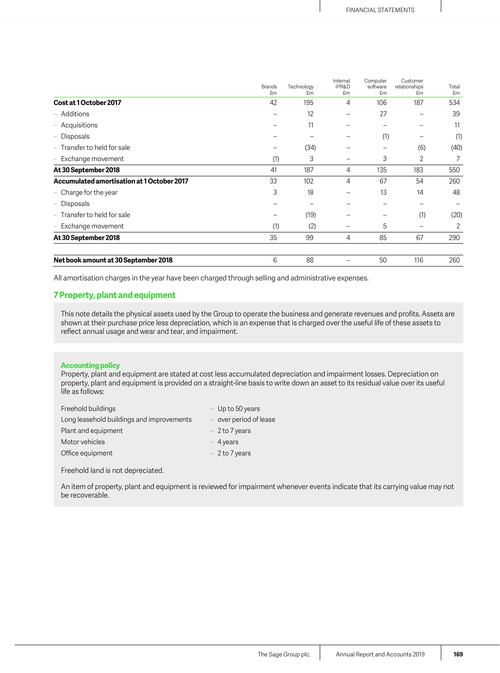Computer

Customer

Internal

| Net book amount at 30 September 2018       | 6                   | 88               |                            | 50                         | 116                              | 260         |
|--------------------------------------------|---------------------|------------------|----------------------------|----------------------------|----------------------------------|-------------|
| At 30 September 2018                       | 35                  | 99               | 4                          | 85                         | 67                               | 290         |
| Exchange movement                          | (1)                 | (2)              |                            | 5                          |                                  | 2           |
| Transfer to held for sale                  |                     | (19)             |                            |                            | (1)                              | (20)        |
| Disposals                                  |                     |                  |                            |                            |                                  |             |
| Charge for the year                        | 3                   | 18               |                            | 13                         | 14                               | 48          |
| Accumulated amortisation at 1 October 2017 | 33                  | 102              | 4                          | 67                         | 54                               | 260         |
| At 30 September 2018                       | 41                  | 187              | 4                          | 135                        | 183                              | 550         |
| Exchange movement                          | (1)                 | 3                | -                          | 3                          | 2                                |             |
| Transfer to held for sale<br>-             |                     | (34)             |                            |                            | (6)                              | (40)        |
| <b>Disposals</b>                           |                     |                  |                            | (1)                        | -                                | (1)         |
| - Acquisitions                             |                     | 11               |                            |                            |                                  | 11          |
| Additions                                  |                     | 12               | -                          | 27                         | -                                | 39          |
| Cost at 1 October 2017                     | 42                  | 195              | 4                          | 106                        | 187                              | 534         |
|                                            | <b>Brands</b><br>£m | Technology<br>£m | 11111111111<br>IPR&D<br>£m | Computer<br>software<br>£m | CUSLUITEI<br>relationships<br>£m | Total<br>£m |

All amortisation charges in the year have been charged through selling and administrative expenses.

# **7 Property, plant and equipment**

This note details the physical assets used by the Group to operate the business and generate revenues and profits. Assets are shown at their purchase price less depreciation, which is an expense that is charged over the useful life of these assets to reflect annual usage and wear and tear, and impairment.

#### **Accounting policy**

Property, plant and equipment are stated at cost less accumulated depreciation and impairment losses. Depreciation on property, plant and equipment is provided on a straight-line basis to write down an asset to its residual value over its useful life as follows:

| Freehold buildings                        | $-$ Up to 50 years     |
|-------------------------------------------|------------------------|
| Long leasehold buildings and improvements | - over period of lease |
| Plant and equipment                       | $-2$ to 7 years        |
| Motor vehicles                            | $-4$ years             |
| Office equipment                          | $-2$ to 7 years        |
|                                           |                        |

Freehold land is not depreciated.

An item of property, plant and equipment is reviewed for impairment whenever events indicate that its carrying value may not be recoverable.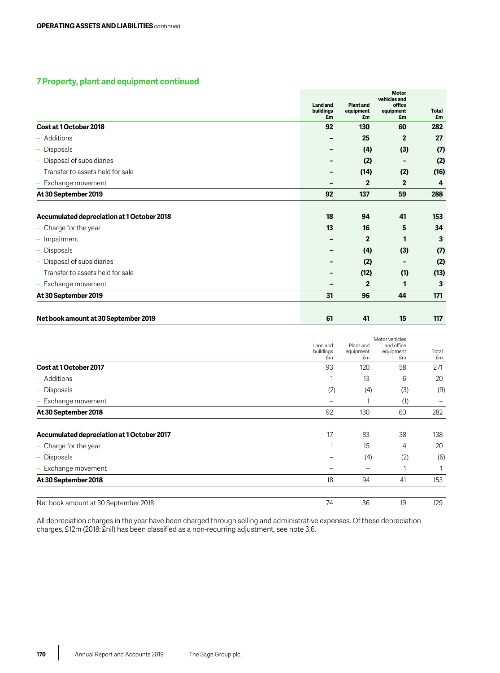# **7 Property, plant and equipment continued**

|                                            | Land and<br>buildings<br>£m | <b>Plant and</b><br>equipment<br>£m | Motor<br>vehicles and<br>office<br>equipment<br>£m | <b>Total</b><br>£m |
|--------------------------------------------|-----------------------------|-------------------------------------|----------------------------------------------------|--------------------|
| Cost at 1 October 2018                     | 92                          | 130                                 | 60                                                 | 282                |
| Additions                                  |                             | 25                                  | $\mathbf{2}$                                       | 27                 |
| <b>Disposals</b>                           |                             | (4)                                 | (3)                                                | (7)                |
| Disposal of subsidiaries<br>-              |                             | (2)                                 | -                                                  | (2)                |
| - Transfer to assets held for sale         |                             | (14)                                | (2)                                                | (16)               |
| Exchange movement<br>-                     |                             | 2                                   | 2                                                  | 4                  |
| At 30 September 2019                       | 92                          | 137                                 | 59                                                 | 288                |
| Accumulated depreciation at 1 October 2018 | 18                          | 94                                  | 41                                                 | 153                |
| $-$ Charge for the year                    | 13                          | 16                                  | 5                                                  | 34                 |
| Impairment<br>-                            |                             | $\overline{2}$                      | 1                                                  | 3                  |
| <b>Disposals</b><br>-                      |                             | (4)                                 | (3)                                                | (7)                |
| Disposal of subsidiaries<br>-              |                             | (2)                                 |                                                    | (2)                |
| Transfer to assets held for sale<br>-      |                             | (12)                                | (1)                                                | (13)               |
| Exchange movement<br>-                     |                             | $\overline{2}$                      | 1                                                  | 3                  |
| At 30 September 2019                       | 31                          | 96                                  | 44                                                 | 171                |
| Net book amount at 30 September 2019       | 61                          | 41                                  | 15                                                 | 117                |

|                                            |                 | Motor vehicles  |                 |       |  |
|--------------------------------------------|-----------------|-----------------|-----------------|-------|--|
|                                            | Land and        | Plant and       | and office      | Total |  |
|                                            | buildings<br>£m | equipment<br>£m | equipment<br>£m | £m    |  |
| Cost at 1 October 2017                     | 93              | 120             | 58              | 271   |  |
| Additions<br>÷                             |                 | 13              | 6               | 20    |  |
| Disposals<br>-                             | (2)             | (4)             | (3)             | (9)   |  |
| Exchange movement<br>-                     |                 |                 | (1)             |       |  |
| At 30 September 2018                       | 92              | 130             | 60              | 282   |  |
| Accumulated depreciation at 1 October 2017 | 17              | 83              | 38              | 138   |  |
| $-$ Charge for the year                    |                 | 15              | 4               | 20    |  |
| <b>Disposals</b><br>-                      |                 | (4)             | (2)             | (6)   |  |
| Exchange movement                          |                 |                 |                 |       |  |
| At 30 September 2018                       | 18              | 94              | 41              | 153   |  |
| Net book amount at 30 September 2018       | 74              | 36              | 19              | 129   |  |

All depreciation charges in the year have been charged through selling and administrative expenses. Of these depreciation charges, £12m (2018: £nil) has been classified as a non-recurring adjustment, see note 3.6.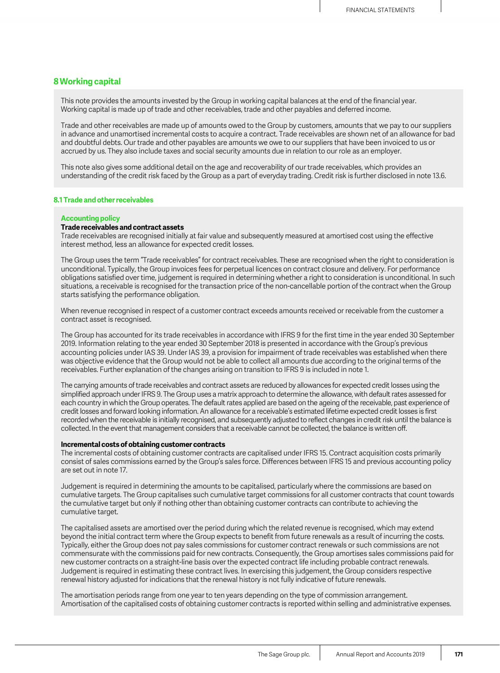# **8 Working capital**

This note provides the amounts invested by the Group in working capital balances at the end of the financial year. Working capital is made up of trade and other receivables, trade and other payables and deferred income.

Trade and other receivables are made up of amounts owed to the Group by customers, amounts that we pay to our suppliers in advance and unamortised incremental costs to acquire a contract. Trade receivables are shown net of an allowance for bad and doubtful debts. Our trade and other payables are amounts we owe to our suppliers that have been invoiced to us or accrued by us. They also include taxes and social security amounts due in relation to our role as an employer.

This note also gives some additional detail on the age and recoverability of our trade receivables, which provides an understanding of the credit risk faced by the Group as a part of everyday trading. Credit risk is further disclosed in note 13.6.

### **8.1 Trade and other receivables**

### **Accounting policy**

### **Trade receivables and contract assets**

Trade receivables are recognised initially at fair value and subsequently measured at amortised cost using the effective interest method, less an allowance for expected credit losses.

The Group uses the term "Trade receivables" for contract receivables. These are recognised when the right to consideration is unconditional. Typically, the Group invoices fees for perpetual licences on contract closure and delivery. For performance obligations satisfied over time, judgement is required in determining whether a right to consideration is unconditional. In such situations, a receivable is recognised for the transaction price of the non-cancellable portion of the contract when the Group starts satisfying the performance obligation.

When revenue recognised in respect of a customer contract exceeds amounts received or receivable from the customer a contract asset is recognised.

The Group has accounted for its trade receivables in accordance with IFRS 9 for the first time in the year ended 30 September 2019. Information relating to the year ended 30 September 2018 is presented in accordance with the Group's previous accounting policies under IAS 39. Under IAS 39, a provision for impairment of trade receivables was established when there was objective evidence that the Group would not be able to collect all amounts due according to the original terms of the receivables. Further explanation of the changes arising on transition to IFRS 9 is included in note 1.

The carrying amounts of trade receivables and contract assets are reduced by allowances for expected credit losses using the simplified approach under IFRS 9. The Group uses a matrix approach to determine the allowance, with default rates assessed for each country in which the Group operates. The default rates applied are based on the ageing of the receivable, past experience of credit losses and forward looking information. An allowance for a receivable's estimated lifetime expected credit losses is first recorded when the receivable is initially recognised, and subsequently adjusted to reflect changes in credit risk until the balance is collected. In the event that management considers that a receivable cannot be collected, the balance is written off.

### **Incremental costs of obtaining customer contracts**

The incremental costs of obtaining customer contracts are capitalised under IFRS 15. Contract acquisition costs primarily consist of sales commissions earned by the Group's sales force. Differences between IFRS 15 and previous accounting policy are set out in note 17.

Judgement is required in determining the amounts to be capitalised, particularly where the commissions are based on cumulative targets. The Group capitalises such cumulative target commissions for all customer contracts that count towards the cumulative target but only if nothing other than obtaining customer contracts can contribute to achieving the cumulative target.

The capitalised assets are amortised over the period during which the related revenue is recognised, which may extend beyond the initial contract term where the Group expects to benefit from future renewals as a result of incurring the costs. Typically, either the Group does not pay sales commissions for customer contract renewals or such commissions are not commensurate with the commissions paid for new contracts. Consequently, the Group amortises sales commissions paid for new customer contracts on a straight-line basis over the expected contract life including probable contract renewals. Judgement is required in estimating these contract lives. In exercising this judgement, the Group considers respective renewal history adjusted for indications that the renewal history is not fully indicative of future renewals.

The amortisation periods range from one year to ten years depending on the type of commission arrangement. Amortisation of the capitalised costs of obtaining customer contracts is reported within selling and administrative expenses.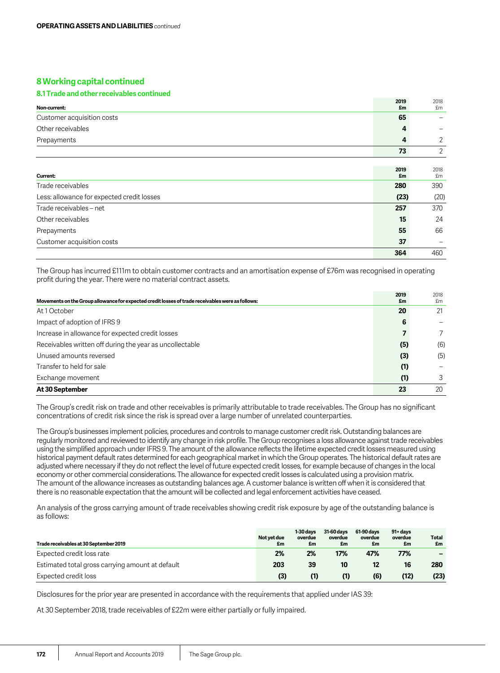# **8 Working capital continued**

# **8.1 Trade and other receivables continued**

| Non-current:                               | 2019<br>£m | 2018<br>£m     |
|--------------------------------------------|------------|----------------|
| Customer acquisition costs                 | 65         |                |
| Other receivables                          | 4          |                |
| Prepayments                                | 4          | 2              |
|                                            | 73         | $\overline{2}$ |
|                                            |            |                |
| Current:                                   | 2019<br>£m | 2018<br>£m     |
| Trade receivables                          | 280        | 390            |
| Less: allowance for expected credit losses | (23)       | (20)           |
| Trade receivables - net                    | 257        | 370            |
| Other receivables                          | 15         | 24             |
| Prepayments                                | 55         | 66             |
| Customer acquisition costs                 | 37         |                |
|                                            | 364        | 460            |

The Group has incurred £111m to obtain customer contracts and an amortisation expense of £76m was recognised in operating profit during the year. There were no material contract assets.

| Movements on the Group allowance for expected credit losses of trade receivables were as follows: | 2019<br>£m | 2018<br>£m |
|---------------------------------------------------------------------------------------------------|------------|------------|
| At 1 October                                                                                      | 20         | 21         |
| Impact of adoption of IFRS 9                                                                      | 6          |            |
| Increase in allowance for expected credit losses                                                  |            |            |
| Receivables written off during the year as uncollectable                                          | (5)        | (6)        |
| Unused amounts reversed                                                                           | (3)        | (5)        |
| Transfer to held for sale                                                                         | (1)        |            |
| Exchange movement                                                                                 | (1)        | 3          |
| At 30 September                                                                                   | 23         | 20         |

The Group's credit risk on trade and other receivables is primarily attributable to trade receivables. The Group has no significant concentrations of credit risk since the risk is spread over a large number of unrelated counterparties.

The Group's businesses implement policies, procedures and controls to manage customer credit risk. Outstanding balances are regularly monitored and reviewed to identify any change in risk profile. The Group recognises a loss allowance against trade receivables using the simplified approach under IFRS 9. The amount of the allowance reflects the lifetime expected credit losses measured using historical payment default rates determined for each geographical market in which the Group operates. The historical default rates are adjusted where necessary if they do not reflect the level of future expected credit losses, for example because of changes in the local economy or other commercial considerations. The allowance for expected credit losses is calculated using a provision matrix. The amount of the allowance increases as outstanding balances age. A customer balance is written off when it is considered that there is no reasonable expectation that the amount will be collected and legal enforcement activities have ceased.

An analysis of the gross carrying amount of trade receivables showing credit risk exposure by age of the outstanding balance is as follows:

| Trade receivables at 30 September 2019           | Not vet due<br>£m | $1-30$ days<br>overdue<br>£m | 31-60 days<br>overdue<br>£m | 61-90 days<br>overdue<br>£m | $91 + days$<br>overdue<br>£m | Total<br>£m |
|--------------------------------------------------|-------------------|------------------------------|-----------------------------|-----------------------------|------------------------------|-------------|
| Expected credit loss rate                        | 2%                | 2%                           | 17%                         | 47%                         | 77%                          |             |
| Estimated total gross carrying amount at default | 203               | 39                           | 10                          | 12                          | 16                           | 280         |
| Expected credit loss                             | (3)               |                              |                             | (6)                         | (12)                         | (23)        |

Disclosures for the prior year are presented in accordance with the requirements that applied under IAS 39:

At 30 September 2018, trade receivables of £22m were either partially or fully impaired.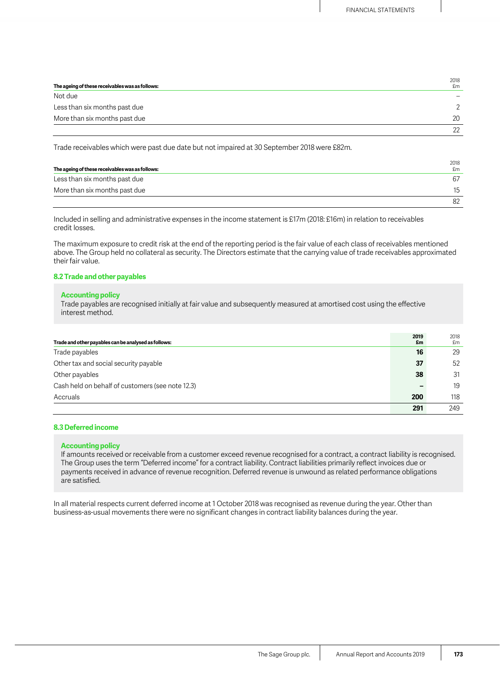| The ageing of these receivables was as follows: | 2018<br>£m |
|-------------------------------------------------|------------|
| Not due                                         |            |
| Less than six months past due                   |            |
| More than six months past due                   | 20         |
|                                                 | 22         |

Trade receivables which were past due date but not impaired at 30 September 2018 were £82m.

| The ageing of these receivables was as follows: | 2018<br>£m |
|-------------------------------------------------|------------|
| Less than six months past due                   | 67         |
| More than six months past due                   |            |
|                                                 | 82         |

Included in selling and administrative expenses in the income statement is £17m (2018: £16m) in relation to receivables credit losses.

The maximum exposure to credit risk at the end of the reporting period is the fair value of each class of receivables mentioned above. The Group held no collateral as security. The Directors estimate that the carrying value of trade receivables approximated their fair value.

## **8.2 Trade and other payables**

### **Accounting policy**

Trade payables are recognised initially at fair value and subsequently measured at amortised cost using the effective interest method.

| Trade and other payables can be analysed as follows: | 2019<br>£m | 2018<br>£m |
|------------------------------------------------------|------------|------------|
| Trade payables                                       | 16         | 29         |
| Other tax and social security payable                | 37         | 52         |
| Other payables                                       | 38         | 31         |
| Cash held on behalf of customers (see note 12.3)     |            | 19         |
| Accruals                                             | 200        | 118        |
|                                                      | 291        | 249        |

# **8.3 Deferred income**

#### **Accounting policy**

If amounts received or receivable from a customer exceed revenue recognised for a contract, a contract liability is recognised. The Group uses the term "Deferred income" for a contract liability. Contract liabilities primarily reflect invoices due or payments received in advance of revenue recognition. Deferred revenue is unwound as related performance obligations are satisfied.

In all material respects current deferred income at 1 October 2018 was recognised as revenue during the year. Other than business-as-usual movements there were no significant changes in contract liability balances during the year.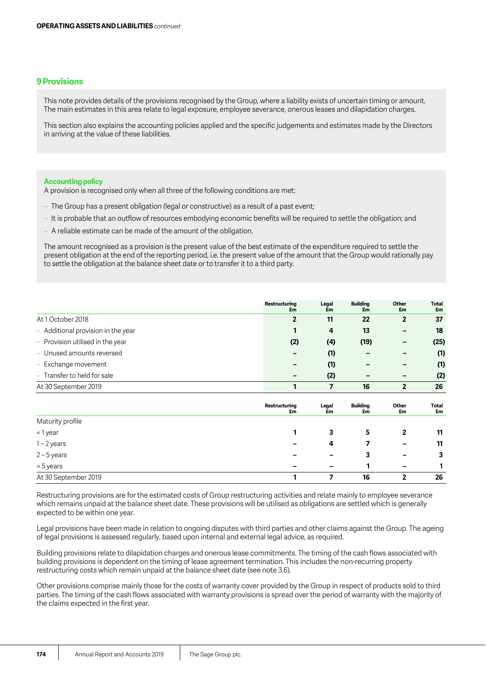# **9 Provisions**

This note provides details of the provisions recognised by the Group, where a liability exists of uncertain timing or amount. The main estimates in this area relate to legal exposure, employee severance, onerous leases and dilapidation charges.

This section also explains the accounting policies applied and the specific judgements and estimates made by the Directors in arriving at the value of these liabilities.

#### **Accounting policy**

A provision is recognised only when all three of the following conditions are met:

- The Group has a present obligation (legal or constructive) as a result of a past event;
- It is probable that an outflow of resources embodying economic benefits will be required to settle the obligation; and
- A reliable estimate can be made of the amount of the obligation.

The amount recognised as a provision is the present value of the best estimate of the expenditure required to settle the present obligation at the end of the reporting period, i.e. the present value of the amount that the Group would rationally pay to settle the obligation at the balance sheet date or to transfer it to a third party.

|                                       | Restructuring<br>£m | Legal<br>£m    | <b>Building</b><br>£m | Other<br>£m    | <b>Total</b><br>£m |
|---------------------------------------|---------------------|----------------|-----------------------|----------------|--------------------|
| At 1 October 2018                     | 2                   | 11             | 22                    | $\mathbf{2}$   | 37                 |
| Additional provision in the year<br>- |                     | 4              | 13                    |                | 18                 |
| Provision utilised in the year<br>-   | (2)                 | (4)            | (19)                  | -              | (25)               |
| Unused amounts reversed<br>-          |                     | (1)            |                       |                | (1)                |
| Exchange movement<br>-                |                     | (1)            |                       |                | (1)                |
| Transfer to held for sale<br>÷        |                     | (2)            |                       |                | (2)                |
| At 30 September 2019                  | 1                   | $\overline{ }$ | 16                    | $\overline{2}$ | 26                 |
|                                       | Restructuring<br>£m | Legal<br>£m    | <b>Building</b><br>£m | Other<br>£m    | <b>Total</b><br>£m |
| Maturity profile                      |                     |                |                       |                |                    |
| < 1 year                              |                     | 3              | 5                     | $\mathbf{2}$   | 11                 |
| $1 - 2$ years                         |                     | 4              |                       |                | 11                 |
| $2-5$ years                           |                     |                | 3                     |                | 3                  |
| > 5 years                             |                     |                |                       |                |                    |
| At 30 September 2019                  |                     | 7              | 16                    | $\mathbf{2}$   | 26                 |

Restructuring provisions are for the estimated costs of Group restructuring activities and relate mainly to employee severance which remains unpaid at the balance sheet date. These provisions will be utilised as obligations are settled which is generally expected to be within one year.

Legal provisions have been made in relation to ongoing disputes with third parties and other claims against the Group. The ageing of legal provisions is assessed regularly, based upon internal and external legal advice, as required.

Building provisions relate to dilapidation charges and onerous lease commitments. The timing of the cash flows associated with building provisions is dependent on the timing of lease agreement termination. This includes the non-recurring property restructuring costs which remain unpaid at the balance sheet date (see note 3.6).

Other provisions comprise mainly those for the costs of warranty cover provided by the Group in respect of products sold to third parties. The timing of the cash flows associated with warranty provisions is spread over the period of warranty with the majority of the claims expected in the first year.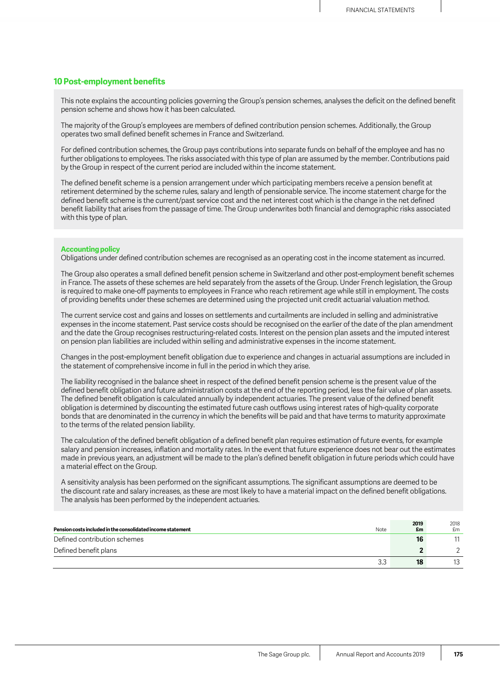# **10 Post-employment benefits**

This note explains the accounting policies governing the Group's pension schemes, analyses the deficit on the defined benefit pension scheme and shows how it has been calculated.

The majority of the Group's employees are members of defined contribution pension schemes. Additionally, the Group operates two small defined benefit schemes in France and Switzerland.

For defined contribution schemes, the Group pays contributions into separate funds on behalf of the employee and has no further obligations to employees. The risks associated with this type of plan are assumed by the member. Contributions paid by the Group in respect of the current period are included within the income statement.

The defined benefit scheme is a pension arrangement under which participating members receive a pension benefit at retirement determined by the scheme rules, salary and length of pensionable service. The income statement charge for the defined benefit scheme is the current/past service cost and the net interest cost which is the change in the net defined benefit liability that arises from the passage of time. The Group underwrites both financial and demographic risks associated with this type of plan.

### **Accounting policy**

Obligations under defined contribution schemes are recognised as an operating cost in the income statement as incurred.

The Group also operates a small defined benefit pension scheme in Switzerland and other post-employment benefit schemes in France. The assets of these schemes are held separately from the assets of the Group. Under French legislation, the Group is required to make one-off payments to employees in France who reach retirement age while still in employment. The costs of providing benefits under these schemes are determined using the projected unit credit actuarial valuation method.

The current service cost and gains and losses on settlements and curtailments are included in selling and administrative expenses in the income statement. Past service costs should be recognised on the earlier of the date of the plan amendment and the date the Group recognises restructuring-related costs. Interest on the pension plan assets and the imputed interest on pension plan liabilities are included within selling and administrative expenses in the income statement.

Changes in the post-employment benefit obligation due to experience and changes in actuarial assumptions are included in the statement of comprehensive income in full in the period in which they arise.

The liability recognised in the balance sheet in respect of the defined benefit pension scheme is the present value of the defined benefit obligation and future administration costs at the end of the reporting period, less the fair value of plan assets. The defined benefit obligation is calculated annually by independent actuaries. The present value of the defined benefit obligation is determined by discounting the estimated future cash outflows using interest rates of high-quality corporate bonds that are denominated in the currency in which the benefits will be paid and that have terms to maturity approximate to the terms of the related pension liability.

The calculation of the defined benefit obligation of a defined benefit plan requires estimation of future events, for example salary and pension increases, inflation and mortality rates. In the event that future experience does not bear out the estimates made in previous years, an adjustment will be made to the plan's defined benefit obligation in future periods which could have a material effect on the Group.

A sensitivity analysis has been performed on the significant assumptions. The significant assumptions are deemed to be the discount rate and salary increases, as these are most likely to have a material impact on the defined benefit obligations. The analysis has been performed by the independent actuaries.

| Pension costs included in the consolidated income statement | Note | 2019<br>£m | 2018<br>£m |
|-------------------------------------------------------------|------|------------|------------|
| Defined contribution schemes                                |      | 16         |            |
| Defined benefit plans                                       |      |            |            |
|                                                             | 3.3  | 18         |            |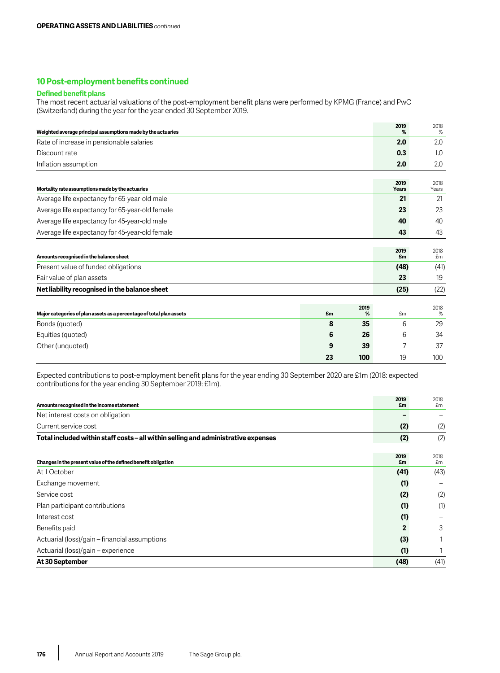# **10 Post-employment benefits continued**

# **Defined benefit plans**

The most recent actuarial valuations of the post-employment benefit plans were performed by KPMG (France) and PwC (Switzerland) during the year for the year ended 30 September 2019.

| Weighted average principal assumptions made by the actuaries         |    |           | 2019<br>%     | 2018<br>%     |
|----------------------------------------------------------------------|----|-----------|---------------|---------------|
| Rate of increase in pensionable salaries                             |    |           | 2.0           | 2.0           |
| Discount rate                                                        |    |           | 0.3           | 1.0           |
| Inflation assumption                                                 |    |           | 2.0           | 2.0           |
|                                                                      |    |           |               |               |
| Mortality rate assumptions made by the actuaries                     |    |           | 2019<br>Years | 2018<br>Years |
| Average life expectancy for 65-year-old male                         |    |           | 21            | 21            |
| Average life expectancy for 65-year-old female                       |    |           | 23            | 23            |
| Average life expectancy for 45-year-old male                         |    |           | 40            | 40            |
| Average life expectancy for 45-year-old female                       |    |           | 43            | 43            |
| Amounts recognised in the balance sheet                              |    |           | 2019<br>£m    | 2018<br>£m    |
| Present value of funded obligations                                  |    |           | (48)          | (41)          |
| Fair value of plan assets                                            |    |           | 23            | 19            |
| Net liability recognised in the balance sheet                        |    |           | (25)          | (22)          |
| Major categories of plan assets as a percentage of total plan assets | £m | 2019<br>℅ | £m            | 2018<br>%     |
| Bonds (quoted)                                                       | 8  | 35        | 6             | 29            |
| Equities (quoted)                                                    | 6  | 26        | 6             | 34            |
| Other (unquoted)                                                     | 9  | 39        | 7             | 37            |
|                                                                      | 23 | 100       | 19            | 100           |

Expected contributions to post-employment benefit plans for the year ending 30 September 2020 are £1m (2018: expected contributions for the year ending 30 September 2019: £1m).

| Amounts recognised in the income statement                                         | 2019<br>£m | 2018<br>£m |
|------------------------------------------------------------------------------------|------------|------------|
| Net interest costs on obligation                                                   |            |            |
| Current service cost                                                               | (2)        | (2)        |
| Total included within staff costs - all within selling and administrative expenses | (2)        | (2)        |
| Changes in the present value of the defined benefit obligation                     | 2019<br>£m | 2018<br>£m |
| At 1 October                                                                       | (41)       | (43)       |
| Exchange movement                                                                  | (1)        |            |
| Service cost                                                                       | (2)        | (2)        |
| Plan participant contributions                                                     | (1)        | (1)        |
| Interest cost                                                                      | (1)        |            |
| Benefits paid                                                                      | 2          | 3          |
| Actuarial (loss)/gain – financial assumptions                                      | (3)        |            |
| Actuarial (loss)/gain - experience                                                 | (1)        |            |
| At 30 September                                                                    | (48)       | (41)       |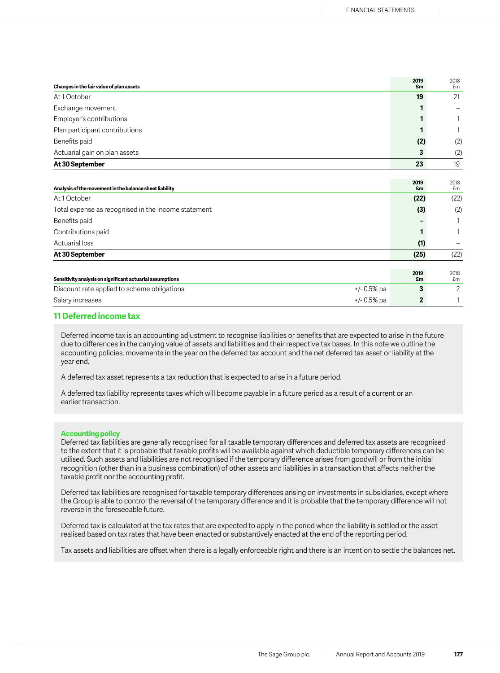| Changes in the fair value of plan assets | 2019<br>£m | 2018<br>£m   |
|------------------------------------------|------------|--------------|
| At 1 October                             | 19         | 21           |
| Exchange movement                        |            |              |
| Employer's contributions                 |            | $\mathbf{1}$ |
| Plan participant contributions           |            | 1            |
| Benefits paid                            | (2)        | (2)          |
| Actuarial gain on plan assets            |            | (2)          |
| At 30 September                          | 23         | 19           |

| Analysis of the movement in the balance sheet liability   |               | 2019<br>£m   | 2018<br>£m |
|-----------------------------------------------------------|---------------|--------------|------------|
| At 1 October                                              |               | (22)         | (22)       |
| Total expense as recognised in the income statement       |               | (3)          | (2)        |
| Benefits paid                                             |               |              |            |
| Contributions paid                                        |               |              |            |
| Actuarial loss                                            |               | (1)          |            |
| At 30 September                                           |               | (25)         | (22)       |
| Sensitivity analysis on significant actuarial assumptions |               | 2019<br>£m   | 2018<br>£m |
| Discount rate applied to scheme obligations               | +/-0.5% pa    | 3            | 2          |
| Salary increases                                          | $+/- 0.5%$ pa | $\mathbf{2}$ |            |

# **11 Deferred income tax**

Deferred income tax is an accounting adjustment to recognise liabilities or benefits that are expected to arise in the future due to differences in the carrying value of assets and liabilities and their respective tax bases. In this note we outline the accounting policies, movements in the year on the deferred tax account and the net deferred tax asset or liability at the year end.

A deferred tax asset represents a tax reduction that is expected to arise in a future period.

A deferred tax liability represents taxes which will become payable in a future period as a result of a current or an earlier transaction.

### **Accounting policy**

Deferred tax liabilities are generally recognised for all taxable temporary differences and deferred tax assets are recognised to the extent that it is probable that taxable profits will be available against which deductible temporary differences can be utilised. Such assets and liabilities are not recognised if the temporary difference arises from goodwill or from the initial recognition (other than in a business combination) of other assets and liabilities in a transaction that affects neither the taxable profit nor the accounting profit.

Deferred tax liabilities are recognised for taxable temporary differences arising on investments in subsidiaries, except where the Group is able to control the reversal of the temporary difference and it is probable that the temporary difference will not reverse in the foreseeable future.

Deferred tax is calculated at the tax rates that are expected to apply in the period when the liability is settled or the asset realised based on tax rates that have been enacted or substantively enacted at the end of the reporting period.

Tax assets and liabilities are offset when there is a legally enforceable right and there is an intention to settle the balances net.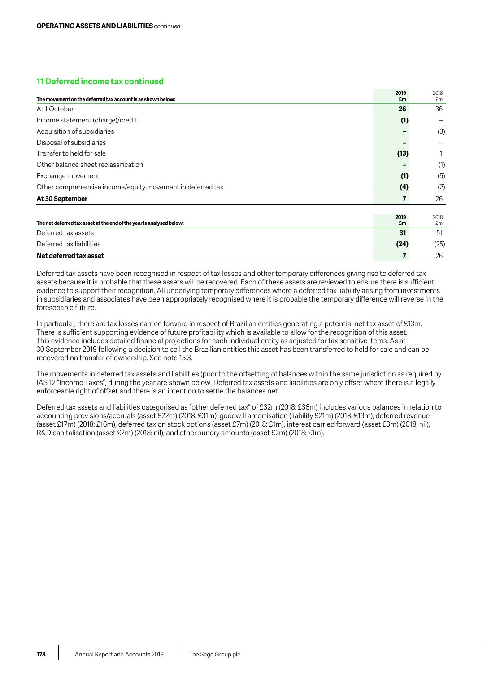# **11 Deferred income tax continued**

| The movement on the deferred tax account is as shown below:          | 2019<br>£m | 2018<br>£m |
|----------------------------------------------------------------------|------------|------------|
| At 1 October                                                         | 26         | 36         |
| Income statement (charge)/credit                                     | (1)        |            |
| Acquisition of subsidiaries                                          |            | (3)        |
| Disposal of subsidiaries                                             |            |            |
| Transfer to held for sale                                            | (13)       |            |
| Other balance sheet reclassification                                 |            | (1)        |
| Exchange movement                                                    | (1)        | (5)        |
| Other comprehensive income/equity movement in deferred tax           | (4)        | (2)        |
| At 30 September                                                      | 7          | 26         |
|                                                                      |            |            |
| The net deferred tax asset at the end of the year is analysed below: | 2019<br>£m | 2018<br>£m |
| Deferred tax assets                                                  | 31         | 51         |
| Deferred tax liabilities                                             | (24)       | (25)       |
| Net deferred tax asset                                               | 7          | 26         |

Deferred tax assets have been recognised in respect of tax losses and other temporary differences giving rise to deferred tax assets because it is probable that these assets will be recovered. Each of these assets are reviewed to ensure there is sufficient evidence to support their recognition. All underlying temporary differences where a deferred tax liability arising from investments in subsidiaries and associates have been appropriately recognised where it is probable the temporary difference will reverse in the foreseeable future.

In particular, there are tax losses carried forward in respect of Brazilian entities generating a potential net tax asset of £13m. There is sufficient supporting evidence of future profitability which is available to allow for the recognition of this asset. This evidence includes detailed financial projections for each individual entity as adjusted for tax sensitive items. As at 30 September 2019 following a decision to sell the Brazilian entities this asset has been transferred to held for sale and can be recovered on transfer of ownership. See note 15.3.

The movements in deferred tax assets and liabilities (prior to the offsetting of balances within the same jurisdiction as required by IAS 12 "Income Taxes", during the year are shown below. Deferred tax assets and liabilities are only offset where there is a legally enforceable right of offset and there is an intention to settle the balances net.

Deferred tax assets and liabilities categorised as "other deferred tax" of £32m (2018: £36m) includes various balances in relation to accounting provisions/accruals (asset £22m) (2018: £31m), goodwill amortisation (liability £21m) (2018: £13m), deferred revenue (asset £17m) (2018: £16m), deferred tax on stock options (asset £7m) (2018: £1m), interest carried forward (asset £3m) (2018: nil), R&D capitalisation (asset £2m) (2018: nil), and other sundry amounts (asset £2m) (2018: £1m).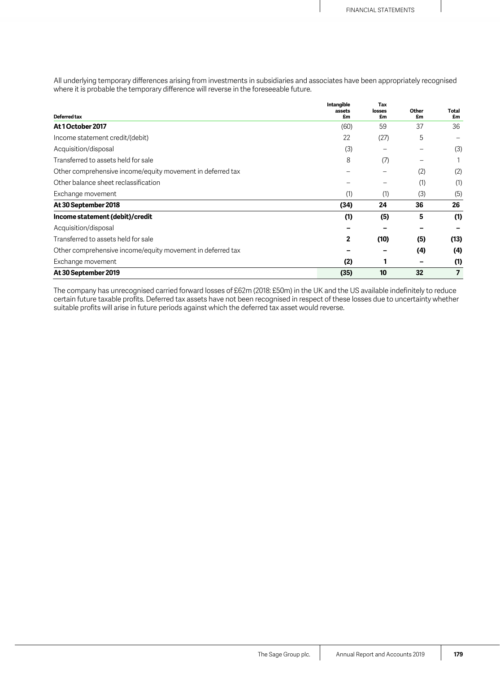| Deferred tax                                               | Intangible<br>assets<br>£m | Tax<br>losses<br>£m | Other<br>£m | <b>Total</b><br>£m |
|------------------------------------------------------------|----------------------------|---------------------|-------------|--------------------|
| At 1 October 2017                                          | (60)                       | 59                  | 37          | 36                 |
| Income statement credit/(debit)                            | 22                         | (27)                | 5           |                    |
| Acquisition/disposal                                       | (3)                        |                     |             | (3)                |
| Transferred to assets held for sale                        | 8                          | (7)                 | -           |                    |
| Other comprehensive income/equity movement in deferred tax |                            |                     | (2)         | (2)                |
| Other balance sheet reclassification                       |                            |                     | (1)         | (1)                |
| Exchange movement                                          | (1)                        | (1)                 | (3)         | (5)                |
| At 30 September 2018                                       | (34)                       | 24                  | 36          | 26                 |
| Income statement (debit)/credit                            | (1)                        | (5)                 | 5           | (1)                |
| Acquisition/disposal                                       |                            |                     |             |                    |
| Transferred to assets held for sale                        | $\mathbf{2}$               | (10)                | (5)         | (13)               |
| Other comprehensive income/equity movement in deferred tax |                            |                     | (4)         | (4)                |
| Exchange movement                                          | (2)                        |                     |             | (1)                |
| At 30 September 2019                                       | (35)                       | 10                  | 32          | 7                  |

All underlying temporary differences arising from investments in subsidiaries and associates have been appropriately recognised where it is probable the temporary difference will reverse in the foreseeable future.

The company has unrecognised carried forward losses of £62m (2018: £50m) in the UK and the US available indefinitely to reduce certain future taxable profits. Deferred tax assets have not been recognised in respect of these losses due to uncertainty whether suitable profits will arise in future periods against which the deferred tax asset would reverse.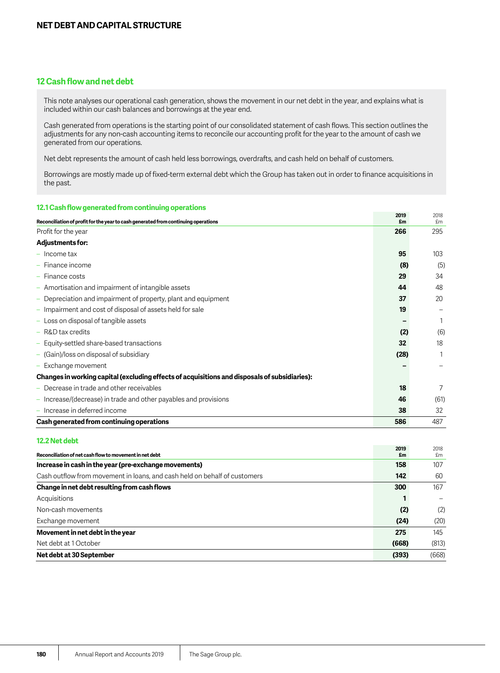# **12 Cash flow and net debt**

This note analyses our operational cash generation, shows the movement in our net debt in the year, and explains what is included within our cash balances and borrowings at the year end.

Cash generated from operations is the starting point of our consolidated statement of cash flows. This section outlines the adjustments for any non-cash accounting items to reconcile our accounting profit for the year to the amount of cash we generated from our operations.

Net debt represents the amount of cash held less borrowings, overdrafts, and cash held on behalf of customers.

Borrowings are mostly made up of fixed-term external debt which the Group has taken out in order to finance acquisitions in the past.

# **12.1 Cash flow generated from continuing operations**

| Reconciliation of profit for the year to cash generated from continuing operations            | 2019<br>£m | 2018<br>£m |
|-----------------------------------------------------------------------------------------------|------------|------------|
| Profit for the year                                                                           | 266        | 295        |
| Adjustments for:                                                                              |            |            |
| Income tax                                                                                    | 95         | 103        |
| Finance income                                                                                | (8)        | (5)        |
| Finance costs                                                                                 | 29         | 34         |
| - Amortisation and impairment of intangible assets                                            | 44         | 48         |
| Depreciation and impairment of property, plant and equipment                                  | 37         | 20         |
| Impairment and cost of disposal of assets held for sale                                       | 19         |            |
| Loss on disposal of tangible assets                                                           |            |            |
| R&D tax credits                                                                               | (2)        | (6)        |
| Equity-settled share-based transactions                                                       | 32         | 18         |
| (Gain)/loss on disposal of subsidiary                                                         | (28)       |            |
| Exchange movement                                                                             |            |            |
| Changes in working capital (excluding effects of acquisitions and disposals of subsidiaries): |            |            |
| Decrease in trade and other receivables                                                       | 18         | 7          |
| Increase/(decrease) in trade and other payables and provisions                                | 46         | (61)       |
| Increase in deferred income                                                                   | 38         | 32         |
| Cash generated from continuing operations                                                     | 586        | 487        |

# **12.2 Net debt**

| Reconciliation of net cash flow to movement in net debt                   | 2019<br>£m | 2018<br>£m |
|---------------------------------------------------------------------------|------------|------------|
| Increase in cash in the year (pre-exchange movements)                     | 158        | 107        |
| Cash outflow from movement in loans, and cash held on behalf of customers | 142        | 60         |
| Change in net debt resulting from cash flows                              | 300        | 167        |
| Acquisitions                                                              |            |            |
| Non-cash movements                                                        | (2)        | (2)        |
| Exchange movement                                                         | (24)       | (20)       |
| Movement in net debt in the year                                          | 275        | 145        |
| Net debt at 1 October                                                     | (668)      | (813)      |
| Net debt at 30 September                                                  | (393)      | (668)      |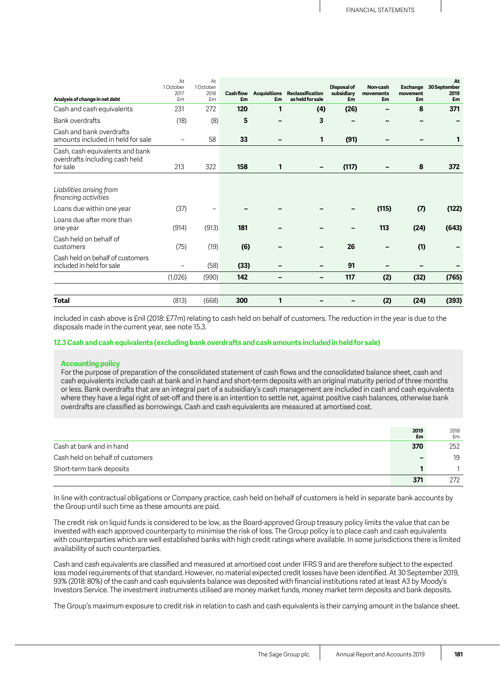| Analysis of change in net debt                                                | At<br>1 October<br>2017<br>£m | At<br>1 October<br>2018<br>£m | <b>Cash flow</b><br>£m | <b>Acquisitions</b><br>£m | Reclassification<br>as held for sale | Disposal of<br>subsidiary<br>£m | Non-cash<br>movements<br>£m | Exchange<br>movement<br>£m | At<br>30 September<br>2019<br>£m |
|-------------------------------------------------------------------------------|-------------------------------|-------------------------------|------------------------|---------------------------|--------------------------------------|---------------------------------|-----------------------------|----------------------------|----------------------------------|
| Cash and cash equivalents                                                     | 231                           | 272                           | 120                    | 1                         | (4)                                  | (26)                            |                             | 8                          | 371                              |
| Bank overdrafts                                                               | (18)                          | (8)                           | 5                      |                           | 3                                    |                                 |                             |                            |                                  |
| Cash and bank overdrafts<br>amounts included in held for sale                 |                               | 58                            | 33                     |                           | 1                                    | (91)                            |                             |                            | 1                                |
| Cash, cash equivalents and bank<br>overdrafts including cash held<br>for sale | 213                           | 322                           | 158                    | 1                         |                                      | (117)                           |                             | 8                          | 372                              |
| Liabilities arising from<br>financing activities                              |                               |                               |                        |                           |                                      |                                 |                             |                            |                                  |
| Loans due within one year                                                     | (37)                          |                               |                        |                           |                                      |                                 | (115)                       | (7)                        | (122)                            |
| Loans due after more than<br>one year                                         | (914)                         | (913)                         | 181                    |                           |                                      |                                 | 113                         | (24)                       | (643)                            |
| Cash held on behalf of<br>customers                                           | (75)                          | (19)                          | (6)                    |                           |                                      | 26                              |                             | (1)                        |                                  |
| Cash held on behalf of customers<br>included in held for sale                 |                               | (58)                          | (33)                   |                           |                                      | 91                              |                             |                            |                                  |
|                                                                               | (1,026)                       | (990)                         | 142                    |                           |                                      | 117                             | (2)                         | (32)                       | (765)                            |
|                                                                               |                               |                               |                        |                           |                                      |                                 |                             |                            |                                  |
| Total                                                                         | (813)                         | (668)                         | 300                    | 1                         |                                      |                                 | (2)                         | (24)                       | (393)                            |

Included in cash above is £nil (2018: £77m) relating to cash held on behalf of customers. The reduction in the year is due to the disposals made in the current year, see note 15.3.

#### **12.3 Cash and cash equivalents (excluding bank overdrafts and cash amounts included in held for sale)**

#### **Accounting policy**

For the purpose of preparation of the consolidated statement of cash flows and the consolidated balance sheet, cash and cash equivalents include cash at bank and in hand and short-term deposits with an original maturity period of three months or less. Bank overdrafts that are an integral part of a subsidiary's cash management are included in cash and cash equivalents where they have a legal right of set-off and there is an intention to settle net, against positive cash balances, otherwise bank overdrafts are classified as borrowings. Cash and cash equivalents are measured at amortised cost.

|                                  | 2019<br>£m | 2018<br>£m |
|----------------------------------|------------|------------|
| Cash at bank and in hand         | 370        | 252        |
| Cash held on behalf of customers |            | 19         |
| Short-term bank deposits         |            |            |
|                                  | 371        |            |

In line with contractual obligations or Company practice, cash held on behalf of customers is held in separate bank accounts by the Group until such time as these amounts are paid.

The credit risk on liquid funds is considered to be low, as the Board-approved Group treasury policy limits the value that can be invested with each approved counterparty to minimise the risk of loss. The Group policy is to place cash and cash equivalents with counterparties which are well established banks with high credit ratings where available. In some jurisdictions there is limited availability of such counterparties.

Cash and cash equivalents are classified and measured at amortised cost under IFRS 9 and are therefore subject to the expected loss model requirements of that standard. However, no material expected credit losses have been identified. At 30 September 2019, 93% (2018: 80%) of the cash and cash equivalents balance was deposited with financial institutions rated at least A3 by Moody's Investors Service. The investment instruments utilised are money market funds, money market term deposits and bank deposits.

The Group's maximum exposure to credit risk in relation to cash and cash equivalents is their carrying amount in the balance sheet.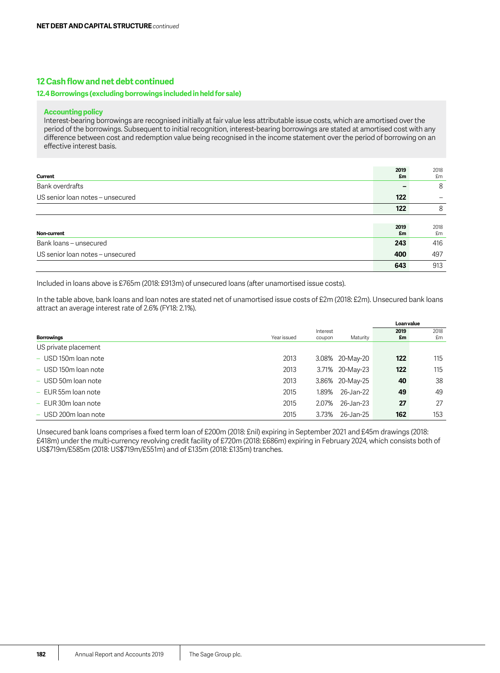# **12 Cash flow and net debt continued**

# **12.4 Borrowings (excluding borrowings included in held for sale)**

## **Accounting policy**

Interest-bearing borrowings are recognised initially at fair value less attributable issue costs, which are amortised over the period of the borrowings. Subsequent to initial recognition, interest-bearing borrowings are stated at amortised cost with any difference between cost and redemption value being recognised in the income statement over the period of borrowing on an effective interest basis.

| Current                          | 2019<br>£m | 2018<br>£m |
|----------------------------------|------------|------------|
| Bank overdrafts                  |            | 8          |
| US senior loan notes - unsecured | 122        |            |
|                                  | 122        | 8          |
|                                  |            |            |
| Non-current                      | 2019<br>£m | 2018<br>£m |
| Bank loans - unsecured           | 243        | 416        |
| US senior loan notes - unsecured | 400        | 497        |
|                                  | 643        | 913        |

Included in loans above is £765m (2018: £913m) of unsecured loans (after unamortised issue costs).

In the table above, bank loans and loan notes are stated net of unamortised issue costs of £2m (2018: £2m). Unsecured bank loans attract an average interest rate of 2.6% (FY18: 2.1%).

|                       |             |                    |                 | Loan value |            |
|-----------------------|-------------|--------------------|-----------------|------------|------------|
| <b>Borrowings</b>     | Year issued | Interest<br>coupon | Maturity        | 2019<br>£m | 2018<br>£m |
| US private placement  |             |                    |                 |            |            |
| - USD 150m loan note  | 2013        |                    | 3.08% 20-May-20 | 122        | 115        |
| - USD 150m loan note  | 2013        |                    | 3.71% 20-May-23 | 122        | 115        |
| - USD 50m loan note   | 2013        |                    | 3.86% 20-May-25 | 40         | 38         |
| $-$ EUR 55m loan note | 2015        | 1.89%              | 26-Jan-22       | 49         | 49         |
| $-$ EUR 30m loan note | 2015        | 2.07%              | 26-Jan-23       | 27         | 27         |
| - USD 200m loan note  | 2015        | 3.73%              | 26-Jan-25       | 162        | 153        |

Unsecured bank loans comprises a fixed term loan of £200m (2018: £nil) expiring in September 2021 and £45m drawings (2018: £418m) under the multi-currency revolving credit facility of £720m (2018: £686m) expiring in February 2024, which consists both of US\$719m/£585m (2018: US\$719m/£551m) and of £135m (2018: £135m) tranches.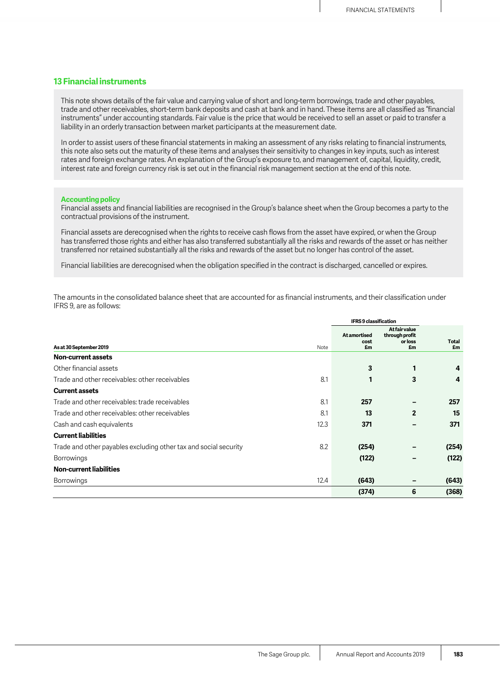# **13 Financial instruments**

This note shows details of the fair value and carrying value of short and long-term borrowings, trade and other payables, trade and other receivables, short-term bank deposits and cash at bank and in hand. These items are all classified as "financial instruments" under accounting standards. Fair value is the price that would be received to sell an asset or paid to transfer a liability in an orderly transaction between market participants at the measurement date.

In order to assist users of these financial statements in making an assessment of any risks relating to financial instruments, this note also sets out the maturity of these items and analyses their sensitivity to changes in key inputs, such as interest rates and foreign exchange rates. An explanation of the Group's exposure to, and management of, capital, liquidity, credit, interest rate and foreign currency risk is set out in the financial risk management section at the end of this note.

#### **Accounting policy**

Financial assets and financial liabilities are recognised in the Group's balance sheet when the Group becomes a party to the contractual provisions of the instrument.

Financial assets are derecognised when the rights to receive cash flows from the asset have expired, or when the Group has transferred those rights and either has also transferred substantially all the risks and rewards of the asset or has neither transferred nor retained substantially all the risks and rewards of the asset but no longer has control of the asset.

Financial liabilities are derecognised when the obligation specified in the contract is discharged, cancelled or expires.

The amounts in the consolidated balance sheet that are accounted for as financial instruments, and their classification under IFRS 9, are as follows:

|                                                                  |      |                            | <b>IFRS 9 classification</b>                     |                    |  |
|------------------------------------------------------------------|------|----------------------------|--------------------------------------------------|--------------------|--|
| As at 30 September 2019                                          | Note | At amortised<br>cost<br>£m | At fair value<br>through profit<br>or loss<br>£m | <b>Total</b><br>£m |  |
| Non-current assets                                               |      |                            |                                                  |                    |  |
| Other financial assets                                           |      | 3                          |                                                  | 4                  |  |
| Trade and other receivables: other receivables                   | 8.1  |                            | 3                                                | 4                  |  |
| <b>Current assets</b>                                            |      |                            |                                                  |                    |  |
| Trade and other receivables: trade receivables                   | 8.1  | 257                        |                                                  | 257                |  |
| Trade and other receivables: other receivables                   | 8.1  | 13                         | $\mathbf{2}$                                     | 15                 |  |
| Cash and cash equivalents                                        | 12.3 | 371                        |                                                  | 371                |  |
| <b>Current liabilities</b>                                       |      |                            |                                                  |                    |  |
| Trade and other payables excluding other tax and social security | 8.2  | (254)                      |                                                  | (254)              |  |
| <b>Borrowings</b>                                                |      | (122)                      |                                                  | (122)              |  |
| <b>Non-current liabilities</b>                                   |      |                            |                                                  |                    |  |
| <b>Borrowings</b>                                                | 12.4 | (643)                      |                                                  | (643)              |  |
|                                                                  |      | (374)                      | 6                                                | (368)              |  |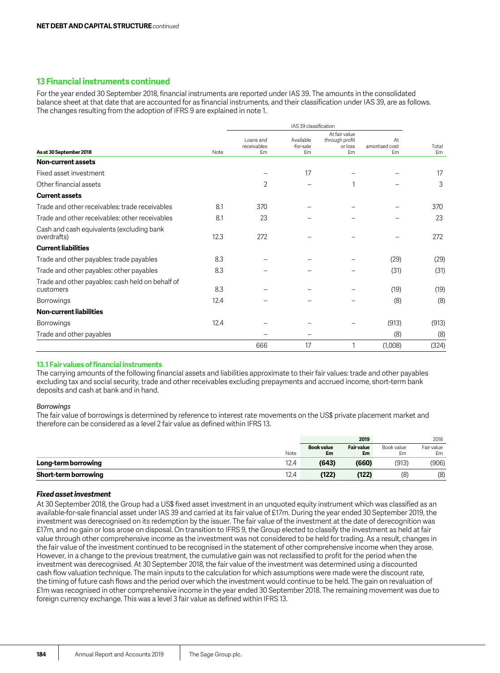# **13 Financial instruments continued**

For the year ended 30 September 2018, financial instruments are reported under IAS 39. The amounts in the consolidated balance sheet at that date that are accounted for as financial instruments, and their classification under IAS 39, are as follows. The changes resulting from the adoption of IFRS 9 are explained in note 1.

|                                                               |      | IAS 39 classification          |                                        |                                                            |                            |              |  |
|---------------------------------------------------------------|------|--------------------------------|----------------------------------------|------------------------------------------------------------|----------------------------|--------------|--|
| As at 30 September 2018                                       | Note | Loans and<br>receivables<br>£m | Available<br>-for-sale<br>$f_{\rm dm}$ | At fair value<br>through profit<br>or loss<br>$f_{\rm dm}$ | At<br>amortised cost<br>£m | Total<br>f.m |  |
| Non-current assets                                            |      |                                |                                        |                                                            |                            |              |  |
| Fixed asset investment                                        |      |                                | 17                                     |                                                            |                            | 17           |  |
| Other financial assets                                        |      | 2                              |                                        |                                                            |                            | 3            |  |
| <b>Current assets</b>                                         |      |                                |                                        |                                                            |                            |              |  |
| Trade and other receivables: trade receivables                | 8.1  | 370                            |                                        |                                                            |                            | 370          |  |
| Trade and other receivables: other receivables                | 8.1  | 23                             |                                        |                                                            |                            | 23           |  |
| Cash and cash equivalents (excluding bank<br>overdrafts)      | 12.3 | 272                            |                                        |                                                            |                            | 272          |  |
| <b>Current liabilities</b>                                    |      |                                |                                        |                                                            |                            |              |  |
| Trade and other payables: trade payables                      | 8.3  |                                |                                        |                                                            | (29)                       | (29)         |  |
| Trade and other payables: other payables                      | 8.3  |                                |                                        |                                                            | (31)                       | (31)         |  |
| Trade and other payables: cash held on behalf of<br>customers | 8.3  |                                |                                        |                                                            | (19)                       | (19)         |  |
| <b>Borrowings</b>                                             | 12.4 |                                |                                        |                                                            | (8)                        | (8)          |  |
| Non-current liabilities                                       |      |                                |                                        |                                                            |                            |              |  |
| Borrowings                                                    | 12.4 |                                |                                        |                                                            | (913)                      | (913)        |  |
| Trade and other payables                                      |      |                                |                                        |                                                            | (8)                        | (8)          |  |
|                                                               |      | 666                            | 17                                     |                                                            | (1,008)                    | (324)        |  |

# **13.1 Fair values of financial instruments**

The carrying amounts of the following financial assets and liabilities approximate to their fair values: trade and other payables excluding tax and social security, trade and other receivables excluding prepayments and accrued income, short-term bank deposits and cash at bank and in hand.

#### *Borrowings*

184

The fair value of borrowings is determined by reference to interest rate movements on the US\$ private placement market and therefore can be considered as a level 2 fair value as defined within IFRS 13.

|                      |      |                         | 2019                    |                  | 2018             |
|----------------------|------|-------------------------|-------------------------|------------------|------------------|
|                      | Note | <b>Book value</b><br>£m | <b>Fair value</b><br>£m | Book value<br>£m | Fair value<br>£m |
| Long-term borrowing  | 12.4 | (643)                   | (660)                   | (913)            | (906)            |
| Short-term borrowing | 12.4 | (122)                   | (122)                   | (8)              | (8)              |

## *Fixed asset investment*

At 30 September 2018, the Group had a US\$ fixed asset investment in an unquoted equity instrument which was classified as an available-for-sale financial asset under IAS 39 and carried at its fair value of £17m. During the year ended 30 September 2019, the investment was derecognised on its redemption by the issuer. The fair value of the investment at the date of derecognition was £17m, and no gain or loss arose on disposal. On transition to IFRS 9, the Group elected to classify the investment as held at fair value through other comprehensive income as the investment was not considered to be held for trading. As a result, changes in the fair value of the investment continued to be recognised in the statement of other comprehensive income when they arose. However, in a change to the previous treatment, the cumulative gain was not reclassified to profit for the period when the investment was derecognised. At 30 September 2018, the fair value of the investment was determined using a discounted cash flow valuation technique. The main inputs to the calculation for which assumptions were made were the discount rate, the timing of future cash flows and the period over which the investment would continue to be held. The gain on revaluation of £1m was recognised in other comprehensive income in the year ended 30 September 2018. The remaining movement was due to foreign currency exchange. This was a level 3 fair value as defined within IFRS 13.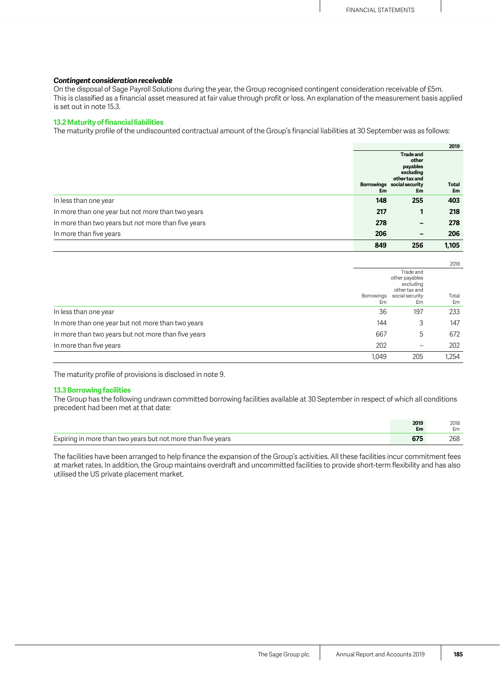### *Contingent consideration receivable*

On the disposal of Sage Payroll Solutions during the year, the Group recognised contingent consideration receivable of £5m. This is classified as a financial asset measured at fair value through profit or loss. An explanation of the measurement basis applied is set out in note 15.3.

# **13.2 Maturity of financial liabilities**

The maturity profile of the undiscounted contractual amount of the Group's financial liabilities at 30 September was as follows:

|                                                     |                         |                                                                     | 2019               |
|-----------------------------------------------------|-------------------------|---------------------------------------------------------------------|--------------------|
|                                                     |                         | <b>Trade and</b><br>other<br>payables<br>excluding<br>other tax and |                    |
|                                                     | <b>Borrowings</b><br>£m | social security<br>£m                                               | <b>Total</b><br>£m |
| In less than one year                               | 148                     | 255                                                                 | 403                |
| In more than one year but not more than two years   | 217                     |                                                                     | 218                |
| In more than two years but not more than five years | 278                     | -                                                                   | 278                |
| In more than five years                             | 206                     | -                                                                   | 206                |
|                                                     | 849                     | 256                                                                 | 1,105              |

|                                                     |                  |                                                                                    | 2018        |
|-----------------------------------------------------|------------------|------------------------------------------------------------------------------------|-------------|
|                                                     | Borrowings<br>£m | Trade and<br>other payables<br>excluding<br>other tax and<br>social security<br>£m | Total<br>£m |
| In less than one year                               | 36               | 197                                                                                | 233         |
| In more than one year but not more than two years   | 144              |                                                                                    | 147         |
| In more than two years but not more than five years | 667              | 5                                                                                  | 672         |
| In more than five years                             | 202              | -                                                                                  | 202         |
|                                                     | 1.049            | 205                                                                                | 1,254       |

The maturity profile of provisions is disclosed in note 9.

#### **13.3 Borrowing facilities**

The Group has the following undrawn committed borrowing facilities available at 30 September in respect of which all conditions precedent had been met at that date:

|                                                              | 2019<br>£m | 2018<br>£m |
|--------------------------------------------------------------|------------|------------|
| Expiring in more than two years but not more than five years |            | 268        |

The facilities have been arranged to help finance the expansion of the Group's activities. All these facilities incur commitment fees at market rates. In addition, the Group maintains overdraft and uncommitted facilities to provide short-term flexibility and has also utilised the US private placement market.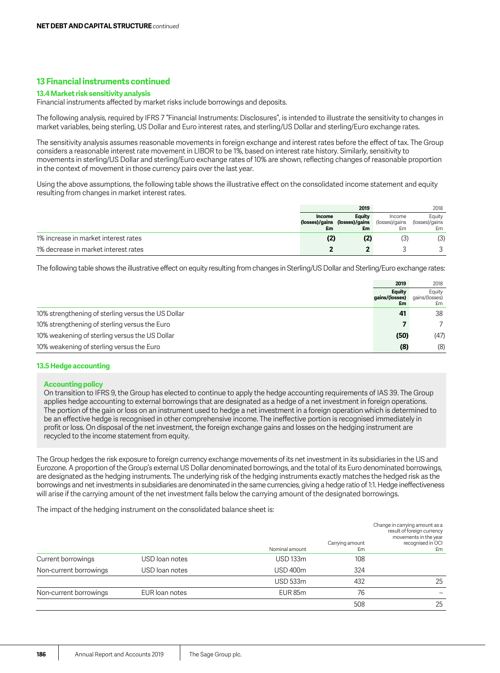# **13 Financial instruments continued**

### **13.4 Market risk sensitivity analysis**

Financial instruments affected by market risks include borrowings and deposits.

The following analysis, required by IFRS 7 "Financial Instruments: Disclosures", is intended to illustrate the sensitivity to changes in market variables, being sterling, US Dollar and Euro interest rates, and sterling/US Dollar and sterling/Euro exchange rates.

The sensitivity analysis assumes reasonable movements in foreign exchange and interest rates before the effect of tax. The Group considers a reasonable interest rate movement in LIBOR to be 1%, based on interest rate history. Similarly, sensitivity to movements in sterling/US Dollar and sterling/Euro exchange rates of 10% are shown, reflecting changes of reasonable proportion in the context of movement in those currency pairs over the last year.

Using the above assumptions, the following table shows the illustrative effect on the consolidated income statement and equity resulting from changes in market interest rates.

|                                      |              | 2019                                          |                                | 2018                           |
|--------------------------------------|--------------|-----------------------------------------------|--------------------------------|--------------------------------|
|                                      | Income<br>£m | Eauity<br>(losses)/gains (losses)/gains<br>£m | Income<br>(losses)/gains<br>£m | Equity<br>(losses)/gains<br>£m |
| 1% increase in market interest rates | (2)          | (2)                                           | (3)                            | (3)                            |
| 1% decrease in market interest rates |              |                                               |                                |                                |

The following table shows the illustrative effect on equity resulting from changes in Sterling/US Dollar and Sterling/Euro exchange rates:

|                                                    | 2019                                  | 2018                           |
|----------------------------------------------------|---------------------------------------|--------------------------------|
|                                                    | <b>Equity</b><br>gains/(losses)<br>£m | Equity<br>gains/(losses)<br>£m |
| 10% strengthening of sterling versus the US Dollar | 41                                    | 38                             |
| 10% strengthening of sterling versus the Euro      |                                       |                                |
| 10% weakening of sterling versus the US Dollar     | (50)                                  | (47)                           |
| 10% weakening of sterling versus the Euro          | (8)                                   | (8)                            |

### **13.5 Hedge accounting**

### **Accounting policy**

186

On transition to IFRS 9, the Group has elected to continue to apply the hedge accounting requirements of IAS 39. The Group applies hedge accounting to external borrowings that are designated as a hedge of a net investment in foreign operations. The portion of the gain or loss on an instrument used to hedge a net investment in a foreign operation which is determined to be an effective hedge is recognised in other comprehensive income. The ineffective portion is recognised immediately in profit or loss. On disposal of the net investment, the foreign exchange gains and losses on the hedging instrument are recycled to the income statement from equity.

The Group hedges the risk exposure to foreign currency exchange movements of its net investment in its subsidiaries in the US and Eurozone. A proportion of the Group's external US Dollar denominated borrowings, and the total of its Euro denominated borrowings, are designated as the hedging instruments. The underlying risk of the hedging instruments exactly matches the hedged risk as the borrowings and net investments in subsidiaries are denominated in the same currencies, giving a hedge ratio of 1:1. Hedge ineffectiveness will arise if the carrying amount of the net investment falls below the carrying amount of the designated borrowings.

The impact of the hedging instrument on the consolidated balance sheet is:

|                | Nominal amount  | Carrying amount<br>£m | Change in carrying amount as a<br>result of foreign currency<br>movements in the year<br>recognised in OCI<br>£m |
|----------------|-----------------|-----------------------|------------------------------------------------------------------------------------------------------------------|
| USD loan notes | USD 133m        | 108                   |                                                                                                                  |
| USD loan notes | USD 400m        | 324                   |                                                                                                                  |
|                | <b>USD 533m</b> | 432                   | 25                                                                                                               |
| EUR loan notes | <b>EUR 85m</b>  | 76                    |                                                                                                                  |
|                |                 | 508                   | 25                                                                                                               |
|                |                 |                       |                                                                                                                  |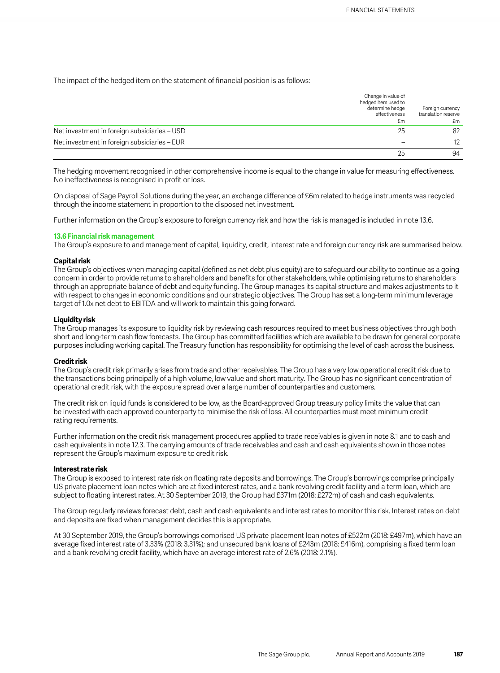The impact of the hedged item on the statement of financial position is as follows:

|                                              | Change in value of<br>hedged item used to<br>determine hedge<br>effectiveness | Foreign currency<br>translation reserve |
|----------------------------------------------|-------------------------------------------------------------------------------|-----------------------------------------|
|                                              | £m                                                                            | £m                                      |
| Net investment in foreign subsidiaries - USD | 25                                                                            | 82                                      |
| Net investment in foreign subsidiaries - EUR | -                                                                             | 12                                      |
|                                              | 25                                                                            | 94                                      |

The hedging movement recognised in other comprehensive income is equal to the change in value for measuring effectiveness. No ineffectiveness is recognised in profit or loss.

On disposal of Sage Payroll Solutions during the year, an exchange difference of £6m related to hedge instruments was recycled through the income statement in proportion to the disposed net investment.

Further information on the Group's exposure to foreign currency risk and how the risk is managed is included in note 13.6.

### **13.6 Financial risk management**

The Group's exposure to and management of capital, liquidity, credit, interest rate and foreign currency risk are summarised below.

### **Capital risk**

The Group's objectives when managing capital (defined as net debt plus equity) are to safeguard our ability to continue as a going concern in order to provide returns to shareholders and benefits for other stakeholders, while optimising returns to shareholders through an appropriate balance of debt and equity funding. The Group manages its capital structure and makes adjustments to it with respect to changes in economic conditions and our strategic objectives. The Group has set a long-term minimum leverage target of 1.0x net debt to EBITDA and will work to maintain this going forward.

### **Liquidity risk**

The Group manages its exposure to liquidity risk by reviewing cash resources required to meet business objectives through both short and long-term cash flow forecasts. The Group has committed facilities which are available to be drawn for general corporate purposes including working capital. The Treasury function has responsibility for optimising the level of cash across the business.

#### **Credit risk**

The Group's credit risk primarily arises from trade and other receivables. The Group has a very low operational credit risk due to the transactions being principally of a high volume, low value and short maturity. The Group has no significant concentration of operational credit risk, with the exposure spread over a large number of counterparties and customers.

The credit risk on liquid funds is considered to be low, as the Board-approved Group treasury policy limits the value that can be invested with each approved counterparty to minimise the risk of loss. All counterparties must meet minimum credit rating requirements.

Further information on the credit risk management procedures applied to trade receivables is given in note 8.1 and to cash and cash equivalents in note 12.3. The carrying amounts of trade receivables and cash and cash equivalents shown in those notes represent the Group's maximum exposure to credit risk.

### **Interest rate risk**

The Group is exposed to interest rate risk on floating rate deposits and borrowings. The Group's borrowings comprise principally US private placement loan notes which are at fixed interest rates, and a bank revolving credit facility and a term loan, which are subject to floating interest rates. At 30 September 2019, the Group had £371m (2018: £272m) of cash and cash equivalents.

The Group regularly reviews forecast debt, cash and cash equivalents and interest rates to monitor this risk. Interest rates on debt and deposits are fixed when management decides this is appropriate.

At 30 September 2019, the Group's borrowings comprised US private placement loan notes of £522m (2018: £497m), which have an average fixed interest rate of 3.33% (2018: 3.31%); and unsecured bank loans of £243m (2018: £416m), comprising a fixed term loan and a bank revolving credit facility, which have an average interest rate of 2.6% (2018: 2.1%).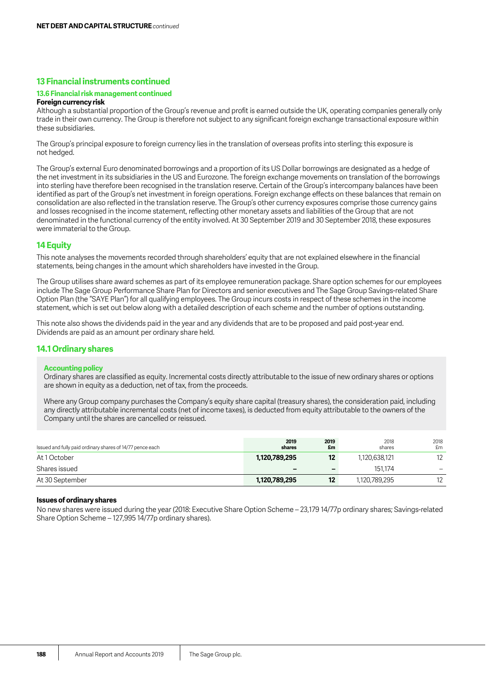# **13 Financial instruments continued**

### **13.6 Financial risk management continued**

## **Foreign currency risk**

Although a substantial proportion of the Group's revenue and profit is earned outside the UK, operating companies generally only trade in their own currency. The Group is therefore not subject to any significant foreign exchange transactional exposure within these subsidiaries.

The Group's principal exposure to foreign currency lies in the translation of overseas profits into sterling; this exposure is not hedged.

The Group's external Euro denominated borrowings and a proportion of its US Dollar borrowings are designated as a hedge of the net investment in its subsidiaries in the US and Eurozone. The foreign exchange movements on translation of the borrowings into sterling have therefore been recognised in the translation reserve. Certain of the Group's intercompany balances have been identified as part of the Group's net investment in foreign operations. Foreign exchange effects on these balances that remain on consolidation are also reflected in the translation reserve. The Group's other currency exposures comprise those currency gains and losses recognised in the income statement, reflecting other monetary assets and liabilities of the Group that are not denominated in the functional currency of the entity involved. At 30 September 2019 and 30 September 2018, these exposures were immaterial to the Group.

# **14 Equity**

This note analyses the movements recorded through shareholders' equity that are not explained elsewhere in the financial statements, being changes in the amount which shareholders have invested in the Group.

The Group utilises share award schemes as part of its employee remuneration package. Share option schemes for our employees include The Sage Group Performance Share Plan for Directors and senior executives and The Sage Group Savings-related Share Option Plan (the "SAYE Plan") for all qualifying employees. The Group incurs costs in respect of these schemes in the income statement, which is set out below along with a detailed description of each scheme and the number of options outstanding.

This note also shows the dividends paid in the year and any dividends that are to be proposed and paid post-year end. Dividends are paid as an amount per ordinary share held.

# **14.1 Ordinary shares**

#### **Accounting policy**

Ordinary shares are classified as equity. Incremental costs directly attributable to the issue of new ordinary shares or options are shown in equity as a deduction, net of tax, from the proceeds.

Where any Group company purchases the Company's equity share capital (treasury shares), the consideration paid, including any directly attributable incremental costs (net of income taxes), is deducted from equity attributable to the owners of the Company until the shares are cancelled or reissued.

| Issued and fully paid ordinary shares of 14/77 pence each | 2019<br>shares           | 2019<br>£m               | 2018<br>shares | 2018<br>£m |
|-----------------------------------------------------------|--------------------------|--------------------------|----------------|------------|
| At 1 October                                              | 1,120,789,295            | 12                       | 1,120,638,121  | 12         |
| Shares issued                                             | $\overline{\phantom{a}}$ | $\overline{\phantom{0}}$ | 151.174        | -          |
| At 30 September                                           | 1,120,789,295            | 12                       | 1,120,789,295  |            |

## **Issues of ordinary shares**

No new shares were issued during the year (2018: Executive Share Option Scheme – 23,179 14/77p ordinary shares; Savings-related Share Option Scheme – 127,995 14/77p ordinary shares).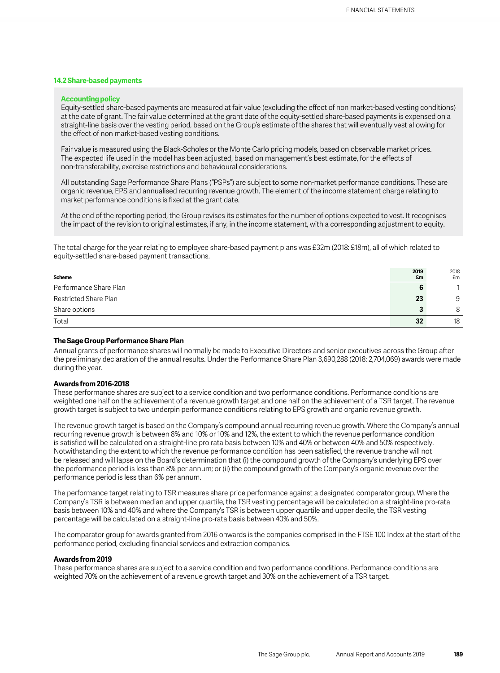### **14.2 Share-based payments**

## **Accounting policy**

Equity-settled share-based payments are measured at fair value (excluding the effect of non market-based vesting conditions) at the date of grant. The fair value determined at the grant date of the equity-settled share-based payments is expensed on a straight-line basis over the vesting period, based on the Group's estimate of the shares that will eventually vest allowing for the effect of non market-based vesting conditions.

Fair value is measured using the Black-Scholes or the Monte Carlo pricing models, based on observable market prices. The expected life used in the model has been adjusted, based on management's best estimate, for the effects of non-transferability, exercise restrictions and behavioural considerations.

All outstanding Sage Performance Share Plans ("PSPs") are subject to some non-market performance conditions. These are organic revenue, EPS and annualised recurring revenue growth. The element of the income statement charge relating to market performance conditions is fixed at the grant date.

At the end of the reporting period, the Group revises its estimates for the number of options expected to vest. It recognises the impact of the revision to original estimates, if any, in the income statement, with a corresponding adjustment to equity.

The total charge for the year relating to employee share-based payment plans was £32m (2018: £18m), all of which related to equity-settled share-based payment transactions.

| Scheme                 | 2019<br>£m | 2018<br>£m |
|------------------------|------------|------------|
| Performance Share Plan |            |            |
| Restricted Share Plan  | 23         | 9          |
| Share options          |            |            |
| Total                  | 32         | 18         |

### **The Sage Group Performance Share Plan**

Annual grants of performance shares will normally be made to Executive Directors and senior executives across the Group after the preliminary declaration of the annual results. Under the Performance Share Plan 3,690,288 (2018: 2,704,069) awards were made during the year.

### **Awards from 2016-2018**

These performance shares are subject to a service condition and two performance conditions. Performance conditions are weighted one half on the achievement of a revenue growth target and one half on the achievement of a TSR target. The revenue growth target is subject to two underpin performance conditions relating to EPS growth and organic revenue growth.

The revenue growth target is based on the Company's compound annual recurring revenue growth. Where the Company's annual recurring revenue growth is between 8% and 10% or 10% and 12%, the extent to which the revenue performance condition is satisfied will be calculated on a straight-line pro rata basis between 10% and 40% or between 40% and 50% respectively. Notwithstanding the extent to which the revenue performance condition has been satisfied, the revenue tranche will not be released and will lapse on the Board's determination that (i) the compound growth of the Company's underlying EPS over the performance period is less than 8% per annum; or (ii) the compound growth of the Company's organic revenue over the performance period is less than 6% per annum.

The performance target relating to TSR measures share price performance against a designated comparator group. Where the Company's TSR is between median and upper quartile, the TSR vesting percentage will be calculated on a straight-line pro-rata basis between 10% and 40% and where the Company's TSR is between upper quartile and upper decile, the TSR vesting percentage will be calculated on a straight-line pro-rata basis between 40% and 50%.

The comparator group for awards granted from 2016 onwards is the companies comprised in the FTSE 100 Index at the start of the performance period, excluding financial services and extraction companies.

#### **Awards from 2019**

These performance shares are subject to a service condition and two performance conditions. Performance conditions are weighted 70% on the achievement of a revenue growth target and 30% on the achievement of a TSR target.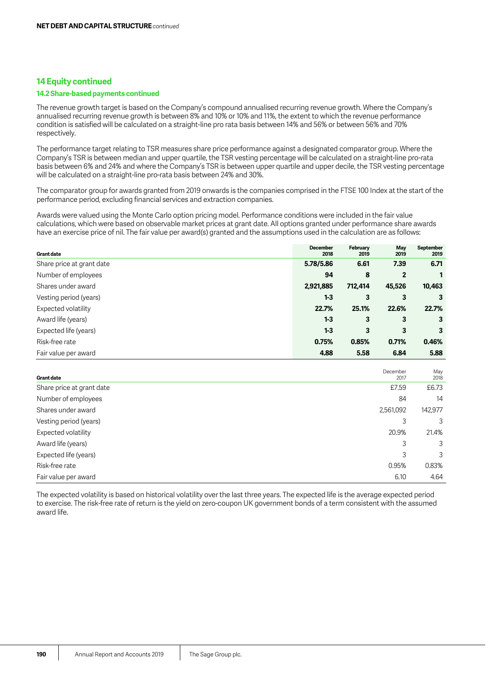# **14 Equity continued**

### **14.2 Share-based payments continued**

The revenue growth target is based on the Company's compound annualised recurring revenue growth. Where the Company's annualised recurring revenue growth is between 8% and 10% or 10% and 11%, the extent to which the revenue performance condition is satisfied will be calculated on a straight-line pro rata basis between 14% and 56% or between 56% and 70% respectively.

The performance target relating to TSR measures share price performance against a designated comparator group. Where the Company's TSR is between median and upper quartile, the TSR vesting percentage will be calculated on a straight-line pro-rata basis between 6% and 24% and where the Company's TSR is between upper quartile and upper decile, the TSR vesting percentage will be calculated on a straight-line pro-rata basis between 24% and 30%.

The comparator group for awards granted from 2019 onwards is the companies comprised in the FTSE 100 Index at the start of the performance period, excluding financial services and extraction companies.

Awards were valued using the Monte Carlo option pricing model. Performance conditions were included in the fair value calculations, which were based on observable market prices at grant date. All options granted under performance share awards have an exercise price of nil. The fair value per award(s) granted and the assumptions used in the calculation are as follows:

|                           | <b>December</b> | February | May          | September |
|---------------------------|-----------------|----------|--------------|-----------|
| <b>Grant date</b>         | 2018            | 2019     | 2019         | 2019      |
| Share price at grant date | 5.78/5.86       | 6.61     | 7.39         | 6.71      |
| Number of employees       | 94              | 8        | $\mathbf{2}$ |           |
| Shares under award        | 2,921,885       | 712.414  | 45,526       | 10,463    |
| Vesting period (years)    | $1-3$           | 3        | 3            | 3         |
| Expected volatility       | 22.7%           | 25.1%    | 22.6%        | 22.7%     |
| Award life (years)        | $1-3$           | 3        | 3            | 3         |
| Expected life (years)     | $1-3$           | 3        | 3            | 3         |
| Risk-free rate            | 0.75%           | 0.85%    | 0.71%        | 0.46%     |
| Fair value per award      | 4.88            | 5.58     | 6.84         | 5.88      |

| <b>Grant date</b>         | December<br>2017 | May<br>2018 |
|---------------------------|------------------|-------------|
| Share price at grant date | £7.59            | £6.73       |
| Number of employees       | 84               | 14          |
| Shares under award        | 2,561,092        | 142,977     |
| Vesting period (years)    | 3                | 3           |
| Expected volatility       | 20.9%            | 21.4%       |
| Award life (years)        | 3                | 3           |
| Expected life (years)     | 3                | 3           |
| Risk-free rate            | 0.95%            | 0.83%       |
| Fair value per award      | 6.10             | 4.64        |

The expected volatility is based on historical volatility over the last three years. The expected life is the average expected period to exercise. The risk-free rate of return is the yield on zero-coupon UK government bonds of a term consistent with the assumed award life.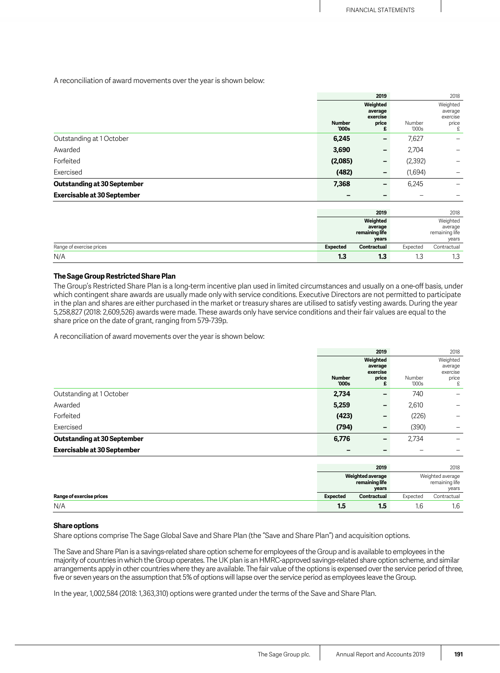A reconciliation of award movements over the year is shown below:

|                                    |                        | 2019                                          |                 | 2018                                          |
|------------------------------------|------------------------|-----------------------------------------------|-----------------|-----------------------------------------------|
|                                    | <b>Number</b><br>'000s | Weighted<br>average<br>exercise<br>price<br>£ | Number<br>'000s | Weighted<br>average<br>exercise<br>price<br>£ |
| Outstanding at 1 October           | 6,245                  | $\qquad \qquad \blacksquare$                  | 7,627           | -                                             |
| Awarded                            | 3,690                  | $\qquad \qquad \blacksquare$                  | 2,704           |                                               |
| Forfeited                          | (2,085)                | -                                             | (2, 392)        |                                               |
| Exercised                          | (482)                  | $\qquad \qquad$                               | (1,694)         | -                                             |
| Outstanding at 30 September        | 7,368                  | -                                             | 6,245           | -                                             |
| <b>Exercisable at 30 September</b> |                        |                                               |                 |                                               |

|                          |                 | 2019           |          | 2018           |
|--------------------------|-----------------|----------------|----------|----------------|
|                          |                 | Weighted       |          | Weighted       |
|                          |                 | average        |          | average        |
|                          |                 | remaining life |          | remaining life |
|                          |                 | years          |          | years          |
| Range of exercise prices | <b>Expected</b> | Contractual    | Expected | Contractual    |
| N/A                      | 1.3             | 1.3            | ل.ر      | 1.3            |

## **The Sage Group Restricted Share Plan**

The Group's Restricted Share Plan is a long-term incentive plan used in limited circumstances and usually on a one-off basis, under which contingent share awards are usually made only with service conditions. Executive Directors are not permitted to participate in the plan and shares are either purchased in the market or treasury shares are utilised to satisfy vesting awards. During the year 5,258,827 (2018: 2,609,526) awards were made. These awards only have service conditions and their fair values are equal to the share price on the date of grant, ranging from 579-739p.

A reconciliation of award movements over the year is shown below:

|                                    |                        | 2019                                          |                 | 2018                                          |
|------------------------------------|------------------------|-----------------------------------------------|-----------------|-----------------------------------------------|
|                                    | <b>Number</b><br>'000s | Weighted<br>average<br>exercise<br>price<br>£ | Number<br>'000s | Weighted<br>average<br>exercise<br>price<br>£ |
| Outstanding at 1 October           | 2,734                  | $\qquad \qquad$                               | 740             | $\overline{\phantom{0}}$                      |
| Awarded                            | 5,259                  | $\qquad \qquad \blacksquare$                  | 2,610           |                                               |
| Forfeited                          | (423)                  | $\qquad \qquad \blacksquare$                  | (226)           |                                               |
| Exercised                          | (794)                  | $\qquad \qquad \blacksquare$                  | (390)           |                                               |
| Outstanding at 30 September        | 6,776                  | -                                             | 2,734           | $\overline{\phantom{0}}$                      |
| <b>Exercisable at 30 September</b> |                        | -                                             |                 |                                               |
|                                    |                        | 2019                                          |                 | 2018                                          |
|                                    |                        | Mainhtad average                              |                 | Meighted average                              |

|                          | Weighted average<br>remaining life |             | Weighted average<br>remaining life |             |
|--------------------------|------------------------------------|-------------|------------------------------------|-------------|
|                          |                                    | years       |                                    | years       |
| Range of exercise prices | <b>Expected</b>                    | Contractual | Expected                           | Contractual |
| N/A                      | 1.5                                | 1.5         | l.t                                | 1.6         |

## **Share options**

Share options comprise The Sage Global Save and Share Plan (the "Save and Share Plan") and acquisition options.

The Save and Share Plan is a savings-related share option scheme for employees of the Group and is available to employees in the majority of countries in which the Group operates. The UK plan is an HMRC-approved savings-related share option scheme, and similar arrangements apply in other countries where they are available. The fair value of the options is expensed over the service period of three, five or seven years on the assumption that 5% of options will lapse over the service period as employees leave the Group.

In the year, 1,002,584 (2018: 1,363,310) options were granted under the terms of the Save and Share Plan.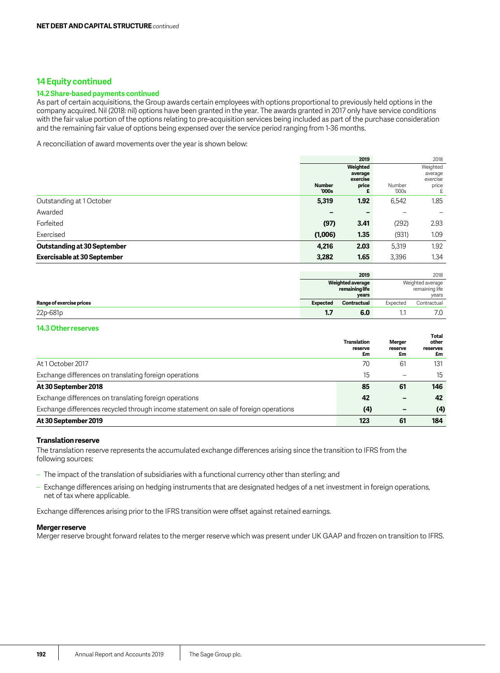# **14 Equity continued**

## **14.2 Share-based payments continued**

As part of certain acquisitions, the Group awards certain employees with options proportional to previously held options in the company acquired. Nil (2018: nil) options have been granted in the year. The awards granted in 2017 only have service conditions with the fair value portion of the options relating to pre-acquisition services being included as part of the purchase consideration and the remaining fair value of options being expensed over the service period ranging from 1-36 months.

A reconciliation of award movements over the year is shown below:

|                                    |               | 2019              |        | 2018              |
|------------------------------------|---------------|-------------------|--------|-------------------|
|                                    |               | Weighted          |        | Weighted          |
|                                    |               | average           |        | average           |
|                                    | <b>Number</b> | exercise<br>price | Number | exercise<br>price |
|                                    | '000s         | £                 | '000s  | £                 |
| Outstanding at 1 October           | 5,319         | 1.92              | 6,542  | 1.85              |
| Awarded                            |               |                   |        |                   |
| Forfeited                          | (97)          | 3.41              | (292)  | 2.93              |
| Exercised                          | (1,006)       | 1.35              | (931)  | 1.09              |
| Outstanding at 30 September        | 4,216         | 2.03              | 5,319  | 1.92              |
| <b>Exercisable at 30 September</b> | 3,282         | 1.65              | 3,396  | 1.34              |

|                          |                                    | 2019        |                                    | 2018        |
|--------------------------|------------------------------------|-------------|------------------------------------|-------------|
|                          | Weighted average<br>remaining life |             | Weighted average<br>remaining life |             |
|                          | years                              |             |                                    | vears       |
| Range of exercise prices | <b>Expected</b>                    | Contractual | Expected                           | Contractual |
| 22p-681p                 | . .                                | 6.0         |                                    | ں. ہ        |

# **14.3 Other reserves**

|                                                                                      | <b>Translation</b><br>reserve<br>£m | Merger<br>reserve<br>£m | Total<br>other<br>reserves<br>£m |
|--------------------------------------------------------------------------------------|-------------------------------------|-------------------------|----------------------------------|
| At 1 October 2017                                                                    | 70                                  | 61                      | 131                              |
| Exchange differences on translating foreign operations                               | 15                                  |                         | 15                               |
| At 30 September 2018                                                                 | 85                                  | 61                      | 146                              |
| Exchange differences on translating foreign operations                               | 42                                  |                         | 42                               |
| Exchange differences recycled through income statement on sale of foreign operations | (4)                                 |                         | (4)                              |
| At 30 September 2019                                                                 | 123                                 | 61                      | 184                              |

### **Translation reserve**

The translation reserve represents the accumulated exchange differences arising since the transition to IFRS from the following sources:

– The impact of the translation of subsidiaries with a functional currency other than sterling; and

– Exchange differences arising on hedging instruments that are designated hedges of a net investment in foreign operations, net of tax where applicable.

Exchange differences arising prior to the IFRS transition were offset against retained earnings.

### **Merger reserve**

Merger reserve brought forward relates to the merger reserve which was present under UK GAAP and frozen on transition to IFRS.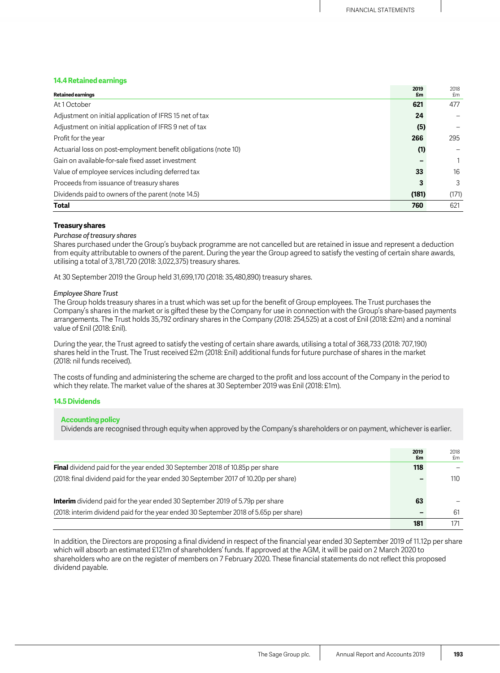### **14.4 Retained earnings**

| <b>Retained earnings</b>                                        | 2019<br>£m | 2018<br>£m |
|-----------------------------------------------------------------|------------|------------|
| At 1 October                                                    | 621        | 477        |
| Adjustment on initial application of IFRS 15 net of tax         | 24         |            |
| Adjustment on initial application of IFRS 9 net of tax          | (5)        |            |
| Profit for the year                                             | 266        | 295        |
| Actuarial loss on post-employment benefit obligations (note 10) | (1)        |            |
| Gain on available-for-sale fixed asset investment               |            |            |
| Value of employee services including deferred tax               | 33         | 16         |
| Proceeds from issuance of treasury shares                       |            | 3          |
| Dividends paid to owners of the parent (note 14.5)              | (181)      | (171)      |
| <b>Total</b>                                                    | 760        | 621        |

#### **Treasury shares**

#### *Purchase of treasury shares*

Shares purchased under the Group's buyback programme are not cancelled but are retained in issue and represent a deduction from equity attributable to owners of the parent. During the year the Group agreed to satisfy the vesting of certain share awards, utilising a total of 3,781,720 (2018: 3,022,375) treasury shares.

At 30 September 2019 the Group held 31,699,170 (2018: 35,480,890) treasury shares.

#### *Employee Share Trust*

The Group holds treasury shares in a trust which was set up for the benefit of Group employees. The Trust purchases the Company's shares in the market or is gifted these by the Company for use in connection with the Group's share-based payments arrangements. The Trust holds 35,792 ordinary shares in the Company (2018: 254,525) at a cost of £nil (2018: £2m) and a nominal value of £nil (2018: £nil).

During the year, the Trust agreed to satisfy the vesting of certain share awards, utilising a total of 368,733 (2018: 707,190) shares held in the Trust. The Trust received £2m (2018: £nil) additional funds for future purchase of shares in the market (2018: nil funds received).

The costs of funding and administering the scheme are charged to the profit and loss account of the Company in the period to which they relate. The market value of the shares at 30 September 2019 was £nil (2018: £1m).

### **14.5 Dividends**

#### **Accounting policy**

Dividends are recognised through equity when approved by the Company's shareholders or on payment, whichever is earlier.

|                                                                                       | 2019<br>£m | 2018<br>£m |
|---------------------------------------------------------------------------------------|------------|------------|
| <b>Final</b> dividend paid for the year ended 30 September 2018 of 10.85p per share   | 118        |            |
| (2018: final dividend paid for the year ended 30 September 2017 of 10.20p per share)  |            | 110        |
| <b>Interim</b> dividend paid for the year ended 30 September 2019 of 5.79p per share  | 63         |            |
| (2018: interim dividend paid for the year ended 30 September 2018 of 5.65p per share) |            | 61         |
|                                                                                       | 181        |            |

In addition, the Directors are proposing a final dividend in respect of the financial year ended 30 September 2019 of 11.12p per share which will absorb an estimated £121m of shareholders' funds. If approved at the AGM, it will be paid on 2 March 2020 to shareholders who are on the register of members on 7 February 2020. These financial statements do not reflect this proposed dividend payable.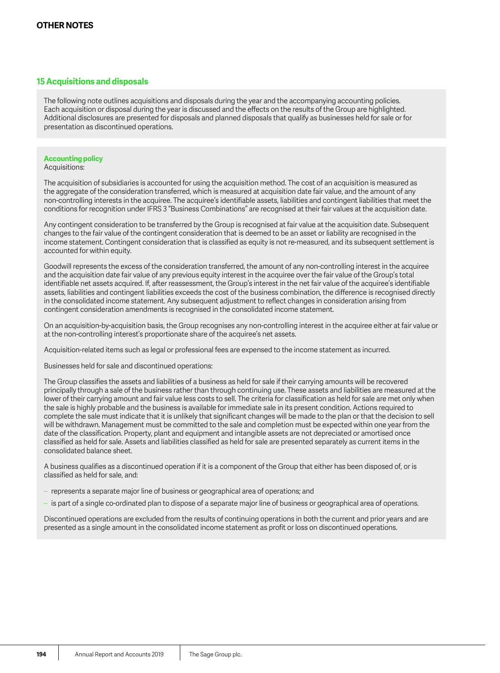# **15 Acquisitions and disposals**

The following note outlines acquisitions and disposals during the year and the accompanying accounting policies. Each acquisition or disposal during the year is discussed and the effects on the results of the Group are highlighted. Additional disclosures are presented for disposals and planned disposals that qualify as businesses held for sale or for presentation as discontinued operations.

# **Accounting policy**

Acquisitions:

The acquisition of subsidiaries is accounted for using the acquisition method. The cost of an acquisition is measured as the aggregate of the consideration transferred, which is measured at acquisition date fair value, and the amount of any non-controlling interests in the acquiree. The acquiree's identifiable assets, liabilities and contingent liabilities that meet the conditions for recognition under IFRS 3 "Business Combinations" are recognised at their fair values at the acquisition date.

Any contingent consideration to be transferred by the Group is recognised at fair value at the acquisition date. Subsequent changes to the fair value of the contingent consideration that is deemed to be an asset or liability are recognised in the income statement. Contingent consideration that is classified as equity is not re-measured, and its subsequent settlement is accounted for within equity.

Goodwill represents the excess of the consideration transferred, the amount of any non-controlling interest in the acquiree and the acquisition date fair value of any previous equity interest in the acquiree over the fair value of the Group's total identifiable net assets acquired. If, after reassessment, the Group's interest in the net fair value of the acquiree's identifiable assets, liabilities and contingent liabilities exceeds the cost of the business combination, the difference is recognised directly in the consolidated income statement. Any subsequent adjustment to reflect changes in consideration arising from contingent consideration amendments is recognised in the consolidated income statement.

On an acquisition-by-acquisition basis, the Group recognises any non-controlling interest in the acquiree either at fair value or at the non-controlling interest's proportionate share of the acquiree's net assets.

Acquisition-related items such as legal or professional fees are expensed to the income statement as incurred.

Businesses held for sale and discontinued operations:

The Group classifies the assets and liabilities of a business as held for sale if their carrying amounts will be recovered principally through a sale of the business rather than through continuing use. These assets and liabilities are measured at the lower of their carrying amount and fair value less costs to sell. The criteria for classification as held for sale are met only when the sale is highly probable and the business is available for immediate sale in its present condition. Actions required to complete the sale must indicate that it is unlikely that significant changes will be made to the plan or that the decision to sell will be withdrawn. Management must be committed to the sale and completion must be expected within one year from the date of the classification. Property, plant and equipment and intangible assets are not depreciated or amortised once classified as held for sale. Assets and liabilities classified as held for sale are presented separately as current items in the consolidated balance sheet.

A business qualifies as a discontinued operation if it is a component of the Group that either has been disposed of, or is classified as held for sale, and:

- represents a separate major line of business or geographical area of operations; and
- is part of a single co-ordinated plan to dispose of a separate major line of business or geographical area of operations.

Discontinued operations are excluded from the results of continuing operations in both the current and prior years and are presented as a single amount in the consolidated income statement as profit or loss on discontinued operations.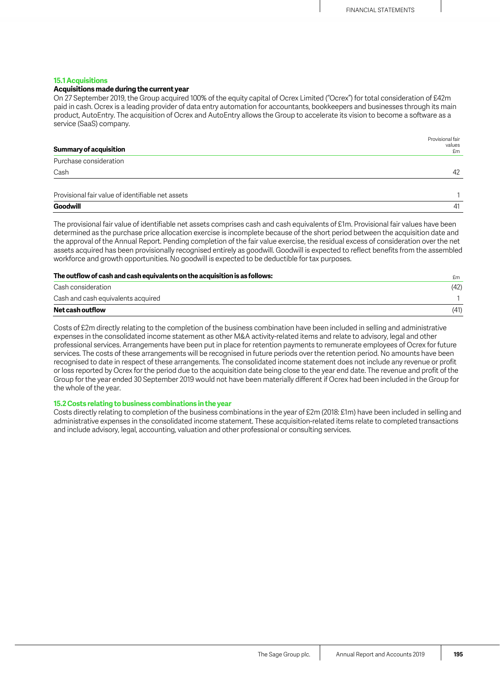### **15.1 Acquisitions**

### **Acquisitions made during the current year**

On 27 September 2019, the Group acquired 100% of the equity capital of Ocrex Limited ("Ocrex") for total consideration of £42m paid in cash. Ocrex is a leading provider of data entry automation for accountants, bookkeepers and businesses through its main product, AutoEntry. The acquisition of Ocrex and AutoEntry allows the Group to accelerate its vision to become a software as a service (SaaS) company.

| Summary of acquisition                            | Provisional fair<br>values<br>£m |
|---------------------------------------------------|----------------------------------|
| Purchase consideration                            |                                  |
| Cash                                              | 42                               |
| Provisional fair value of identifiable net assets |                                  |
| Goodwill                                          | 41                               |

The provisional fair value of identifiable net assets comprises cash and cash equivalents of £1m. Provisional fair values have been determined as the purchase price allocation exercise is incomplete because of the short period between the acquisition date and the approval of the Annual Report. Pending completion of the fair value exercise, the residual excess of consideration over the net assets acquired has been provisionally recognised entirely as goodwill. Goodwill is expected to reflect benefits from the assembled workforce and growth opportunities. No goodwill is expected to be deductible for tax purposes.

#### The outflow of cash and cash equivalents on the acquisition is as follows:  $E_{\rm m}$

| Net cash outflow                   | (41) |
|------------------------------------|------|
| Cash and cash equivalents acquired |      |
| Cash consideration                 | (42) |

Costs of £2m directly relating to the completion of the business combination have been included in selling and administrative expenses in the consolidated income statement as other M&A activity-related items and relate to advisory, legal and other professional services. Arrangements have been put in place for retention payments to remunerate employees of Ocrex for future services. The costs of these arrangements will be recognised in future periods over the retention period. No amounts have been recognised to date in respect of these arrangements. The consolidated income statement does not include any revenue or profit or loss reported by Ocrex for the period due to the acquisition date being close to the year end date. The revenue and profit of the Group for the year ended 30 September 2019 would not have been materially different if Ocrex had been included in the Group for the whole of the year.

#### **15.2 Costs relating to business combinations in the year**

Costs directly relating to completion of the business combinations in the year of £2m (2018: £1m) have been included in selling and administrative expenses in the consolidated income statement. These acquisition-related items relate to completed transactions and include advisory, legal, accounting, valuation and other professional or consulting services.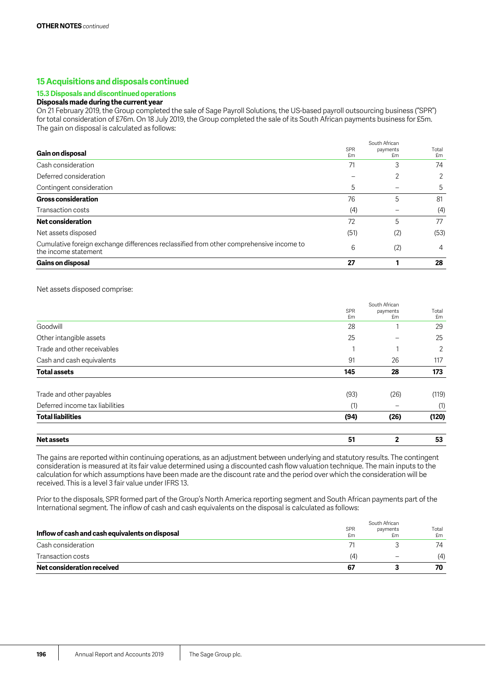# **15 Acquisitions and disposals continued**

# **15.3 Disposals and discontinued operations**

# **Disposals made during the current year**

On 21 February 2019, the Group completed the sale of Sage Payroll Solutions, the US-based payroll outsourcing business ("SPR") for total consideration of £76m. On 18 July 2019, the Group completed the sale of its South African payments business for £5m. The gain on disposal is calculated as follows:

|                                                                                                                  |                  | South African  |                |
|------------------------------------------------------------------------------------------------------------------|------------------|----------------|----------------|
| Gain on disposal                                                                                                 | <b>SPR</b><br>£m | payments<br>£m | Total<br>£m    |
| Cash consideration                                                                                               | 71               | 3              | 74             |
| Deferred consideration                                                                                           |                  |                | 2              |
| Contingent consideration                                                                                         | 5                |                | 5              |
| <b>Gross consideration</b>                                                                                       | 76               | 5              | 81             |
| Transaction costs                                                                                                | (4)              |                | (4)            |
| Net consideration                                                                                                | 72               | 5              | 77             |
| Net assets disposed                                                                                              | (51)             | (2)            | (53)           |
| Cumulative foreign exchange differences reclassified from other comprehensive income to<br>the income statement. | 6                | (2)            | $\overline{4}$ |
| Gains on disposal                                                                                                | 27               |                | 28             |

Net assets disposed comprise:

| <b>Net assets</b>               | 51               | $\mathbf{2}$                    | 53          |
|---------------------------------|------------------|---------------------------------|-------------|
|                                 |                  |                                 |             |
| <b>Total liabilities</b>        | (94)             | (26)                            | (120)       |
| Deferred income tax liabilities | (1)              |                                 | (1)         |
| Trade and other payables        | (93)             | (26)                            | (119)       |
| <b>Total assets</b>             | 145              | 28                              | 173         |
| Cash and cash equivalents       | 91               | 26                              | 117         |
| Trade and other receivables     |                  |                                 | 2           |
| Other intangible assets         | 25               |                                 | 25          |
| Goodwill                        | 28               |                                 | 29          |
|                                 | <b>SPR</b><br>£m | South African<br>payments<br>£m | Total<br>£m |

The gains are reported within continuing operations, as an adjustment between underlying and statutory results. The contingent consideration is measured at its fair value determined using a discounted cash flow valuation technique. The main inputs to the calculation for which assumptions have been made are the discount rate and the period over which the consideration will be received. This is a level 3 fair value under IFRS 13.

Prior to the disposals, SPR formed part of the Group's North America reporting segment and South African payments part of the International segment. The inflow of cash and cash equivalents on the disposal is calculated as follows:

| Net consideration received                      | 67               |                                 |             |
|-------------------------------------------------|------------------|---------------------------------|-------------|
| Transaction costs                               | (4)              |                                 | (4)         |
| Cash consideration                              |                  |                                 | 74          |
| Inflow of cash and cash equivalents on disposal | <b>SPR</b><br>£m | South African<br>payments<br>£m | Total<br>£m |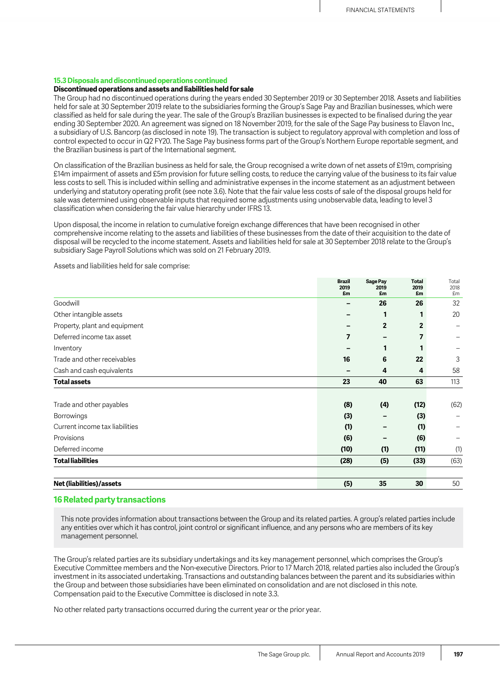#### **15.3 Disposals and discontinued operations continued**

# **Discontinued operations and assets and liabilities held for sale**

The Group had no discontinued operations during the years ended 30 September 2019 or 30 September 2018. Assets and liabilities held for sale at 30 September 2019 relate to the subsidiaries forming the Group's Sage Pay and Brazilian businesses, which were classified as held for sale during the year. The sale of the Group's Brazilian businesses is expected to be finalised during the year ending 30 September 2020. An agreement was signed on 18 November 2019, for the sale of the Sage Pay business to Elavon Inc., a subsidiary of U.S. Bancorp (as disclosed in note 19). The transaction is subject to regulatory approval with completion and loss of control expected to occur in Q2 FY20. The Sage Pay business forms part of the Group's Northern Europe reportable segment, and the Brazilian business is part of the International segment.

On classification of the Brazilian business as held for sale, the Group recognised a write down of net assets of £19m, comprising £14m impairment of assets and £5m provision for future selling costs, to reduce the carrying value of the business to its fair value less costs to sell. This is included within selling and administrative expenses in the income statement as an adjustment between underlying and statutory operating profit (see note 3.6). Note that the fair value less costs of sale of the disposal groups held for sale was determined using observable inputs that required some adjustments using unobservable data, leading to level 3 classification when considering the fair value hierarchy under IFRS 13.

Upon disposal, the income in relation to cumulative foreign exchange differences that have been recognised in other comprehensive income relating to the assets and liabilities of these businesses from the date of their acquisition to the date of disposal will be recycled to the income statement. Assets and liabilities held for sale at 30 September 2018 relate to the Group's subsidiary Sage Payroll Solutions which was sold on 21 February 2019.

Assets and liabilities held for sale comprise:

|                                | <b>Brazil</b><br>2019<br>£m | Sage Pay<br>2019<br>£m | <b>Total</b><br>2019<br>£m | Total<br>2018<br>£m |
|--------------------------------|-----------------------------|------------------------|----------------------------|---------------------|
| Goodwill                       |                             | 26                     | 26                         | 32                  |
| Other intangible assets        |                             |                        |                            | 20                  |
| Property, plant and equipment  |                             | $\mathbf{2}$           | $\mathbf{2}$               |                     |
| Deferred income tax asset      | $\overline{7}$              |                        |                            |                     |
| Inventory                      |                             |                        |                            |                     |
| Trade and other receivables    | 16                          | 6                      | 22                         | 3                   |
| Cash and cash equivalents      |                             | 4                      | 4                          | 58                  |
| <b>Total assets</b>            | 23                          | 40                     | 63                         | 113                 |
| Trade and other payables       | (8)                         | (4)                    | (12)                       | (62)                |
| <b>Borrowings</b>              | (3)                         |                        | (3)                        |                     |
| Current income tax liabilities | (1)                         |                        | (1)                        |                     |
| Provisions                     | (6)                         |                        | (6)                        |                     |
| Deferred income                | (10)                        | (1)                    | (11)                       | (1)                 |
| <b>Total liabilities</b>       | (28)                        | (5)                    | (33)                       | (63)                |
| Net (liabilities)/assets       | (5)                         | 35                     | 30                         | 50                  |

## **16 Related party transactions**

This note provides information about transactions between the Group and its related parties. A group's related parties include any entities over which it has control, joint control or significant influence, and any persons who are members of its key management personnel.

The Group's related parties are its subsidiary undertakings and its key management personnel, which comprises the Group's Executive Committee members and the Non-executive Directors. Prior to 17 March 2018, related parties also included the Group's investment in its associated undertaking. Transactions and outstanding balances between the parent and its subsidiaries within the Group and between those subsidiaries have been eliminated on consolidation and are not disclosed in this note. Compensation paid to the Executive Committee is disclosed in note 3.3.

No other related party transactions occurred during the current year or the prior year.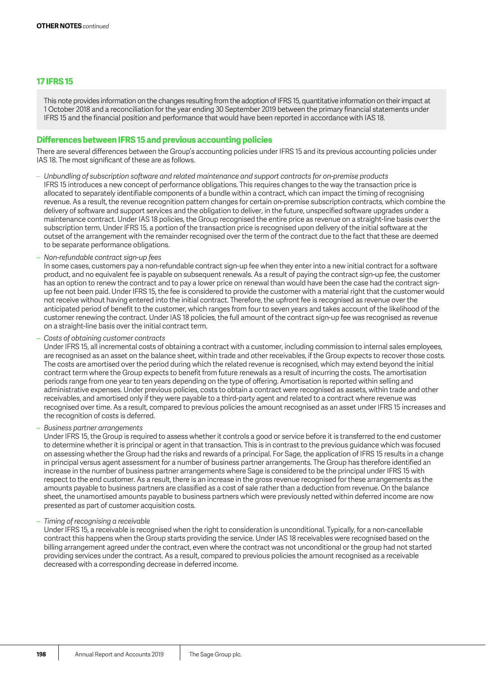# **17 IFRS 15**

This note provides information on the changes resulting from the adoption of IFRS 15, quantitative information on their impact at 1 October 2018 and a reconciliation for the year ending 30 September 2019 between the primary financial statements under IFRS 15 and the financial position and performance that would have been reported in accordance with IAS 18.

# **Differences between IFRS 15 and previous accounting policies**

There are several differences between the Group's accounting policies under IFRS 15 and its previous accounting policies under IAS 18. The most significant of these are as follows.

– *Unbundling of subscription software and related maintenance and support contracts for on-premise products* IFRS 15 introduces a new concept of performance obligations. This requires changes to the way the transaction price is allocated to separately identifiable components of a bundle within a contract, which can impact the timing of recognising revenue. As a result, the revenue recognition pattern changes for certain on-premise subscription contracts, which combine the delivery of software and support services and the obligation to deliver, in the future, unspecified software upgrades under a maintenance contract. Under IAS 18 policies, the Group recognised the entire price as revenue on a straight-line basis over the subscription term. Under IFRS 15, a portion of the transaction price is recognised upon delivery of the initial software at the outset of the arrangement with the remainder recognised over the term of the contract due to the fact that these are deemed to be separate performance obligations.

– *Non-refundable contract sign-up fees* 

In some cases, customers pay a non-refundable contract sign-up fee when they enter into a new initial contract for a software product, and no equivalent fee is payable on subsequent renewals. As a result of paying the contract sign-up fee, the customer has an option to renew the contract and to pay a lower price on renewal than would have been the case had the contract signup fee not been paid. Under IFRS 15, the fee is considered to provide the customer with a material right that the customer would not receive without having entered into the initial contract. Therefore, the upfront fee is recognised as revenue over the anticipated period of benefit to the customer, which ranges from four to seven years and takes account of the likelihood of the customer renewing the contract. Under IAS 18 policies, the full amount of the contract sign-up fee was recognised as revenue on a straight-line basis over the initial contract term.

– *Costs of obtaining customer contracts*

Under IFRS 15, all incremental costs of obtaining a contract with a customer, including commission to internal sales employees, are recognised as an asset on the balance sheet, within trade and other receivables, if the Group expects to recover those costs. The costs are amortised over the period during which the related revenue is recognised, which may extend beyond the initial contract term where the Group expects to benefit from future renewals as a result of incurring the costs. The amortisation periods range from one year to ten years depending on the type of offering. Amortisation is reported within selling and administrative expenses. Under previous policies, costs to obtain a contract were recognised as assets, within trade and other receivables, and amortised only if they were payable to a third-party agent and related to a contract where revenue was recognised over time. As a result, compared to previous policies the amount recognised as an asset under IFRS 15 increases and the recognition of costs is deferred.

### – *Business partner arrangements*

Under IFRS 15, the Group is required to assess whether it controls a good or service before it is transferred to the end customer to determine whether it is principal or agent in that transaction. This is in contrast to the previous guidance which was focused on assessing whether the Group had the risks and rewards of a principal. For Sage, the application of IFRS 15 results in a change in principal versus agent assessment for a number of business partner arrangements. The Group has therefore identified an increase in the number of business partner arrangements where Sage is considered to be the principal under IFRS 15 with respect to the end customer. As a result, there is an increase in the gross revenue recognised for these arrangements as the amounts payable to business partners are classified as a cost of sale rather than a deduction from revenue. On the balance sheet, the unamortised amounts payable to business partners which were previously netted within deferred income are now presented as part of customer acquisition costs.

– *Timing of recognising a receivable*

Under IFRS 15, a receivable is recognised when the right to consideration is unconditional. Typically, for a non-cancellable contract this happens when the Group starts providing the service. Under IAS 18 receivables were recognised based on the billing arrangement agreed under the contract, even where the contract was not unconditional or the group had not started providing services under the contract. As a result, compared to previous policies the amount recognised as a receivable decreased with a corresponding decrease in deferred income.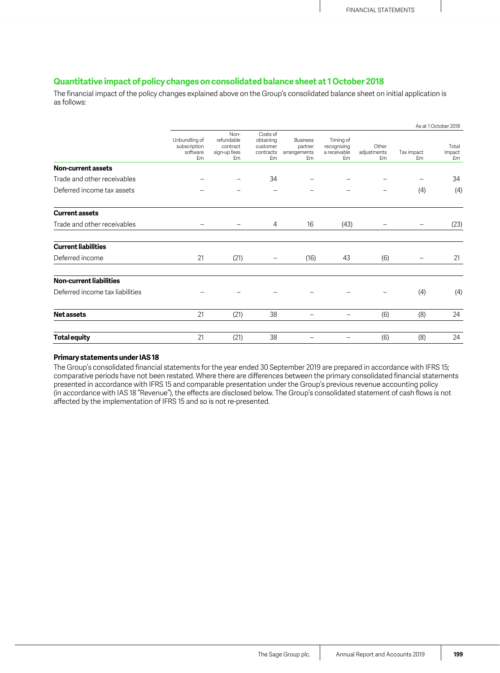# **Quantitative impact of policy changes on consolidated balance sheet at 1 October 2018**

The financial impact of the policy changes explained above on the Group's consolidated balance sheet on initial application is as follows:

|                                 |                                                 |                                                      |                                                      |                                                  |                                                |                            |                  | As at 1 October 2018  |
|---------------------------------|-------------------------------------------------|------------------------------------------------------|------------------------------------------------------|--------------------------------------------------|------------------------------------------------|----------------------------|------------------|-----------------------|
|                                 | Unbundling of<br>subscription<br>software<br>£m | Non-<br>refundable<br>contract<br>sign-up fees<br>£m | Costs of<br>obtaining<br>customer<br>contracts<br>£m | <b>Business</b><br>partner<br>arrangements<br>£m | Timing of<br>recognising<br>a receivable<br>£m | Other<br>adjustments<br>£m | Tax impact<br>£m | Total<br>Impact<br>£m |
| Non-current assets              |                                                 |                                                      |                                                      |                                                  |                                                |                            |                  |                       |
| Trade and other receivables     |                                                 |                                                      | 34                                                   |                                                  |                                                |                            |                  | 34                    |
| Deferred income tax assets      |                                                 |                                                      | $\overline{\phantom{0}}$                             |                                                  |                                                |                            | (4)              | (4)                   |
| <b>Current assets</b>           |                                                 |                                                      |                                                      |                                                  |                                                |                            |                  |                       |
| Trade and other receivables     |                                                 |                                                      | $\overline{4}$                                       | 16                                               | (43)                                           |                            |                  | (23)                  |
| <b>Current liabilities</b>      |                                                 |                                                      |                                                      |                                                  |                                                |                            |                  |                       |
| Deferred income                 | 21                                              | (21)                                                 |                                                      | (16)                                             | 43                                             | (6)                        |                  | 21                    |
| <b>Non-current liabilities</b>  |                                                 |                                                      |                                                      |                                                  |                                                |                            |                  |                       |
| Deferred income tax liabilities |                                                 |                                                      |                                                      |                                                  |                                                |                            | (4)              | (4)                   |
| <b>Net assets</b>               | 21                                              | (21)                                                 | 38                                                   |                                                  |                                                | (6)                        | (8)              | 24                    |
|                                 |                                                 |                                                      |                                                      |                                                  |                                                |                            |                  |                       |
| Total equity                    | 21                                              | (21)                                                 | 38                                                   |                                                  |                                                | (6)                        | (8)              | 24                    |

## **Primary statements under IAS 18**

The Group's consolidated financial statements for the year ended 30 September 2019 are prepared in accordance with IFRS 15; comparative periods have not been restated. Where there are differences between the primary consolidated financial statements presented in accordance with IFRS 15 and comparable presentation under the Group's previous revenue accounting policy (in accordance with IAS 18 "Revenue"), the effects are disclosed below. The Group's consolidated statement of cash flows is not affected by the implementation of IFRS 15 and so is not re-presented.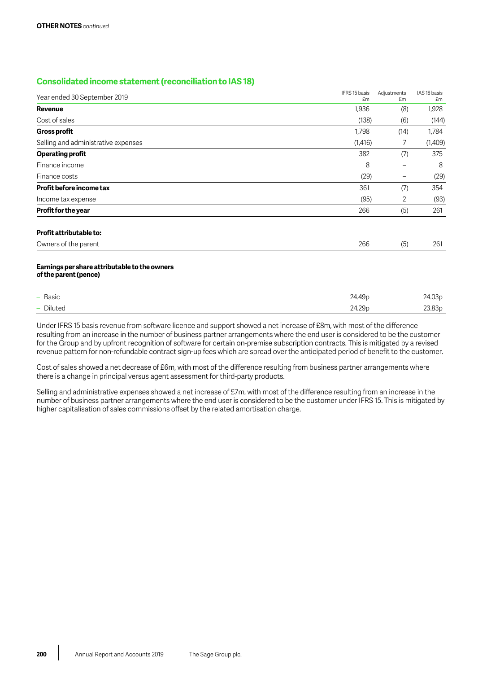# **Consolidated income statement (reconciliation to IAS 18)**

| Year ended 30 September 2019                                           | IFRS 15 basis<br>£m | Adjustments<br>£m | IAS 18 basis<br>£m |
|------------------------------------------------------------------------|---------------------|-------------------|--------------------|
| Revenue                                                                | 1,936               | (8)               | 1,928              |
| Cost of sales                                                          | (138)               | (6)               | (144)              |
| <b>Gross profit</b>                                                    | 1,798               | (14)              | 1,784              |
| Selling and administrative expenses                                    | (1, 416)            | 7                 | (1,409)            |
| Operating profit                                                       | 382                 | (7)               | 375                |
| Finance income                                                         | 8                   |                   | 8                  |
| Finance costs                                                          | (29)                | -                 | (29)               |
| Profit before income tax                                               | 361                 | (7)               | 354                |
| Income tax expense                                                     | (95)                | 2                 | (93)               |
| Profit for the year                                                    | 266                 | (5)               | 261                |
| Profit attributable to:                                                |                     |                   |                    |
| Owners of the parent                                                   | 266                 | (5)               | 261                |
| Earnings per share attributable to the owners<br>of the parent (pence) |                     |                   |                    |
| <b>Basic</b>                                                           | 24.49 <sub>p</sub>  |                   | 24.03p             |
| Diluted                                                                | 24.29p              |                   | 23.83p             |

Under IFRS 15 basis revenue from software licence and support showed a net increase of £8m, with most of the difference resulting from an increase in the number of business partner arrangements where the end user is considered to be the customer for the Group and by upfront recognition of software for certain on-premise subscription contracts. This is mitigated by a revised revenue pattern for non-refundable contract sign-up fees which are spread over the anticipated period of benefit to the customer.

Cost of sales showed a net decrease of £6m, with most of the difference resulting from business partner arrangements where there is a change in principal versus agent assessment for third-party products.

Selling and administrative expenses showed a net increase of £7m, with most of the difference resulting from an increase in the number of business partner arrangements where the end user is considered to be the customer under IFRS 15. This is mitigated by higher capitalisation of sales commissions offset by the related amortisation charge.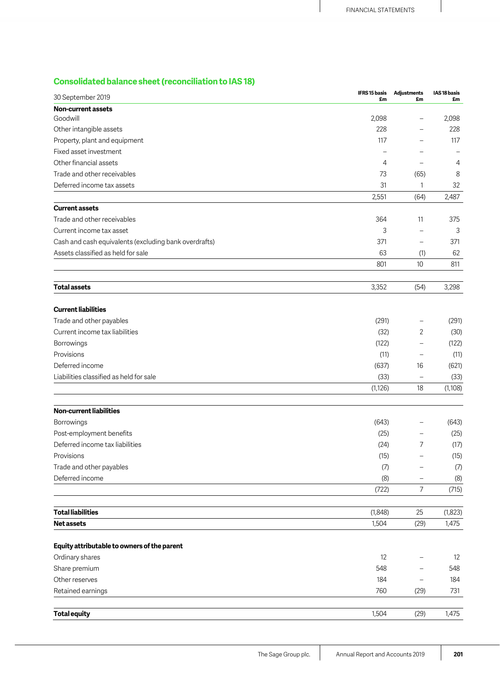$\overline{\phantom{a}}$ 

 $\overline{1}$ 

# **Consolidated balance sheet (reconciliation to IAS 18)**

| 30 September 2019                                     | <b>IFRS 15 basis</b><br>£m | <b>Adjustments</b><br>£m | IAS 18 basis<br>£m |
|-------------------------------------------------------|----------------------------|--------------------------|--------------------|
| <b>Non-current assets</b>                             |                            |                          |                    |
| Goodwill                                              | 2,098                      |                          | 2,098              |
| Other intangible assets                               | 228                        |                          | 228                |
| Property, plant and equipment                         | 117                        |                          | 117                |
| Fixed asset investment                                |                            |                          |                    |
| Other financial assets                                | 4                          | $\overline{\phantom{0}}$ | 4                  |
| Trade and other receivables                           | 73                         | (65)                     | 8                  |
| Deferred income tax assets                            | 31                         | 1                        | 32                 |
|                                                       | 2,551                      | (64)                     | 2,487              |
| <b>Current assets</b>                                 |                            |                          |                    |
| Trade and other receivables                           | 364                        | 11                       | 375                |
| Current income tax asset                              | 3                          | $\overline{\phantom{0}}$ | 3                  |
| Cash and cash equivalents (excluding bank overdrafts) | 371                        | $\overline{\phantom{0}}$ | 371                |
| Assets classified as held for sale                    | 63                         | (1)                      | 62                 |
|                                                       | 801                        | 10                       | 811                |
|                                                       |                            |                          |                    |
| <b>Total assets</b>                                   | 3,352                      | (54)                     | 3,298              |
| <b>Current liabilities</b>                            |                            |                          |                    |
| Trade and other payables                              | (291)                      | $\qquad \qquad -$        | (291)              |
| Current income tax liabilities                        | (32)                       | 2                        | (30)               |
| Borrowings                                            | (122)                      | $\overline{\phantom{0}}$ | (122)              |
| Provisions                                            | (11)                       | $\overline{\phantom{0}}$ | (11)               |
| Deferred income                                       | (637)                      | 16                       | (621)              |
| Liabilities classified as held for sale               | (33)                       | $\qquad \qquad -$        | (33)               |
|                                                       | (1, 126)                   | 18                       | (1,108)            |
| Non-current liabilities                               |                            |                          |                    |
| Borrowings                                            | (643)                      | -                        | (643)              |
| Post-employment benefits                              | (25)                       | -                        | (25)               |
| Deferred income tax liabilities                       | (24)                       | $\overline{7}$           | (17)               |
| Provisions                                            | (15)                       |                          | (15)               |
| Trade and other payables                              | (7)                        |                          | (7)                |
| Deferred income                                       | (8)                        |                          | (8)                |
|                                                       | (722)                      | $\overline{7}$           | (715)              |
| <b>Total liabilities</b>                              | (1,848)                    | 25                       | (1,823)            |
| <b>Net assets</b>                                     | 1,504                      | (29)                     | 1,475              |
| Equity attributable to owners of the parent           |                            |                          |                    |
| Ordinary shares                                       | 12                         |                          | 12                 |
| Share premium                                         | 548                        | $\overline{\phantom{0}}$ | 548                |
| Other reserves                                        | 184                        | $\qquad \qquad -$        | 184                |
| Retained earnings                                     | 760                        | (29)                     | 731                |
| <b>Total equity</b>                                   | 1,504                      | (29)                     | 1,475              |
|                                                       |                            |                          |                    |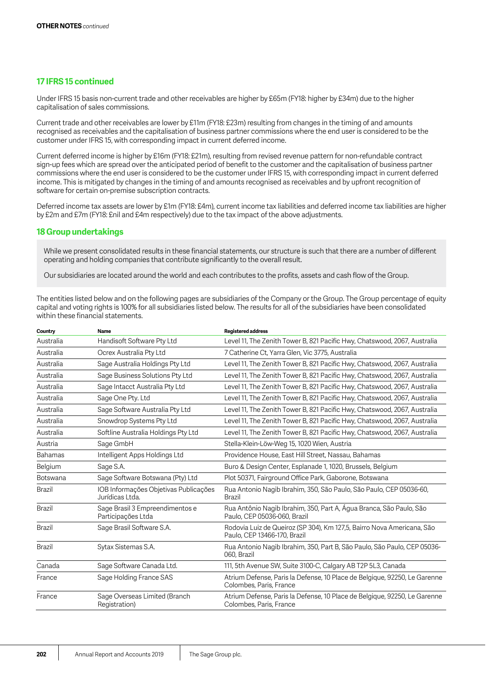### **17 IFRS 15 continued**

Under IFRS 15 basis non-current trade and other receivables are higher by £65m (FY18: higher by £34m) due to the higher capitalisation of sales commissions.

Current trade and other receivables are lower by £11m (FY18: £23m) resulting from changes in the timing of and amounts recognised as receivables and the capitalisation of business partner commissions where the end user is considered to be the customer under IFRS 15, with corresponding impact in current deferred income.

Current deferred income is higher by £16m (FY18: £21m), resulting from revised revenue pattern for non-refundable contract sign-up fees which are spread over the anticipated period of benefit to the customer and the capitalisation of business partner commissions where the end user is considered to be the customer under IFRS 15, with corresponding impact in current deferred income. This is mitigated by changes in the timing of and amounts recognised as receivables and by upfront recognition of software for certain on-premise subscription contracts.

Deferred income tax assets are lower by £1m (FY18: £4m), current income tax liabilities and deferred income tax liabilities are higher by £2m and £7m (FY18: £nil and £4m respectively) due to the tax impact of the above adjustments.

### **18 Group undertakings**

While we present consolidated results in these financial statements, our structure is such that there are a number of different operating and holding companies that contribute significantly to the overall result.

Our subsidiaries are located around the world and each contributes to the profits, assets and cash flow of the Group.

The entities listed below and on the following pages are subsidiaries of the Company or the Group. The Group percentage of equity capital and voting rights is 100% for all subsidiaries listed below. The results for all of the subsidiaries have been consolidated within these financial statements.

| Country         | Name                                                     | <b>Registered address</b>                                                                              |
|-----------------|----------------------------------------------------------|--------------------------------------------------------------------------------------------------------|
| Australia       | Handisoft Software Pty Ltd                               | Level 11, The Zenith Tower B, 821 Pacific Hwy, Chatswood, 2067, Australia                              |
| Australia       | Ocrex Australia Pty Ltd                                  | 7 Catherine Ct, Yarra Glen, Vic 3775, Australia                                                        |
| Australia       | Sage Australia Holdings Pty Ltd                          | Level 11, The Zenith Tower B, 821 Pacific Hwy, Chatswood, 2067, Australia                              |
| Australia       | Sage Business Solutions Pty Ltd                          | Level 11, The Zenith Tower B, 821 Pacific Hwy, Chatswood, 2067, Australia                              |
| Australia       | Sage Intacct Australia Pty Ltd                           | Level 11, The Zenith Tower B, 821 Pacific Hwy, Chatswood, 2067, Australia                              |
| Australia       | Sage One Pty. Ltd                                        | Level 11, The Zenith Tower B, 821 Pacific Hwy, Chatswood, 2067, Australia                              |
| Australia       | Sage Software Australia Pty Ltd                          | Level 11, The Zenith Tower B, 821 Pacific Hwy, Chatswood, 2067, Australia                              |
| Australia       | Snowdrop Systems Pty Ltd                                 | Level 11, The Zenith Tower B, 821 Pacific Hwy, Chatswood, 2067, Australia                              |
| Australia       | Softline Australia Holdings Pty Ltd                      | Level 11, The Zenith Tower B, 821 Pacific Hwy, Chatswood, 2067, Australia                              |
| Austria         | Sage GmbH                                                | Stella-Klein-Löw-Weg 15, 1020 Wien, Austria                                                            |
| Bahamas         | Intelligent Apps Holdings Ltd                            | Providence House, East Hill Street, Nassau, Bahamas                                                    |
| Belgium         | Sage S.A.                                                | Buro & Design Center, Esplanade 1, 1020, Brussels, Belgium                                             |
| <b>Botswana</b> | Sage Software Botswana (Pty) Ltd                         | Plot 50371, Fairground Office Park, Gaborone, Botswana                                                 |
| <b>Brazil</b>   | IOB Informações Objetivas Publicações<br>Jurídicas Ltda. | Rua Antonio Nagib Ibrahim, 350, São Paulo, São Paulo, CEP 05036-60,<br>Brazil                          |
| Brazil          | Sage Brasil 3 Empreendimentos e<br>Participações Ltda    | Rua Antônio Nagib Ibrahim, 350, Part A, Água Branca, São Paulo, São<br>Paulo, CEP 05036-060, Brazil    |
| Brazil          | Sage Brasil Software S.A.                                | Rodovia Luiz de Queiroz (SP 304), Km 127,5, Bairro Nova Americana, São<br>Paulo, CEP 13466-170, Brazil |
| <b>Brazil</b>   | Sytax Sistemas S.A.                                      | Rua Antonio Nagib Ibrahim, 350, Part B, São Paulo, São Paulo, CEP 05036-<br>060, Brazil                |
| Canada          | Sage Software Canada Ltd.                                | 111, 5th Avenue SW, Suite 3100-C, Calgary AB T2P 5L3, Canada                                           |
| France          | Sage Holding France SAS                                  | Atrium Defense, Paris la Defense, 10 Place de Belgique, 92250, Le Garenne<br>Colombes, Paris, France   |
| France          | Sage Overseas Limited (Branch<br>Registration)           | Atrium Defense, Paris la Defense, 10 Place de Belgique, 92250, Le Garenne<br>Colombes, Paris, France   |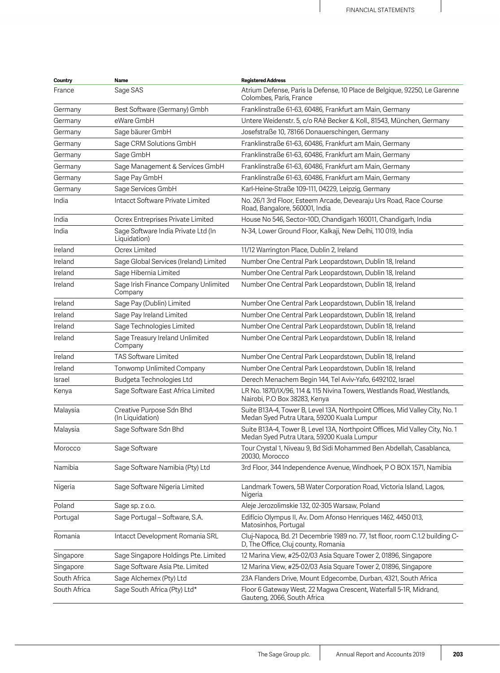J

| Country      | Name                                                | <b>Registered Address</b>                                                                                                  |
|--------------|-----------------------------------------------------|----------------------------------------------------------------------------------------------------------------------------|
| France       | Sage SAS                                            | Atrium Defense, Paris la Defense, 10 Place de Belgique, 92250, Le Garenne<br>Colombes, Paris, France                       |
| Germany      | Best Software (Germany) Gmbh                        | Franklinstraße 61-63, 60486, Frankfurt am Main, Germany                                                                    |
| Germany      | eWare GmbH                                          | Untere Weidenstr. 5, c/o RAè Becker & Koll., 81543, München, Germany                                                       |
| Germany      | Sage bäurer GmbH                                    | Josefstraße 10, 78166 Donauerschingen, Germany                                                                             |
| Germany      | Sage CRM Solutions GmbH                             | Franklinstraße 61-63, 60486, Frankfurt am Main, Germany                                                                    |
| Germany      | Sage GmbH                                           | Franklinstraße 61-63, 60486, Frankfurt am Main, Germany                                                                    |
| Germany      | Sage Management & Services GmbH                     | Franklinstraße 61-63, 60486, Frankfurt am Main, Germany                                                                    |
| Germany      | Sage Pay GmbH                                       | Franklinstraße 61-63, 60486, Frankfurt am Main, Germany                                                                    |
| Germany      | Sage Services GmbH                                  | Karl-Heine-Straße 109-111, 04229, Leipzig, Germany                                                                         |
| India        | Intacct Software Private Limited                    | No. 26/1 3rd Floor, Esteem Arcade, Devearaju Urs Road, Race Course<br>Road, Bangalore, 560001, India                       |
| India        | Ocrex Entreprises Private Limited                   | House No 546, Sector-10D, Chandigarh 160011, Chandigarh, India                                                             |
| India        | Sage Software India Private Ltd (In<br>Liquidation) | N-34, Lower Ground Floor, Kalkaji, New Delhi, 110 019, India                                                               |
| Ireland      | Ocrex Limited                                       | 11/12 Warrington Place, Dublin 2, Ireland                                                                                  |
| Ireland      | Sage Global Services (Ireland) Limited              | Number One Central Park Leopardstown, Dublin 18, Ireland                                                                   |
| Ireland      | Sage Hibernia Limited                               | Number One Central Park Leopardstown, Dublin 18, Ireland                                                                   |
| Ireland      | Sage Irish Finance Company Unlimited<br>Company     | Number One Central Park Leopardstown, Dublin 18, Ireland                                                                   |
| Ireland      | Sage Pay (Dublin) Limited                           | Number One Central Park Leopardstown, Dublin 18, Ireland                                                                   |
| Ireland      | Sage Pay Ireland Limited                            | Number One Central Park Leopardstown, Dublin 18, Ireland                                                                   |
| Ireland      | Sage Technologies Limited                           | Number One Central Park Leopardstown, Dublin 18, Ireland                                                                   |
| Ireland      | Sage Treasury Ireland Unlimited<br>Company          | Number One Central Park Leopardstown, Dublin 18, Ireland                                                                   |
| Ireland      | <b>TAS Software Limited</b>                         | Number One Central Park Leopardstown, Dublin 18, Ireland                                                                   |
| Ireland      | Tonwomp Unlimited Company                           | Number One Central Park Leopardstown, Dublin 18, Ireland                                                                   |
| Israel       | Budgeta Technologies Ltd                            | Derech Menachem Begin 144, Tel Aviv-Yafo, 6492102, Israel                                                                  |
| Kenya        | Sage Software East Africa Limited                   | LR No. 1870/IX/96, 114 & 115 Nivina Towers, Westlands Road, Westlands,<br>Nairobi, P.O Box 38283, Kenya                    |
| Malaysia     | Creative Purpose Sdn Bhd<br>(In Liquidation)        | Suite B13A-4, Tower B, Level 13A, Northpoint Offices, Mid Valley City, No. 1<br>Medan Syed Putra Utara, 59200 Kuala Lumpur |
| Malaysia     | Sage Software Sdn Bhd                               | Suite B13A-4, Tower B, Level 13A, Northpoint Offices, Mid Valley City, No. 1<br>Medan Syed Putra Utara, 59200 Kuala Lumpur |
| Morocco      | Sage Software                                       | Tour Crystal 1, Niveau 9, Bd Sidi Mohammed Ben Abdellah, Casablanca,<br>20030, Morocco                                     |
| Namibia      | Sage Software Namibia (Pty) Ltd                     | 3rd Floor, 344 Independence Avenue, Windhoek, P O BOX 1571, Namibia                                                        |
| Nigeria      | Sage Software Nigeria Limited                       | Landmark Towers, 5B Water Corporation Road, Victoria Island, Lagos,<br>Nigeria                                             |
| Poland       | Sage sp. z o.o.                                     | Aleje Jerozolimskie 132, 02-305 Warsaw, Poland                                                                             |
| Portugal     | Sage Portugal - Software, S.A.                      | Edifício Olympus II, Av. Dom Afonso Henriques 1462, 4450 013,<br>Matosinhos, Portugal                                      |
| Romania      | Intacct Development Romania SRL                     | Cluj-Napoca, Bd. 21 Decembrie 1989 no. 77, 1st floor, room C.1.2 building C-<br>D, The Office, Cluj county, Romania        |
| Singapore    | Sage Singapore Holdings Pte. Limited                | 12 Marina View, #25-02/03 Asia Square Tower 2, 01896, Singapore                                                            |
| Singapore    | Sage Software Asia Pte. Limited                     | 12 Marina View, #25-02/03 Asia Square Tower 2, 01896, Singapore                                                            |
| South Africa | Sage Alchemex (Pty) Ltd                             | 23A Flanders Drive, Mount Edgecombe, Durban, 4321, South Africa                                                            |
| South Africa | Sage South Africa (Pty) Ltd*                        | Floor 6 Gateway West, 22 Magwa Crescent, Waterfall 5-1R, Midrand,<br>Gauteng, 2066, South Africa                           |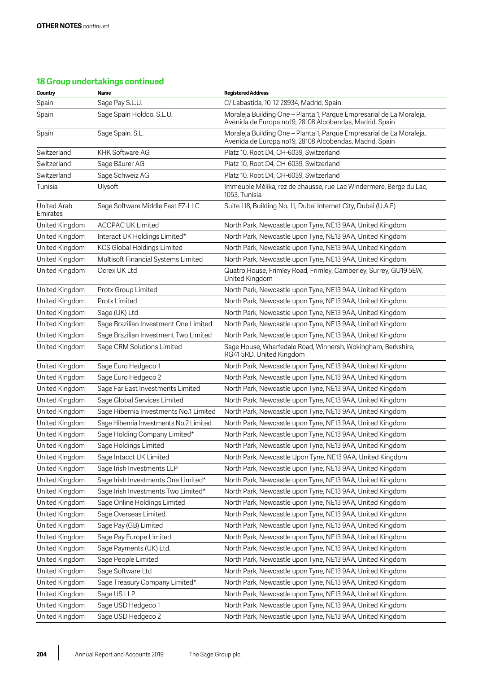# **18 Group undertakings continued**

| Sage Pay S.L.U.<br>C/ Labastida, 10-12 28934, Madrid, Spain<br>Spain<br>Sage Spain Holdco. S.L.U.<br>Moraleja Building One - Planta 1, Parque Empresarial de La Moraleja,<br>Spain<br>Avenida de Europa no19, 28108 Alcobendas, Madrid, Spain<br>Moraleja Building One - Planta 1, Parque Empresarial de La Moraleja,<br>Spain<br>Sage Spain, S.L.<br>Avenida de Europa no19, 28108 Alcobendas, Madrid, Spain<br><b>KHK Software AG</b><br>Switzerland<br>Platz 10, Root D4, CH-6039, Switzerland<br>Switzerland<br>Sage Bäurer AG<br>Platz 10, Root D4, CH-6039, Switzerland<br>Switzerland<br>Sage Schweiz AG<br>Platz 10, Root D4, CH-6039, Switzerland<br>Tunisia<br>Ulysoft<br>Immeuble Mélika, rez de chausse, rue Lac Windermere, Berge du Lac,<br>1053, Tunisia<br>United Arab<br>Sage Software Middle East FZ-LLC<br>Suite 118, Building No. 11, Dubai Internet City, Dubai (U.A.E)<br>Emirates<br><b>ACCPAC UK Limited</b><br>United Kingdom<br>North Park, Newcastle upon Tyne, NE13 9AA, United Kingdom<br>United Kingdom<br>Interact UK Holdings Limited*<br>North Park, Newcastle upon Tyne, NE13 9AA, United Kingdom<br>KCS Global Holdings Limited<br>North Park, Newcastle upon Tyne, NE13 9AA, United Kingdom<br>United Kingdom<br>United Kingdom<br>Multisoft Financial Systems Limited<br>North Park, Newcastle upon Tyne, NE13 9AA, United Kingdom<br>Ocrex UK Ltd<br>Quatro House, Frimley Road, Frimley, Camberley, Surrey, GU19 5EW,<br>United Kingdom<br>United Kingdom<br>United Kingdom<br>Protx Group Limited<br>North Park, Newcastle upon Tyne, NE13 9AA, United Kingdom<br>Protx Limited<br>United Kingdom<br>North Park, Newcastle upon Tyne, NE13 9AA, United Kingdom<br>United Kingdom<br>North Park, Newcastle upon Tyne, NE13 9AA, United Kingdom<br>Sage (UK) Ltd<br>United Kingdom<br>Sage Brazilian Investment One Limited<br>North Park, Newcastle upon Tyne, NE13 9AA, United Kingdom<br>North Park, Newcastle upon Tyne, NE13 9AA, United Kingdom<br>United Kingdom<br>Sage Brazilian Investment Two Limited<br>United Kingdom<br>Sage CRM Solutions Limited<br>Sage House, Wharfedale Road, Winnersh, Wokingham, Berkshire,<br>RG41 5RD, United Kingdom<br>United Kingdom<br>Sage Euro Hedgeco 1<br>North Park, Newcastle upon Tyne, NE13 9AA, United Kingdom<br>United Kingdom<br>North Park, Newcastle upon Tyne, NE13 9AA, United Kingdom<br>Sage Euro Hedgeco 2<br>United Kingdom<br>Sage Far East Investments Limited<br>North Park, Newcastle upon Tyne, NE13 9AA, United Kingdom<br>North Park, Newcastle upon Tyne, NE13 9AA, United Kingdom<br>United Kingdom<br>Sage Global Services Limited<br>United Kingdom<br>Sage Hibernia Investments No.1 Limited<br>North Park, Newcastle upon Tyne, NE13 9AA, United Kingdom<br>United Kingdom<br>Sage Hibernia Investments No.2 Limited<br>North Park, Newcastle upon Tyne, NE13 9AA, United Kingdom<br>Sage Holding Company Limited*<br>North Park, Newcastle upon Tyne, NE13 9AA, United Kingdom<br>United Kingdom<br>North Park, Newcastle upon Tyne, NE13 9AA, United Kingdom<br>United Kingdom<br>Sage Holdings Limited<br>United Kingdom<br>Sage Intacct UK Limited<br>North Park, Newcastle Upon Tyne, NE13 9AA, United Kingdom<br>United Kingdom<br>Sage Irish Investments LLP<br>North Park, Newcastle upon Tyne, NE13 9AA, United Kingdom<br>United Kingdom<br>North Park, Newcastle upon Tyne, NE13 9AA, United Kingdom<br>Sage Irish Investments One Limited*<br>North Park, Newcastle upon Tyne, NE13 9AA, United Kingdom<br>United Kingdom<br>Sage Irish Investments Two Limited*<br>United Kingdom<br>Sage Online Holdings Limited<br>North Park, Newcastle upon Tyne, NE13 9AA, United Kingdom<br>North Park, Newcastle upon Tyne, NE13 9AA, United Kingdom<br>United Kingdom<br>Sage Overseas Limited.<br>Sage Pay (GB) Limited<br>North Park, Newcastle upon Tyne, NE13 9AA, United Kingdom<br>United Kingdom<br>North Park, Newcastle upon Tyne, NE13 9AA, United Kingdom<br>United Kingdom<br>Sage Pay Europe Limited<br>United Kingdom<br>Sage Payments (UK) Ltd.<br>North Park, Newcastle upon Tyne, NE13 9AA, United Kingdom<br>United Kingdom<br>Sage People Limited<br>North Park, Newcastle upon Tyne, NE13 9AA, United Kingdom<br>United Kingdom<br>Sage Software Ltd<br>North Park, Newcastle upon Tyne, NE13 9AA, United Kingdom | Country        | Name                           | <b>Registered Address</b>                                 |
|--------------------------------------------------------------------------------------------------------------------------------------------------------------------------------------------------------------------------------------------------------------------------------------------------------------------------------------------------------------------------------------------------------------------------------------------------------------------------------------------------------------------------------------------------------------------------------------------------------------------------------------------------------------------------------------------------------------------------------------------------------------------------------------------------------------------------------------------------------------------------------------------------------------------------------------------------------------------------------------------------------------------------------------------------------------------------------------------------------------------------------------------------------------------------------------------------------------------------------------------------------------------------------------------------------------------------------------------------------------------------------------------------------------------------------------------------------------------------------------------------------------------------------------------------------------------------------------------------------------------------------------------------------------------------------------------------------------------------------------------------------------------------------------------------------------------------------------------------------------------------------------------------------------------------------------------------------------------------------------------------------------------------------------------------------------------------------------------------------------------------------------------------------------------------------------------------------------------------------------------------------------------------------------------------------------------------------------------------------------------------------------------------------------------------------------------------------------------------------------------------------------------------------------------------------------------------------------------------------------------------------------------------------------------------------------------------------------------------------------------------------------------------------------------------------------------------------------------------------------------------------------------------------------------------------------------------------------------------------------------------------------------------------------------------------------------------------------------------------------------------------------------------------------------------------------------------------------------------------------------------------------------------------------------------------------------------------------------------------------------------------------------------------------------------------------------------------------------------------------------------------------------------------------------------------------------------------------------------------------------------------------------------------------------------------------------------------------------------------------------------------------------------------------------------------------------------------------------------------------------------------------------------------------------------------------------------------------------------------------------------------------------------------------------------------------------------------------------------------------------------------------------------------------------------------------------------------------------------------------------------------------------------------------------------------------------------------------------------------------|----------------|--------------------------------|-----------------------------------------------------------|
|                                                                                                                                                                                                                                                                                                                                                                                                                                                                                                                                                                                                                                                                                                                                                                                                                                                                                                                                                                                                                                                                                                                                                                                                                                                                                                                                                                                                                                                                                                                                                                                                                                                                                                                                                                                                                                                                                                                                                                                                                                                                                                                                                                                                                                                                                                                                                                                                                                                                                                                                                                                                                                                                                                                                                                                                                                                                                                                                                                                                                                                                                                                                                                                                                                                                                                                                                                                                                                                                                                                                                                                                                                                                                                                                                                                                                                                                                                                                                                                                                                                                                                                                                                                                                                                                                                                                                              |                |                                |                                                           |
|                                                                                                                                                                                                                                                                                                                                                                                                                                                                                                                                                                                                                                                                                                                                                                                                                                                                                                                                                                                                                                                                                                                                                                                                                                                                                                                                                                                                                                                                                                                                                                                                                                                                                                                                                                                                                                                                                                                                                                                                                                                                                                                                                                                                                                                                                                                                                                                                                                                                                                                                                                                                                                                                                                                                                                                                                                                                                                                                                                                                                                                                                                                                                                                                                                                                                                                                                                                                                                                                                                                                                                                                                                                                                                                                                                                                                                                                                                                                                                                                                                                                                                                                                                                                                                                                                                                                                              |                |                                |                                                           |
|                                                                                                                                                                                                                                                                                                                                                                                                                                                                                                                                                                                                                                                                                                                                                                                                                                                                                                                                                                                                                                                                                                                                                                                                                                                                                                                                                                                                                                                                                                                                                                                                                                                                                                                                                                                                                                                                                                                                                                                                                                                                                                                                                                                                                                                                                                                                                                                                                                                                                                                                                                                                                                                                                                                                                                                                                                                                                                                                                                                                                                                                                                                                                                                                                                                                                                                                                                                                                                                                                                                                                                                                                                                                                                                                                                                                                                                                                                                                                                                                                                                                                                                                                                                                                                                                                                                                                              |                |                                |                                                           |
|                                                                                                                                                                                                                                                                                                                                                                                                                                                                                                                                                                                                                                                                                                                                                                                                                                                                                                                                                                                                                                                                                                                                                                                                                                                                                                                                                                                                                                                                                                                                                                                                                                                                                                                                                                                                                                                                                                                                                                                                                                                                                                                                                                                                                                                                                                                                                                                                                                                                                                                                                                                                                                                                                                                                                                                                                                                                                                                                                                                                                                                                                                                                                                                                                                                                                                                                                                                                                                                                                                                                                                                                                                                                                                                                                                                                                                                                                                                                                                                                                                                                                                                                                                                                                                                                                                                                                              |                |                                |                                                           |
|                                                                                                                                                                                                                                                                                                                                                                                                                                                                                                                                                                                                                                                                                                                                                                                                                                                                                                                                                                                                                                                                                                                                                                                                                                                                                                                                                                                                                                                                                                                                                                                                                                                                                                                                                                                                                                                                                                                                                                                                                                                                                                                                                                                                                                                                                                                                                                                                                                                                                                                                                                                                                                                                                                                                                                                                                                                                                                                                                                                                                                                                                                                                                                                                                                                                                                                                                                                                                                                                                                                                                                                                                                                                                                                                                                                                                                                                                                                                                                                                                                                                                                                                                                                                                                                                                                                                                              |                |                                |                                                           |
|                                                                                                                                                                                                                                                                                                                                                                                                                                                                                                                                                                                                                                                                                                                                                                                                                                                                                                                                                                                                                                                                                                                                                                                                                                                                                                                                                                                                                                                                                                                                                                                                                                                                                                                                                                                                                                                                                                                                                                                                                                                                                                                                                                                                                                                                                                                                                                                                                                                                                                                                                                                                                                                                                                                                                                                                                                                                                                                                                                                                                                                                                                                                                                                                                                                                                                                                                                                                                                                                                                                                                                                                                                                                                                                                                                                                                                                                                                                                                                                                                                                                                                                                                                                                                                                                                                                                                              |                |                                |                                                           |
|                                                                                                                                                                                                                                                                                                                                                                                                                                                                                                                                                                                                                                                                                                                                                                                                                                                                                                                                                                                                                                                                                                                                                                                                                                                                                                                                                                                                                                                                                                                                                                                                                                                                                                                                                                                                                                                                                                                                                                                                                                                                                                                                                                                                                                                                                                                                                                                                                                                                                                                                                                                                                                                                                                                                                                                                                                                                                                                                                                                                                                                                                                                                                                                                                                                                                                                                                                                                                                                                                                                                                                                                                                                                                                                                                                                                                                                                                                                                                                                                                                                                                                                                                                                                                                                                                                                                                              |                |                                |                                                           |
|                                                                                                                                                                                                                                                                                                                                                                                                                                                                                                                                                                                                                                                                                                                                                                                                                                                                                                                                                                                                                                                                                                                                                                                                                                                                                                                                                                                                                                                                                                                                                                                                                                                                                                                                                                                                                                                                                                                                                                                                                                                                                                                                                                                                                                                                                                                                                                                                                                                                                                                                                                                                                                                                                                                                                                                                                                                                                                                                                                                                                                                                                                                                                                                                                                                                                                                                                                                                                                                                                                                                                                                                                                                                                                                                                                                                                                                                                                                                                                                                                                                                                                                                                                                                                                                                                                                                                              |                |                                |                                                           |
|                                                                                                                                                                                                                                                                                                                                                                                                                                                                                                                                                                                                                                                                                                                                                                                                                                                                                                                                                                                                                                                                                                                                                                                                                                                                                                                                                                                                                                                                                                                                                                                                                                                                                                                                                                                                                                                                                                                                                                                                                                                                                                                                                                                                                                                                                                                                                                                                                                                                                                                                                                                                                                                                                                                                                                                                                                                                                                                                                                                                                                                                                                                                                                                                                                                                                                                                                                                                                                                                                                                                                                                                                                                                                                                                                                                                                                                                                                                                                                                                                                                                                                                                                                                                                                                                                                                                                              |                |                                |                                                           |
|                                                                                                                                                                                                                                                                                                                                                                                                                                                                                                                                                                                                                                                                                                                                                                                                                                                                                                                                                                                                                                                                                                                                                                                                                                                                                                                                                                                                                                                                                                                                                                                                                                                                                                                                                                                                                                                                                                                                                                                                                                                                                                                                                                                                                                                                                                                                                                                                                                                                                                                                                                                                                                                                                                                                                                                                                                                                                                                                                                                                                                                                                                                                                                                                                                                                                                                                                                                                                                                                                                                                                                                                                                                                                                                                                                                                                                                                                                                                                                                                                                                                                                                                                                                                                                                                                                                                                              |                |                                |                                                           |
|                                                                                                                                                                                                                                                                                                                                                                                                                                                                                                                                                                                                                                                                                                                                                                                                                                                                                                                                                                                                                                                                                                                                                                                                                                                                                                                                                                                                                                                                                                                                                                                                                                                                                                                                                                                                                                                                                                                                                                                                                                                                                                                                                                                                                                                                                                                                                                                                                                                                                                                                                                                                                                                                                                                                                                                                                                                                                                                                                                                                                                                                                                                                                                                                                                                                                                                                                                                                                                                                                                                                                                                                                                                                                                                                                                                                                                                                                                                                                                                                                                                                                                                                                                                                                                                                                                                                                              |                |                                |                                                           |
|                                                                                                                                                                                                                                                                                                                                                                                                                                                                                                                                                                                                                                                                                                                                                                                                                                                                                                                                                                                                                                                                                                                                                                                                                                                                                                                                                                                                                                                                                                                                                                                                                                                                                                                                                                                                                                                                                                                                                                                                                                                                                                                                                                                                                                                                                                                                                                                                                                                                                                                                                                                                                                                                                                                                                                                                                                                                                                                                                                                                                                                                                                                                                                                                                                                                                                                                                                                                                                                                                                                                                                                                                                                                                                                                                                                                                                                                                                                                                                                                                                                                                                                                                                                                                                                                                                                                                              |                |                                |                                                           |
|                                                                                                                                                                                                                                                                                                                                                                                                                                                                                                                                                                                                                                                                                                                                                                                                                                                                                                                                                                                                                                                                                                                                                                                                                                                                                                                                                                                                                                                                                                                                                                                                                                                                                                                                                                                                                                                                                                                                                                                                                                                                                                                                                                                                                                                                                                                                                                                                                                                                                                                                                                                                                                                                                                                                                                                                                                                                                                                                                                                                                                                                                                                                                                                                                                                                                                                                                                                                                                                                                                                                                                                                                                                                                                                                                                                                                                                                                                                                                                                                                                                                                                                                                                                                                                                                                                                                                              |                |                                |                                                           |
|                                                                                                                                                                                                                                                                                                                                                                                                                                                                                                                                                                                                                                                                                                                                                                                                                                                                                                                                                                                                                                                                                                                                                                                                                                                                                                                                                                                                                                                                                                                                                                                                                                                                                                                                                                                                                                                                                                                                                                                                                                                                                                                                                                                                                                                                                                                                                                                                                                                                                                                                                                                                                                                                                                                                                                                                                                                                                                                                                                                                                                                                                                                                                                                                                                                                                                                                                                                                                                                                                                                                                                                                                                                                                                                                                                                                                                                                                                                                                                                                                                                                                                                                                                                                                                                                                                                                                              |                |                                |                                                           |
|                                                                                                                                                                                                                                                                                                                                                                                                                                                                                                                                                                                                                                                                                                                                                                                                                                                                                                                                                                                                                                                                                                                                                                                                                                                                                                                                                                                                                                                                                                                                                                                                                                                                                                                                                                                                                                                                                                                                                                                                                                                                                                                                                                                                                                                                                                                                                                                                                                                                                                                                                                                                                                                                                                                                                                                                                                                                                                                                                                                                                                                                                                                                                                                                                                                                                                                                                                                                                                                                                                                                                                                                                                                                                                                                                                                                                                                                                                                                                                                                                                                                                                                                                                                                                                                                                                                                                              |                |                                |                                                           |
|                                                                                                                                                                                                                                                                                                                                                                                                                                                                                                                                                                                                                                                                                                                                                                                                                                                                                                                                                                                                                                                                                                                                                                                                                                                                                                                                                                                                                                                                                                                                                                                                                                                                                                                                                                                                                                                                                                                                                                                                                                                                                                                                                                                                                                                                                                                                                                                                                                                                                                                                                                                                                                                                                                                                                                                                                                                                                                                                                                                                                                                                                                                                                                                                                                                                                                                                                                                                                                                                                                                                                                                                                                                                                                                                                                                                                                                                                                                                                                                                                                                                                                                                                                                                                                                                                                                                                              |                |                                |                                                           |
|                                                                                                                                                                                                                                                                                                                                                                                                                                                                                                                                                                                                                                                                                                                                                                                                                                                                                                                                                                                                                                                                                                                                                                                                                                                                                                                                                                                                                                                                                                                                                                                                                                                                                                                                                                                                                                                                                                                                                                                                                                                                                                                                                                                                                                                                                                                                                                                                                                                                                                                                                                                                                                                                                                                                                                                                                                                                                                                                                                                                                                                                                                                                                                                                                                                                                                                                                                                                                                                                                                                                                                                                                                                                                                                                                                                                                                                                                                                                                                                                                                                                                                                                                                                                                                                                                                                                                              |                |                                |                                                           |
|                                                                                                                                                                                                                                                                                                                                                                                                                                                                                                                                                                                                                                                                                                                                                                                                                                                                                                                                                                                                                                                                                                                                                                                                                                                                                                                                                                                                                                                                                                                                                                                                                                                                                                                                                                                                                                                                                                                                                                                                                                                                                                                                                                                                                                                                                                                                                                                                                                                                                                                                                                                                                                                                                                                                                                                                                                                                                                                                                                                                                                                                                                                                                                                                                                                                                                                                                                                                                                                                                                                                                                                                                                                                                                                                                                                                                                                                                                                                                                                                                                                                                                                                                                                                                                                                                                                                                              |                |                                |                                                           |
|                                                                                                                                                                                                                                                                                                                                                                                                                                                                                                                                                                                                                                                                                                                                                                                                                                                                                                                                                                                                                                                                                                                                                                                                                                                                                                                                                                                                                                                                                                                                                                                                                                                                                                                                                                                                                                                                                                                                                                                                                                                                                                                                                                                                                                                                                                                                                                                                                                                                                                                                                                                                                                                                                                                                                                                                                                                                                                                                                                                                                                                                                                                                                                                                                                                                                                                                                                                                                                                                                                                                                                                                                                                                                                                                                                                                                                                                                                                                                                                                                                                                                                                                                                                                                                                                                                                                                              |                |                                |                                                           |
|                                                                                                                                                                                                                                                                                                                                                                                                                                                                                                                                                                                                                                                                                                                                                                                                                                                                                                                                                                                                                                                                                                                                                                                                                                                                                                                                                                                                                                                                                                                                                                                                                                                                                                                                                                                                                                                                                                                                                                                                                                                                                                                                                                                                                                                                                                                                                                                                                                                                                                                                                                                                                                                                                                                                                                                                                                                                                                                                                                                                                                                                                                                                                                                                                                                                                                                                                                                                                                                                                                                                                                                                                                                                                                                                                                                                                                                                                                                                                                                                                                                                                                                                                                                                                                                                                                                                                              |                |                                |                                                           |
|                                                                                                                                                                                                                                                                                                                                                                                                                                                                                                                                                                                                                                                                                                                                                                                                                                                                                                                                                                                                                                                                                                                                                                                                                                                                                                                                                                                                                                                                                                                                                                                                                                                                                                                                                                                                                                                                                                                                                                                                                                                                                                                                                                                                                                                                                                                                                                                                                                                                                                                                                                                                                                                                                                                                                                                                                                                                                                                                                                                                                                                                                                                                                                                                                                                                                                                                                                                                                                                                                                                                                                                                                                                                                                                                                                                                                                                                                                                                                                                                                                                                                                                                                                                                                                                                                                                                                              |                |                                |                                                           |
|                                                                                                                                                                                                                                                                                                                                                                                                                                                                                                                                                                                                                                                                                                                                                                                                                                                                                                                                                                                                                                                                                                                                                                                                                                                                                                                                                                                                                                                                                                                                                                                                                                                                                                                                                                                                                                                                                                                                                                                                                                                                                                                                                                                                                                                                                                                                                                                                                                                                                                                                                                                                                                                                                                                                                                                                                                                                                                                                                                                                                                                                                                                                                                                                                                                                                                                                                                                                                                                                                                                                                                                                                                                                                                                                                                                                                                                                                                                                                                                                                                                                                                                                                                                                                                                                                                                                                              |                |                                |                                                           |
|                                                                                                                                                                                                                                                                                                                                                                                                                                                                                                                                                                                                                                                                                                                                                                                                                                                                                                                                                                                                                                                                                                                                                                                                                                                                                                                                                                                                                                                                                                                                                                                                                                                                                                                                                                                                                                                                                                                                                                                                                                                                                                                                                                                                                                                                                                                                                                                                                                                                                                                                                                                                                                                                                                                                                                                                                                                                                                                                                                                                                                                                                                                                                                                                                                                                                                                                                                                                                                                                                                                                                                                                                                                                                                                                                                                                                                                                                                                                                                                                                                                                                                                                                                                                                                                                                                                                                              |                |                                |                                                           |
|                                                                                                                                                                                                                                                                                                                                                                                                                                                                                                                                                                                                                                                                                                                                                                                                                                                                                                                                                                                                                                                                                                                                                                                                                                                                                                                                                                                                                                                                                                                                                                                                                                                                                                                                                                                                                                                                                                                                                                                                                                                                                                                                                                                                                                                                                                                                                                                                                                                                                                                                                                                                                                                                                                                                                                                                                                                                                                                                                                                                                                                                                                                                                                                                                                                                                                                                                                                                                                                                                                                                                                                                                                                                                                                                                                                                                                                                                                                                                                                                                                                                                                                                                                                                                                                                                                                                                              |                |                                |                                                           |
|                                                                                                                                                                                                                                                                                                                                                                                                                                                                                                                                                                                                                                                                                                                                                                                                                                                                                                                                                                                                                                                                                                                                                                                                                                                                                                                                                                                                                                                                                                                                                                                                                                                                                                                                                                                                                                                                                                                                                                                                                                                                                                                                                                                                                                                                                                                                                                                                                                                                                                                                                                                                                                                                                                                                                                                                                                                                                                                                                                                                                                                                                                                                                                                                                                                                                                                                                                                                                                                                                                                                                                                                                                                                                                                                                                                                                                                                                                                                                                                                                                                                                                                                                                                                                                                                                                                                                              |                |                                |                                                           |
|                                                                                                                                                                                                                                                                                                                                                                                                                                                                                                                                                                                                                                                                                                                                                                                                                                                                                                                                                                                                                                                                                                                                                                                                                                                                                                                                                                                                                                                                                                                                                                                                                                                                                                                                                                                                                                                                                                                                                                                                                                                                                                                                                                                                                                                                                                                                                                                                                                                                                                                                                                                                                                                                                                                                                                                                                                                                                                                                                                                                                                                                                                                                                                                                                                                                                                                                                                                                                                                                                                                                                                                                                                                                                                                                                                                                                                                                                                                                                                                                                                                                                                                                                                                                                                                                                                                                                              |                |                                |                                                           |
|                                                                                                                                                                                                                                                                                                                                                                                                                                                                                                                                                                                                                                                                                                                                                                                                                                                                                                                                                                                                                                                                                                                                                                                                                                                                                                                                                                                                                                                                                                                                                                                                                                                                                                                                                                                                                                                                                                                                                                                                                                                                                                                                                                                                                                                                                                                                                                                                                                                                                                                                                                                                                                                                                                                                                                                                                                                                                                                                                                                                                                                                                                                                                                                                                                                                                                                                                                                                                                                                                                                                                                                                                                                                                                                                                                                                                                                                                                                                                                                                                                                                                                                                                                                                                                                                                                                                                              |                |                                |                                                           |
|                                                                                                                                                                                                                                                                                                                                                                                                                                                                                                                                                                                                                                                                                                                                                                                                                                                                                                                                                                                                                                                                                                                                                                                                                                                                                                                                                                                                                                                                                                                                                                                                                                                                                                                                                                                                                                                                                                                                                                                                                                                                                                                                                                                                                                                                                                                                                                                                                                                                                                                                                                                                                                                                                                                                                                                                                                                                                                                                                                                                                                                                                                                                                                                                                                                                                                                                                                                                                                                                                                                                                                                                                                                                                                                                                                                                                                                                                                                                                                                                                                                                                                                                                                                                                                                                                                                                                              |                |                                |                                                           |
|                                                                                                                                                                                                                                                                                                                                                                                                                                                                                                                                                                                                                                                                                                                                                                                                                                                                                                                                                                                                                                                                                                                                                                                                                                                                                                                                                                                                                                                                                                                                                                                                                                                                                                                                                                                                                                                                                                                                                                                                                                                                                                                                                                                                                                                                                                                                                                                                                                                                                                                                                                                                                                                                                                                                                                                                                                                                                                                                                                                                                                                                                                                                                                                                                                                                                                                                                                                                                                                                                                                                                                                                                                                                                                                                                                                                                                                                                                                                                                                                                                                                                                                                                                                                                                                                                                                                                              |                |                                |                                                           |
|                                                                                                                                                                                                                                                                                                                                                                                                                                                                                                                                                                                                                                                                                                                                                                                                                                                                                                                                                                                                                                                                                                                                                                                                                                                                                                                                                                                                                                                                                                                                                                                                                                                                                                                                                                                                                                                                                                                                                                                                                                                                                                                                                                                                                                                                                                                                                                                                                                                                                                                                                                                                                                                                                                                                                                                                                                                                                                                                                                                                                                                                                                                                                                                                                                                                                                                                                                                                                                                                                                                                                                                                                                                                                                                                                                                                                                                                                                                                                                                                                                                                                                                                                                                                                                                                                                                                                              |                |                                |                                                           |
|                                                                                                                                                                                                                                                                                                                                                                                                                                                                                                                                                                                                                                                                                                                                                                                                                                                                                                                                                                                                                                                                                                                                                                                                                                                                                                                                                                                                                                                                                                                                                                                                                                                                                                                                                                                                                                                                                                                                                                                                                                                                                                                                                                                                                                                                                                                                                                                                                                                                                                                                                                                                                                                                                                                                                                                                                                                                                                                                                                                                                                                                                                                                                                                                                                                                                                                                                                                                                                                                                                                                                                                                                                                                                                                                                                                                                                                                                                                                                                                                                                                                                                                                                                                                                                                                                                                                                              |                |                                |                                                           |
|                                                                                                                                                                                                                                                                                                                                                                                                                                                                                                                                                                                                                                                                                                                                                                                                                                                                                                                                                                                                                                                                                                                                                                                                                                                                                                                                                                                                                                                                                                                                                                                                                                                                                                                                                                                                                                                                                                                                                                                                                                                                                                                                                                                                                                                                                                                                                                                                                                                                                                                                                                                                                                                                                                                                                                                                                                                                                                                                                                                                                                                                                                                                                                                                                                                                                                                                                                                                                                                                                                                                                                                                                                                                                                                                                                                                                                                                                                                                                                                                                                                                                                                                                                                                                                                                                                                                                              |                |                                |                                                           |
|                                                                                                                                                                                                                                                                                                                                                                                                                                                                                                                                                                                                                                                                                                                                                                                                                                                                                                                                                                                                                                                                                                                                                                                                                                                                                                                                                                                                                                                                                                                                                                                                                                                                                                                                                                                                                                                                                                                                                                                                                                                                                                                                                                                                                                                                                                                                                                                                                                                                                                                                                                                                                                                                                                                                                                                                                                                                                                                                                                                                                                                                                                                                                                                                                                                                                                                                                                                                                                                                                                                                                                                                                                                                                                                                                                                                                                                                                                                                                                                                                                                                                                                                                                                                                                                                                                                                                              |                |                                |                                                           |
|                                                                                                                                                                                                                                                                                                                                                                                                                                                                                                                                                                                                                                                                                                                                                                                                                                                                                                                                                                                                                                                                                                                                                                                                                                                                                                                                                                                                                                                                                                                                                                                                                                                                                                                                                                                                                                                                                                                                                                                                                                                                                                                                                                                                                                                                                                                                                                                                                                                                                                                                                                                                                                                                                                                                                                                                                                                                                                                                                                                                                                                                                                                                                                                                                                                                                                                                                                                                                                                                                                                                                                                                                                                                                                                                                                                                                                                                                                                                                                                                                                                                                                                                                                                                                                                                                                                                                              |                |                                |                                                           |
|                                                                                                                                                                                                                                                                                                                                                                                                                                                                                                                                                                                                                                                                                                                                                                                                                                                                                                                                                                                                                                                                                                                                                                                                                                                                                                                                                                                                                                                                                                                                                                                                                                                                                                                                                                                                                                                                                                                                                                                                                                                                                                                                                                                                                                                                                                                                                                                                                                                                                                                                                                                                                                                                                                                                                                                                                                                                                                                                                                                                                                                                                                                                                                                                                                                                                                                                                                                                                                                                                                                                                                                                                                                                                                                                                                                                                                                                                                                                                                                                                                                                                                                                                                                                                                                                                                                                                              |                |                                |                                                           |
|                                                                                                                                                                                                                                                                                                                                                                                                                                                                                                                                                                                                                                                                                                                                                                                                                                                                                                                                                                                                                                                                                                                                                                                                                                                                                                                                                                                                                                                                                                                                                                                                                                                                                                                                                                                                                                                                                                                                                                                                                                                                                                                                                                                                                                                                                                                                                                                                                                                                                                                                                                                                                                                                                                                                                                                                                                                                                                                                                                                                                                                                                                                                                                                                                                                                                                                                                                                                                                                                                                                                                                                                                                                                                                                                                                                                                                                                                                                                                                                                                                                                                                                                                                                                                                                                                                                                                              |                |                                |                                                           |
|                                                                                                                                                                                                                                                                                                                                                                                                                                                                                                                                                                                                                                                                                                                                                                                                                                                                                                                                                                                                                                                                                                                                                                                                                                                                                                                                                                                                                                                                                                                                                                                                                                                                                                                                                                                                                                                                                                                                                                                                                                                                                                                                                                                                                                                                                                                                                                                                                                                                                                                                                                                                                                                                                                                                                                                                                                                                                                                                                                                                                                                                                                                                                                                                                                                                                                                                                                                                                                                                                                                                                                                                                                                                                                                                                                                                                                                                                                                                                                                                                                                                                                                                                                                                                                                                                                                                                              |                |                                |                                                           |
|                                                                                                                                                                                                                                                                                                                                                                                                                                                                                                                                                                                                                                                                                                                                                                                                                                                                                                                                                                                                                                                                                                                                                                                                                                                                                                                                                                                                                                                                                                                                                                                                                                                                                                                                                                                                                                                                                                                                                                                                                                                                                                                                                                                                                                                                                                                                                                                                                                                                                                                                                                                                                                                                                                                                                                                                                                                                                                                                                                                                                                                                                                                                                                                                                                                                                                                                                                                                                                                                                                                                                                                                                                                                                                                                                                                                                                                                                                                                                                                                                                                                                                                                                                                                                                                                                                                                                              |                |                                |                                                           |
|                                                                                                                                                                                                                                                                                                                                                                                                                                                                                                                                                                                                                                                                                                                                                                                                                                                                                                                                                                                                                                                                                                                                                                                                                                                                                                                                                                                                                                                                                                                                                                                                                                                                                                                                                                                                                                                                                                                                                                                                                                                                                                                                                                                                                                                                                                                                                                                                                                                                                                                                                                                                                                                                                                                                                                                                                                                                                                                                                                                                                                                                                                                                                                                                                                                                                                                                                                                                                                                                                                                                                                                                                                                                                                                                                                                                                                                                                                                                                                                                                                                                                                                                                                                                                                                                                                                                                              | United Kingdom | Sage Treasury Company Limited* | North Park, Newcastle upon Tyne, NE13 9AA, United Kingdom |
| United Kingdom<br>Sage US LLP<br>North Park, Newcastle upon Tyne, NE13 9AA, United Kingdom                                                                                                                                                                                                                                                                                                                                                                                                                                                                                                                                                                                                                                                                                                                                                                                                                                                                                                                                                                                                                                                                                                                                                                                                                                                                                                                                                                                                                                                                                                                                                                                                                                                                                                                                                                                                                                                                                                                                                                                                                                                                                                                                                                                                                                                                                                                                                                                                                                                                                                                                                                                                                                                                                                                                                                                                                                                                                                                                                                                                                                                                                                                                                                                                                                                                                                                                                                                                                                                                                                                                                                                                                                                                                                                                                                                                                                                                                                                                                                                                                                                                                                                                                                                                                                                                   |                |                                |                                                           |
| North Park, Newcastle upon Tyne, NE13 9AA, United Kingdom<br>United Kingdom<br>Sage USD Hedgeco 1                                                                                                                                                                                                                                                                                                                                                                                                                                                                                                                                                                                                                                                                                                                                                                                                                                                                                                                                                                                                                                                                                                                                                                                                                                                                                                                                                                                                                                                                                                                                                                                                                                                                                                                                                                                                                                                                                                                                                                                                                                                                                                                                                                                                                                                                                                                                                                                                                                                                                                                                                                                                                                                                                                                                                                                                                                                                                                                                                                                                                                                                                                                                                                                                                                                                                                                                                                                                                                                                                                                                                                                                                                                                                                                                                                                                                                                                                                                                                                                                                                                                                                                                                                                                                                                            |                |                                |                                                           |
| United Kingdom<br>Sage USD Hedgeco 2<br>North Park, Newcastle upon Tyne, NE13 9AA, United Kingdom                                                                                                                                                                                                                                                                                                                                                                                                                                                                                                                                                                                                                                                                                                                                                                                                                                                                                                                                                                                                                                                                                                                                                                                                                                                                                                                                                                                                                                                                                                                                                                                                                                                                                                                                                                                                                                                                                                                                                                                                                                                                                                                                                                                                                                                                                                                                                                                                                                                                                                                                                                                                                                                                                                                                                                                                                                                                                                                                                                                                                                                                                                                                                                                                                                                                                                                                                                                                                                                                                                                                                                                                                                                                                                                                                                                                                                                                                                                                                                                                                                                                                                                                                                                                                                                            |                |                                |                                                           |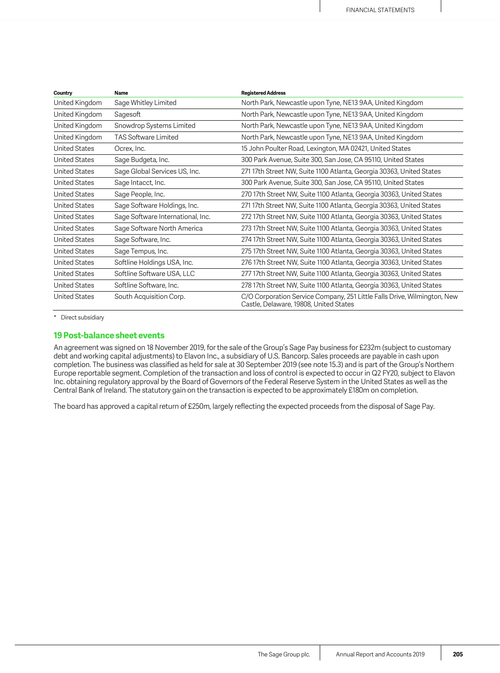| Country              | Name                              | <b>Registered Address</b>                                                                                          |
|----------------------|-----------------------------------|--------------------------------------------------------------------------------------------------------------------|
| United Kingdom       | Sage Whitley Limited              | North Park, Newcastle upon Tyne, NE13 9AA, United Kingdom                                                          |
| United Kingdom       | Sagesoft                          | North Park, Newcastle upon Tyne, NE13 9AA, United Kingdom                                                          |
| United Kingdom       | Snowdrop Systems Limited          | North Park, Newcastle upon Tyne, NE13 9AA, United Kingdom                                                          |
| United Kingdom       | TAS Software Limited              | North Park, Newcastle upon Tyne, NE13 9AA, United Kingdom                                                          |
| United States        | Ocrex, Inc.                       | 15 John Poulter Road, Lexington, MA 02421, United States                                                           |
| United States        | Sage Budgeta, Inc.                | 300 Park Avenue, Suite 300, San Jose, CA 95110, United States                                                      |
| United States        | Sage Global Services US, Inc.     | 271 17th Street NW, Suite 1100 Atlanta, Georgia 30363, United States                                               |
| <b>United States</b> | Sage Intacct, Inc.                | 300 Park Avenue, Suite 300, San Jose, CA 95110, United States                                                      |
| <b>United States</b> | Sage People, Inc.                 | 270 17th Street NW, Suite 1100 Atlanta, Georgia 30363, United States                                               |
| <b>United States</b> | Sage Software Holdings, Inc.      | 271 17th Street NW, Suite 1100 Atlanta, Georgia 30363, United States                                               |
| <b>United States</b> | Sage Software International, Inc. | 272 17th Street NW, Suite 1100 Atlanta, Georgia 30363, United States                                               |
| United States        | Sage Software North America       | 273 17th Street NW, Suite 1100 Atlanta, Georgia 30363, United States                                               |
| <b>United States</b> | Sage Software, Inc.               | 274 17th Street NW, Suite 1100 Atlanta, Georgia 30363, United States                                               |
| United States        | Sage Tempus, Inc.                 | 275 17th Street NW, Suite 1100 Atlanta, Georgia 30363, United States                                               |
| <b>United States</b> | Softline Holdings USA, Inc.       | 276 17th Street NW, Suite 1100 Atlanta, Georgia 30363, United States                                               |
| United States        | Softline Software USA, LLC        | 277 17th Street NW, Suite 1100 Atlanta, Georgia 30363, United States                                               |
| United States        | Softline Software, Inc.           | 278 17th Street NW, Suite 1100 Atlanta, Georgia 30363, United States                                               |
| <b>United States</b> | South Acquisition Corp.           | C/O Corporation Service Company, 251 Little Falls Drive, Wilmington, New<br>Castle, Delaware, 19808, United States |

\* Direct subsidiary

### **19 Post-balance sheet events**

An agreement was signed on 18 November 2019, for the sale of the Group's Sage Pay business for £232m (subject to customary debt and working capital adjustments) to Elavon Inc., a subsidiary of U.S. Bancorp. Sales proceeds are payable in cash upon completion. The business was classified as held for sale at 30 September 2019 (see note 15.3) and is part of the Group's Northern Europe reportable segment. Completion of the transaction and loss of control is expected to occur in Q2 FY20, subject to Elavon Inc. obtaining regulatory approval by the Board of Governors of the Federal Reserve System in the United States as well as the Central Bank of Ireland. The statutory gain on the transaction is expected to be approximately £180m on completion.

The board has approved a capital return of £250m, largely reflecting the expected proceeds from the disposal of Sage Pay.

205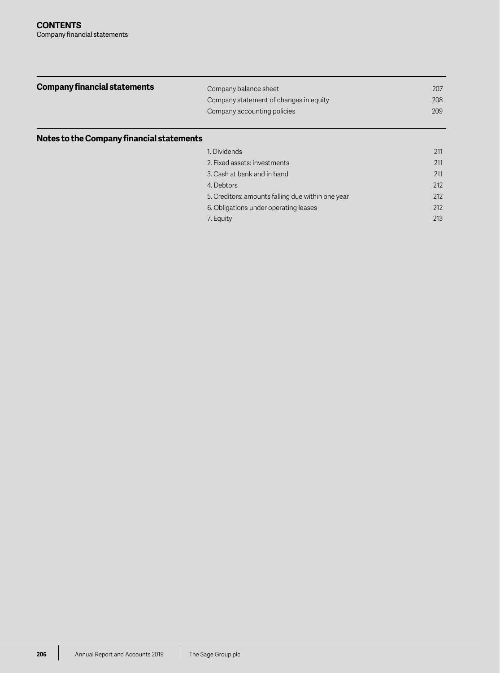| <b>Company financial statements</b>       | Company balance sheet                             | 207 |
|-------------------------------------------|---------------------------------------------------|-----|
|                                           | Company statement of changes in equity            | 208 |
|                                           | Company accounting policies                       | 209 |
|                                           |                                                   |     |
| Notes to the Company financial statements |                                                   |     |
|                                           | 1. Dividends                                      | 211 |
|                                           | 2. Fixed assets: investments                      | 211 |
|                                           | 3. Cash at bank and in hand                       | 211 |
|                                           | 4. Debtors                                        | 212 |
|                                           | 5. Creditors: amounts falling due within one year | 212 |

6. Obligations under operating leases 212 7. Equity 213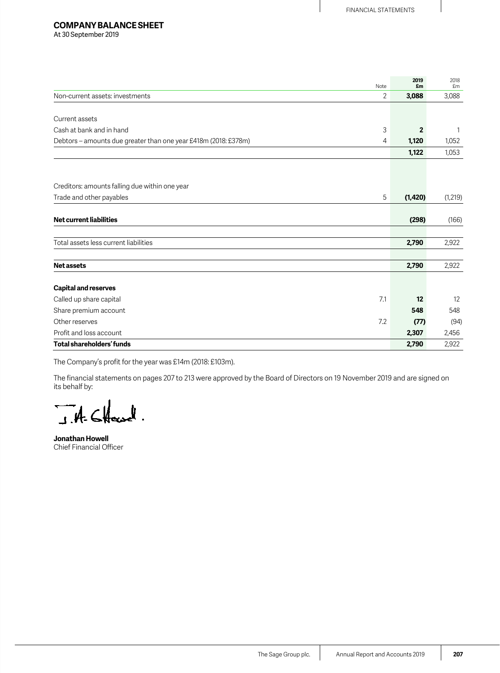## **COMPANY BALANCE SHEET**

At 30 September 2019

|                                                                 | Note | 2019<br>£m   | 2018<br>£m |
|-----------------------------------------------------------------|------|--------------|------------|
| Non-current assets: investments                                 | 2    | 3,088        | 3,088      |
|                                                                 |      |              |            |
| Current assets                                                  |      |              |            |
| Cash at bank and in hand                                        | 3    | $\mathbf{2}$ | -1         |
| Debtors - amounts due greater than one year £418m (2018: £378m) | 4    | 1,120        | 1,052      |
|                                                                 |      | 1,122        | 1,053      |
|                                                                 |      |              |            |
|                                                                 |      |              |            |
| Creditors: amounts falling due within one year                  |      |              |            |
| Trade and other payables                                        | 5    | (1,420)      | (1, 219)   |
|                                                                 |      |              |            |
| Net current liabilities                                         |      | (298)        | (166)      |
|                                                                 |      |              |            |
| Total assets less current liabilities                           |      | 2,790        | 2,922      |
|                                                                 |      |              |            |
| <b>Net assets</b>                                               |      | 2,790        | 2,922      |
|                                                                 |      |              |            |
| Capital and reserves                                            |      |              |            |
| Called up share capital                                         | 7.1  | 12           | 12         |
| Share premium account                                           |      | 548          | 548        |
| Other reserves                                                  | 7.2  | (77)         | (94)       |
| Profit and loss account                                         |      | 2,307        | 2,456      |
| <b>Total shareholders' funds</b>                                |      | 2,790        | 2,922      |

The Company's profit for the year was £14m (2018: £103m).

The financial statements on pages 207 to 213 were approved by the Board of Directors on 19 November 2019 and are signed on its behalf by:

. ای  $J.A. C$ 

**Jonathan Howell**  Chief Financial Officer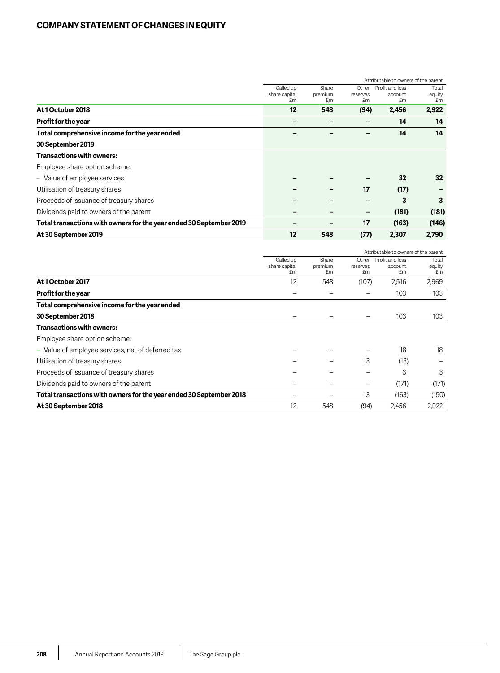### **COMPANY STATEMENT OF CHANGES IN EQUITY**

|                                                                     |                                  |                                  |                          | Attributable to owners of the parent |                                 |
|---------------------------------------------------------------------|----------------------------------|----------------------------------|--------------------------|--------------------------------------|---------------------------------|
|                                                                     | Called up<br>share capital<br>Em | Share<br>premium<br>$f_{\rm cm}$ | Other<br>reserves<br>f.m | Profit and loss<br>account<br>£m     | Total<br>equity<br>$f_{\rm cm}$ |
| At 1 October 2018                                                   | 12                               | 548                              | (94)                     | 2,456                                | 2,922                           |
| Profit for the year                                                 |                                  |                                  |                          | 14                                   | 14                              |
| Total comprehensive income for the year ended                       |                                  |                                  |                          | 14                                   | 14                              |
| 30 September 2019                                                   |                                  |                                  |                          |                                      |                                 |
| <b>Transactions with owners:</b>                                    |                                  |                                  |                          |                                      |                                 |
| Employee share option scheme:                                       |                                  |                                  |                          |                                      |                                 |
| - Value of employee services                                        |                                  |                                  |                          | 32                                   | 32                              |
| Utilisation of treasury shares                                      |                                  |                                  | 17                       | (17)                                 |                                 |
| Proceeds of issuance of treasury shares                             |                                  |                                  |                          | 3                                    | 3                               |
| Dividends paid to owners of the parent                              |                                  |                                  |                          | (181)                                | (181)                           |
| Total transactions with owners for the year ended 30 September 2019 |                                  |                                  | 17                       | (163)                                | (146)                           |
| At 30 September 2019                                                | 12                               | 548                              | (77)                     | 2,307                                | 2,790                           |
|                                                                     |                                  |                                  |                          | Attributable to owners of the parent |                                 |
|                                                                     | Called up<br>charo capital       | Share<br>promium.                | Other<br>rocon ioc.      | Profit and loss<br>$2000110+$        | Total<br>$\sim$ uity            |

|                                                                     | Called up<br>share capital<br>£m | Share<br>premium<br>£m | <b>Other</b><br>reserves<br>£m | Profit and loss<br>account<br>£m | Total<br>equity<br>£m |
|---------------------------------------------------------------------|----------------------------------|------------------------|--------------------------------|----------------------------------|-----------------------|
| At 1 October 2017                                                   | 12                               | 548                    | (107)                          | 2,516                            | 2,969                 |
| <b>Profit for the year</b>                                          |                                  |                        |                                | 103                              | 103                   |
| Total comprehensive income for the year ended                       |                                  |                        |                                |                                  |                       |
| 30 September 2018                                                   |                                  |                        |                                | 103                              | 103                   |
| <b>Transactions with owners:</b>                                    |                                  |                        |                                |                                  |                       |
| Employee share option scheme:                                       |                                  |                        |                                |                                  |                       |
| - Value of employee services, net of deferred tax                   |                                  |                        |                                | 18                               | 18                    |
| Utilisation of treasury shares                                      |                                  |                        | 13                             | (13)                             |                       |
| Proceeds of issuance of treasury shares                             |                                  |                        |                                | 3                                | 3                     |
| Dividends paid to owners of the parent                              |                                  |                        | -                              | (171)                            | (171)                 |
| Total transactions with owners for the year ended 30 September 2018 |                                  |                        | 13                             | (163)                            | (150)                 |
| At 30 September 2018                                                | 12                               | 548                    | (94)                           | 2,456                            | 2,922                 |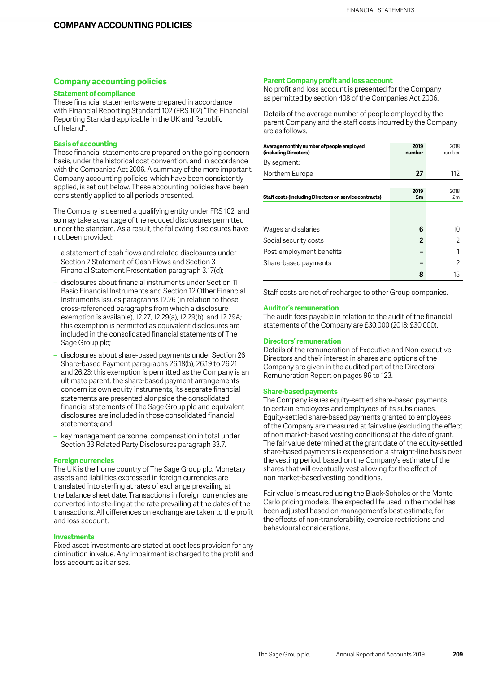### **Company accounting policies**

### **Statement of compliance**

These financial statements were prepared in accordance with Financial Reporting Standard 102 (FRS 102) "The Financial Reporting Standard applicable in the UK and Republic of Ireland".

#### **Basis of accounting**

These financial statements are prepared on the going concern basis, under the historical cost convention, and in accordance with the Companies Act 2006. A summary of the more important Company accounting policies, which have been consistently applied, is set out below. These accounting policies have been consistently applied to all periods presented.

The Company is deemed a qualifying entity under FRS 102, and so may take advantage of the reduced disclosures permitted under the standard. As a result, the following disclosures have not been provided:

- a statement of cash flows and related disclosures under Section 7 Statement of Cash Flows and Section 3 Financial Statement Presentation paragraph 3.17(d);
- disclosures about financial instruments under Section 11 Basic Financial Instruments and Section 12 Other Financial Instruments Issues paragraphs 12.26 (in relation to those cross-referenced paragraphs from which a disclosure exemption is available), 12.27, 12.29(a), 12.29(b), and 12.29A; this exemption is permitted as equivalent disclosures are included in the consolidated financial statements of The Sage Group plc;
- disclosures about share-based payments under Section 26 Share-based Payment paragraphs 26.18(b), 26.19 to 26.21 and 26.23; this exemption is permitted as the Company is an ultimate parent, the share-based payment arrangements concern its own equity instruments, its separate financial statements are presented alongside the consolidated financial statements of The Sage Group plc and equivalent disclosures are included in those consolidated financial statements; and
- key management personnel compensation in total under Section 33 Related Party Disclosures paragraph 33.7.

#### **Foreign currencies**

The UK is the home country of The Sage Group plc. Monetary assets and liabilities expressed in foreign currencies are translated into sterling at rates of exchange prevailing at the balance sheet date. Transactions in foreign currencies are converted into sterling at the rate prevailing at the dates of the transactions. All differences on exchange are taken to the profit and loss account.

#### **Investments**

Fixed asset investments are stated at cost less provision for any diminution in value. Any impairment is charged to the profit and loss account as it arises.

#### **Parent Company profit and loss account**

No profit and loss account is presented for the Company as permitted by section 408 of the Companies Act 2006.

Details of the average number of people employed by the parent Company and the staff costs incurred by the Company are as follows.

| Average monthly number of people employed<br>(including Directors) | 2019<br>number | 2018<br>number |
|--------------------------------------------------------------------|----------------|----------------|
| By segment:                                                        |                |                |
| Northern Europe                                                    | 27             | 112            |
| Staff costs (including Directors on service contracts)             | 2019<br>£m     | 2018<br>£m     |
|                                                                    |                |                |
| Wages and salaries                                                 | 6              | 10             |
| Social security costs                                              | $\overline{2}$ | 2              |
| Post-employment benefits                                           |                |                |
| Share-based payments                                               |                | 2              |
|                                                                    | 8              | 15             |

Staff costs are net of recharges to other Group companies.

### **Auditor's remuneration**

The audit fees payable in relation to the audit of the financial statements of the Company are £30,000 (2018: £30,000).

#### **Directors' remuneration**

Details of the remuneration of Executive and Non-executive Directors and their interest in shares and options of the Company are given in the audited part of the Directors' Remuneration Report on pages 96 to 123.

#### **Share-based payments**

The Company issues equity-settled share-based payments to certain employees and employees of its subsidiaries. Equity-settled share-based payments granted to employees of the Company are measured at fair value (excluding the effect of non market-based vesting conditions) at the date of grant. The fair value determined at the grant date of the equity-settled share-based payments is expensed on a straight-line basis over the vesting period, based on the Company's estimate of the shares that will eventually vest allowing for the effect of non market-based vesting conditions.

Fair value is measured using the Black-Scholes or the Monte Carlo pricing models. The expected life used in the model has been adjusted based on management's best estimate, for the effects of non-transferability, exercise restrictions and behavioural considerations.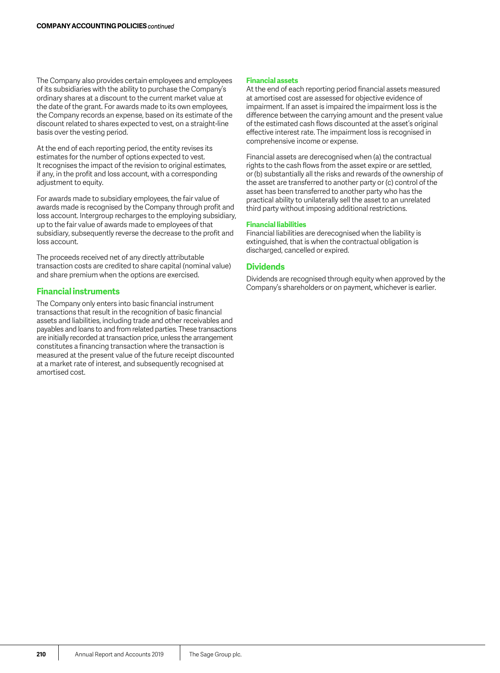The Company also provides certain employees and employees of its subsidiaries with the ability to purchase the Company's ordinary shares at a discount to the current market value at the date of the grant. For awards made to its own employees, the Company records an expense, based on its estimate of the discount related to shares expected to vest, on a straight-line basis over the vesting period.

At the end of each reporting period, the entity revises its estimates for the number of options expected to vest. It recognises the impact of the revision to original estimates, if any, in the profit and loss account, with a corresponding adjustment to equity.

For awards made to subsidiary employees, the fair value of awards made is recognised by the Company through profit and loss account. Intergroup recharges to the employing subsidiary, up to the fair value of awards made to employees of that subsidiary, subsequently reverse the decrease to the profit and loss account.

The proceeds received net of any directly attributable transaction costs are credited to share capital (nominal value) and share premium when the options are exercised.

### **Financial instruments**

The Company only enters into basic financial instrument transactions that result in the recognition of basic financial assets and liabilities, including trade and other receivables and payables and loans to and from related parties. These transactions are initially recorded at transaction price, unless the arrangement constitutes a financing transaction where the transaction is measured at the present value of the future receipt discounted at a market rate of interest, and subsequently recognised at amortised cost.

#### **Financial assets**

At the end of each reporting period financial assets measured at amortised cost are assessed for objective evidence of impairment. If an asset is impaired the impairment loss is the difference between the carrying amount and the present value of the estimated cash flows discounted at the asset's original effective interest rate. The impairment loss is recognised in comprehensive income or expense.

Financial assets are derecognised when (a) the contractual rights to the cash flows from the asset expire or are settled, or (b) substantially all the risks and rewards of the ownership of the asset are transferred to another party or (c) control of the asset has been transferred to another party who has the practical ability to unilaterally sell the asset to an unrelated third party without imposing additional restrictions.

#### **Financial liabilities**

Financial liabilities are derecognised when the liability is extinguished, that is when the contractual obligation is discharged, cancelled or expired.

### **Dividends**

Dividends are recognised through equity when approved by the Company's shareholders or on payment, whichever is earlier.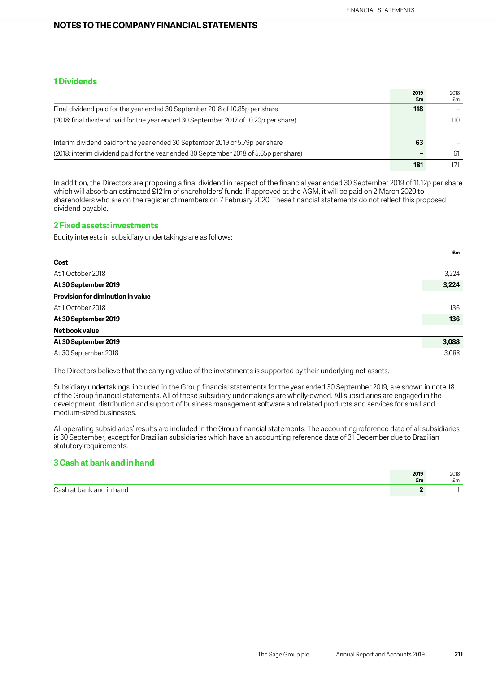### **NOTES TO THE COMPANY FINANCIAL STATEMENTS**

### **1 Dividends**

|                                                                                       | 2019<br>£m | 2018<br>£m |
|---------------------------------------------------------------------------------------|------------|------------|
| Final dividend paid for the year ended 30 September 2018 of 10.85p per share          | 118        |            |
| (2018: final dividend paid for the year ended 30 September 2017 of 10.20p per share)  |            | 110        |
| Interim dividend paid for the year ended 30 September 2019 of 5.79p per share         | 63         |            |
| (2018: interim dividend paid for the year ended 30 September 2018 of 5.65p per share) |            | 61         |
|                                                                                       | 181        |            |

In addition, the Directors are proposing a final dividend in respect of the financial year ended 30 September 2019 of 11.12p per share which will absorb an estimated £121m of shareholders' funds. If approved at the AGM, it will be paid on 2 March 2020 to shareholders who are on the register of members on 7 February 2020. These financial statements do not reflect this proposed dividend payable.

### **2 Fixed assets: investments**

Equity interests in subsidiary undertakings are as follows:

|                                   | £m    |
|-----------------------------------|-------|
| Cost                              |       |
| At 1 October 2018                 | 3,224 |
| At 30 September 2019              | 3,224 |
| Provision for diminution in value |       |
| At 1 October 2018                 | 136   |
| At 30 September 2019              | 136   |
| Net book value                    |       |
| At 30 September 2019              | 3,088 |
| At 30 September 2018              | 3,088 |

The Directors believe that the carrying value of the investments is supported by their underlying net assets.

Subsidiary undertakings, included in the Group financial statements for the year ended 30 September 2019, are shown in note 18 of the Group financial statements. All of these subsidiary undertakings are wholly-owned. All subsidiaries are engaged in the development, distribution and support of business management software and related products and services for small and medium-sized businesses.

All operating subsidiaries' results are included in the Group financial statements. The accounting reference date of all subsidiaries is 30 September, except for Brazilian subsidiaries which have an accounting reference date of 31 December due to Brazilian statutory requirements.

### **3 Cash at bank and in hand**

|                                                          | 2019 | 2018 |
|----------------------------------------------------------|------|------|
|                                                          | £m   | £m   |
| $\cap$ ach<br>hang<br>$\sim$ $\sim$ $\sim$ $\sim$ $\sim$ |      |      |

211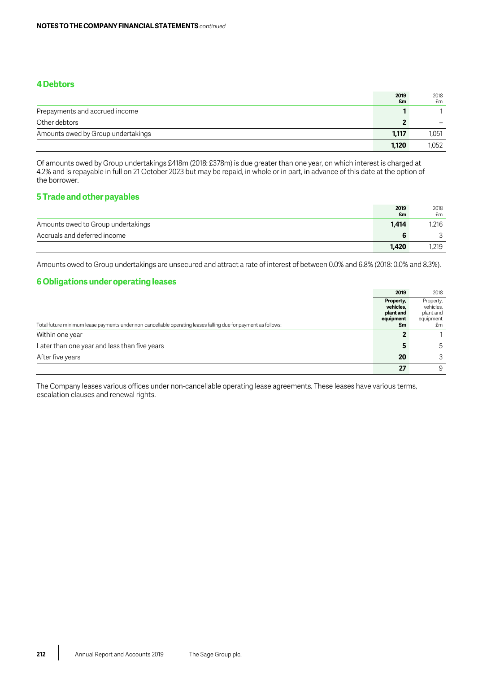### **4 Debtors**

|                                    | 2019<br>£m | 2018<br>£m |
|------------------------------------|------------|------------|
| Prepayments and accrued income     |            |            |
| Other debtors                      |            |            |
| Amounts owed by Group undertakings | 1.117      | 1,051      |
|                                    | 1,120      | 1,052      |

Of amounts owed by Group undertakings £418m (2018: £378m) is due greater than one year, on which interest is charged at 4.2% and is repayable in full on 21 October 2023 but may be repaid, in whole or in part, in advance of this date at the option of the borrower.

### **5 Trade and other payables**

|                                    | 2019  | 2018  |
|------------------------------------|-------|-------|
|                                    | £m    | £m    |
| Amounts owed to Group undertakings | 1.414 | 1,216 |
| Accruals and deferred income       |       |       |
|                                    | 1.420 | 1,219 |

Amounts owed to Group undertakings are unsecured and attract a rate of interest of between 0.0% and 6.8% (2018: 0.0% and 8.3%).

## **6 Obligations under operating leases**

|                                                                                                                | 2019                                | 2018                                |
|----------------------------------------------------------------------------------------------------------------|-------------------------------------|-------------------------------------|
|                                                                                                                | Property,<br>vehicles,<br>plant and | Property,<br>vehicles,<br>plant and |
|                                                                                                                | equipment                           | equipment                           |
| Total future minimum lease payments under non-cancellable operating leases falling due for payment as follows: | £m                                  | £m                                  |
| Within one year                                                                                                |                                     |                                     |
| Later than one year and less than five years                                                                   | 5                                   | .5                                  |
| After five years                                                                                               | 20                                  |                                     |
|                                                                                                                | 27                                  | 9                                   |

The Company leases various offices under non-cancellable operating lease agreements. These leases have various terms, escalation clauses and renewal rights.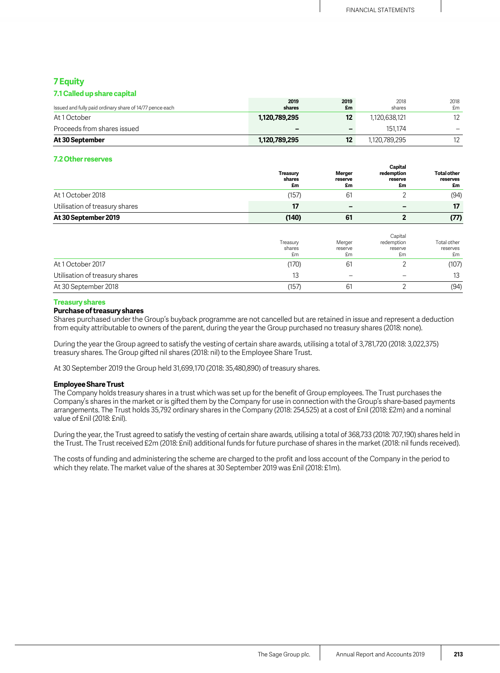**Capital** 

## **7 Equity**

### **7.1 Called up share capital**

| At 30 September                                          | 1,120,789,295            | 12                       | 1.120.789.295  |            |
|----------------------------------------------------------|--------------------------|--------------------------|----------------|------------|
| Proceeds from shares issued                              | $\overline{\phantom{0}}$ | $\overline{\phantom{0}}$ | 151.174        |            |
| At 1 October                                             | 1,120,789,295            | 12                       | 1.120.638.121  |            |
| Issued and fully paid ordinary share of 14/77 pence each | 2019<br>shares           | 2019<br>£m               | 2018<br>shares | 2018<br>£m |

#### **7.2 Other reserves**

|                                | Treasury<br>shares<br>£m | Merger<br>reserve<br>£m | capital<br>redemption<br>reserve<br>£m | <b>Total other</b><br>reserves<br>£m |
|--------------------------------|--------------------------|-------------------------|----------------------------------------|--------------------------------------|
| At 1 October 2018              | (157)                    | 61                      | $\overline{2}$                         | (94)                                 |
| Utilisation of treasury shares | 17                       |                         |                                        | 17                                   |
| At 30 September 2019           | (140)                    | 61                      | $\mathbf{2}$                           | (77)                                 |
|                                | Treasury<br>shares<br>£m | Merger<br>reserve<br>£m | Capital<br>redemption<br>reserve<br>£m | Total other<br>reserves<br>£m        |
| At 1 October 2017              | (170)                    | 61                      | ↑<br>∠                                 | (107)                                |
| Utilisation of treasury shares | 13                       |                         |                                        | 13                                   |
| At 30 September 2018           | (157)                    | 61                      | $\Omega$                               | (94)                                 |

#### **Treasury shares**

### **Purchase of treasury shares**

Shares purchased under the Group's buyback programme are not cancelled but are retained in issue and represent a deduction from equity attributable to owners of the parent, during the year the Group purchased no treasury shares (2018: none).

During the year the Group agreed to satisfy the vesting of certain share awards, utilising a total of 3,781,720 (2018: 3,022,375) treasury shares. The Group gifted nil shares (2018: nil) to the Employee Share Trust.

At 30 September 2019 the Group held 31,699,170 (2018: 35,480,890) of treasury shares.

#### **Employee Share Trust**

The Company holds treasury shares in a trust which was set up for the benefit of Group employees. The Trust purchases the Company's shares in the market or is gifted them by the Company for use in connection with the Group's share-based payments arrangements. The Trust holds 35,792 ordinary shares in the Company (2018: 254,525) at a cost of £nil (2018: £2m) and a nominal value of £nil (2018: £nil).

During the year, the Trust agreed to satisfy the vesting of certain share awards, utilising a total of 368,733 (2018: 707,190) shares held in the Trust. The Trust received £2m (2018: £nil) additional funds for future purchase of shares in the market (2018: nil funds received).

The costs of funding and administering the scheme are charged to the profit and loss account of the Company in the period to which they relate. The market value of the shares at 30 September 2019 was £nil (2018: £1m).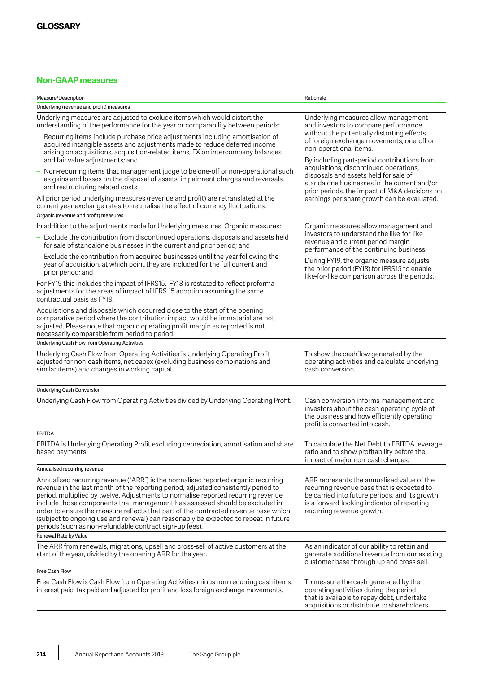## **Non-GAAP measures**

| Measure/Description                                                                                                                                                                                                                                                                                                                                                                                                                                                                                                                                                                  | Rationale                                                                                                                                                                                                                      |
|--------------------------------------------------------------------------------------------------------------------------------------------------------------------------------------------------------------------------------------------------------------------------------------------------------------------------------------------------------------------------------------------------------------------------------------------------------------------------------------------------------------------------------------------------------------------------------------|--------------------------------------------------------------------------------------------------------------------------------------------------------------------------------------------------------------------------------|
| Underlying (revenue and profit) measures                                                                                                                                                                                                                                                                                                                                                                                                                                                                                                                                             |                                                                                                                                                                                                                                |
| Underlying measures are adjusted to exclude items which would distort the<br>understanding of the performance for the year or comparability between periods:                                                                                                                                                                                                                                                                                                                                                                                                                         | Underlying measures allow management<br>and investors to compare performance<br>without the potentially distorting effects                                                                                                     |
| Recurring items include purchase price adjustments including amortisation of<br>acquired intangible assets and adjustments made to reduce deferred income<br>arising on acquisitions, acquisition-related items, FX on intercompany balances                                                                                                                                                                                                                                                                                                                                         | of foreign exchange movements, one-off or<br>non-operational items.                                                                                                                                                            |
| and fair value adjustments; and<br>Non-recurring items that management judge to be one-off or non-operational such<br>as gains and losses on the disposal of assets, impairment charges and reversals,<br>and restructuring related costs.                                                                                                                                                                                                                                                                                                                                           | By including part-period contributions from<br>acquisitions, discontinued operations,<br>disposals and assets held for sale of<br>standalone businesses in the current and/or<br>prior periods, the impact of M&A decisions on |
| All prior period underlying measures (revenue and profit) are retranslated at the<br>current year exchange rates to neutralise the effect of currency fluctuations.                                                                                                                                                                                                                                                                                                                                                                                                                  | earnings per share growth can be evaluated.                                                                                                                                                                                    |
| Organic (revenue and profit) measures                                                                                                                                                                                                                                                                                                                                                                                                                                                                                                                                                |                                                                                                                                                                                                                                |
| In addition to the adjustments made for Underlying measures, Organic measures:                                                                                                                                                                                                                                                                                                                                                                                                                                                                                                       | Organic measures allow management and                                                                                                                                                                                          |
| Exclude the contribution from discontinued operations, disposals and assets held<br>for sale of standalone businesses in the current and prior period; and                                                                                                                                                                                                                                                                                                                                                                                                                           | investors to understand the like-for-like<br>revenue and current period margin<br>performance of the continuing business.                                                                                                      |
| Exclude the contribution from acquired businesses until the year following the<br>year of acquisition, at which point they are included for the full current and<br>prior period; and                                                                                                                                                                                                                                                                                                                                                                                                | During FY19, the organic measure adjusts<br>the prior period (FY18) for IFRS15 to enable<br>like-for-like comparison across the periods.                                                                                       |
| For FY19 this includes the impact of IFRS15. FY18 is restated to reflect proforma<br>adjustments for the areas of impact of IFRS 15 adoption assuming the same<br>contractual basis as FY19.                                                                                                                                                                                                                                                                                                                                                                                         |                                                                                                                                                                                                                                |
| Acquisitions and disposals which occurred close to the start of the opening<br>comparative period where the contribution impact would be immaterial are not<br>adjusted. Please note that organic operating profit margin as reported is not<br>necessarily comparable from period to period.                                                                                                                                                                                                                                                                                        |                                                                                                                                                                                                                                |
| Underlying Cash Flow from Operating Activities                                                                                                                                                                                                                                                                                                                                                                                                                                                                                                                                       |                                                                                                                                                                                                                                |
| Underlying Cash Flow from Operating Activities is Underlying Operating Profit<br>adjusted for non-cash items, net capex (excluding business combinations and<br>similar items) and changes in working capital.                                                                                                                                                                                                                                                                                                                                                                       | To show the cashflow generated by the<br>operating activities and calculate underlying<br>cash conversion.                                                                                                                     |
| Underlying Cash Conversion                                                                                                                                                                                                                                                                                                                                                                                                                                                                                                                                                           |                                                                                                                                                                                                                                |
| Underlying Cash Flow from Operating Activities divided by Underlying Operating Profit.                                                                                                                                                                                                                                                                                                                                                                                                                                                                                               | Cash conversion informs management and<br>investors about the cash operating cycle of<br>the business and how efficiently operating<br>profit is converted into cash.                                                          |
| <b>EBITDA</b>                                                                                                                                                                                                                                                                                                                                                                                                                                                                                                                                                                        |                                                                                                                                                                                                                                |
| EBITDA is Underlying Operating Profit excluding depreciation, amortisation and share<br>based payments.                                                                                                                                                                                                                                                                                                                                                                                                                                                                              | To calculate the Net Debt to EBITDA leverage<br>ratio and to show profitability before the<br>impact of major non-cash charges.                                                                                                |
| Annualised recurring revenue                                                                                                                                                                                                                                                                                                                                                                                                                                                                                                                                                         |                                                                                                                                                                                                                                |
| Annualised recurring revenue ("ARR") is the normalised reported organic recurring<br>revenue in the last month of the reporting period, adjusted consistently period to<br>period, multiplied by twelve. Adjustments to normalise reported recurring revenue<br>include those components that management has assessed should be excluded in<br>order to ensure the measure reflects that part of the contracted revenue base which<br>(subject to ongoing use and renewal) can reasonably be expected to repeat in future<br>periods (such as non-refundable contract sign-up fees). | ARR represents the annualised value of the<br>recurring revenue base that is expected to<br>be carried into future periods, and its growth<br>is a forward-looking indicator of reporting<br>recurring revenue growth.         |
| Renewal Rate by Value                                                                                                                                                                                                                                                                                                                                                                                                                                                                                                                                                                |                                                                                                                                                                                                                                |
| The ARR from renewals, migrations, upsell and cross-sell of active customers at the<br>start of the year, divided by the opening ARR for the year.                                                                                                                                                                                                                                                                                                                                                                                                                                   | As an indicator of our ability to retain and<br>generate additional revenue from our existing<br>customer base through up and cross sell.                                                                                      |
| Free Cash Flow                                                                                                                                                                                                                                                                                                                                                                                                                                                                                                                                                                       |                                                                                                                                                                                                                                |
| Free Cash Flow is Cash Flow from Operating Activities minus non-recurring cash items,<br>interest paid, tax paid and adjusted for profit and loss foreign exchange movements.                                                                                                                                                                                                                                                                                                                                                                                                        | To measure the cash generated by the<br>operating activities during the period<br>that is available to repay debt, undertake<br>acquisitions or distribute to shareholders.                                                    |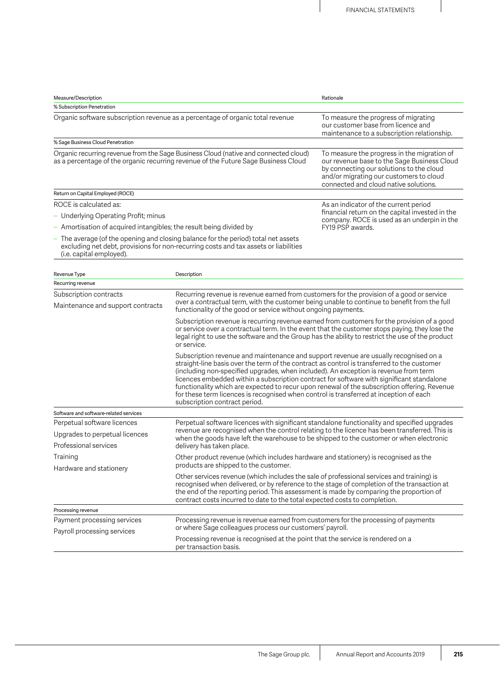| Measure/Description                                                                                                                                                                                  | Rationale                                                                                                                                                                                                                  |
|------------------------------------------------------------------------------------------------------------------------------------------------------------------------------------------------------|----------------------------------------------------------------------------------------------------------------------------------------------------------------------------------------------------------------------------|
| % Subscription Penetration                                                                                                                                                                           |                                                                                                                                                                                                                            |
| Organic software subscription revenue as a percentage of organic total revenue                                                                                                                       | To measure the progress of migrating<br>our customer base from licence and<br>maintenance to a subscription relationship.                                                                                                  |
| % Sage Business Cloud Penetration                                                                                                                                                                    |                                                                                                                                                                                                                            |
| Organic recurring revenue from the Sage Business Cloud (native and connected cloud)<br>as a percentage of the organic recurring revenue of the Future Sage Business Cloud                            | To measure the progress in the migration of<br>our revenue base to the Sage Business Cloud<br>by connecting our solutions to the cloud<br>and/or migrating our customers to cloud<br>connected and cloud native solutions. |
| Return on Capital Employed (ROCE)                                                                                                                                                                    |                                                                                                                                                                                                                            |
| ROCE is calculated as:                                                                                                                                                                               | As an indicator of the current period                                                                                                                                                                                      |
| - Underlying Operating Profit; minus                                                                                                                                                                 | financial return on the capital invested in the<br>company. ROCE is used as an underpin in the                                                                                                                             |
| Amortisation of acquired intangibles; the result being divided by                                                                                                                                    | FY19 PSP awards.                                                                                                                                                                                                           |
| The average (of the opening and closing balance for the period) total net assets<br>$\overline{\phantom{0}}$<br>excluding net debt, provisions for non-recurring costs and tax assets or liabilities |                                                                                                                                                                                                                            |

(i.e. capital employed).

| Revenue Type                           | Description                                                                                                                                                                                                                                                                                                                                                                                                                                                                                                                                                                                         |  |  |
|----------------------------------------|-----------------------------------------------------------------------------------------------------------------------------------------------------------------------------------------------------------------------------------------------------------------------------------------------------------------------------------------------------------------------------------------------------------------------------------------------------------------------------------------------------------------------------------------------------------------------------------------------------|--|--|
| Recurring revenue                      |                                                                                                                                                                                                                                                                                                                                                                                                                                                                                                                                                                                                     |  |  |
| Subscription contracts                 | Recurring revenue is revenue earned from customers for the provision of a good or service                                                                                                                                                                                                                                                                                                                                                                                                                                                                                                           |  |  |
| Maintenance and support contracts      | over a contractual term, with the customer being unable to continue to benefit from the full<br>functionality of the good or service without ongoing payments.                                                                                                                                                                                                                                                                                                                                                                                                                                      |  |  |
|                                        | Subscription revenue is recurring revenue earned from customers for the provision of a good<br>or service over a contractual term. In the event that the customer stops paying, they lose the<br>legal right to use the software and the Group has the ability to restrict the use of the product<br>or service.                                                                                                                                                                                                                                                                                    |  |  |
|                                        | Subscription revenue and maintenance and support revenue are usually recognised on a<br>straight-line basis over the term of the contract as control is transferred to the customer<br>(including non-specified upgrades, when included). An exception is revenue from term<br>licences embedded within a subscription contract for software with significant standalone<br>functionality which are expected to recur upon renewal of the subscription offering. Revenue<br>for these term licences is recognised when control is transferred at inception of each<br>subscription contract period. |  |  |
| Software and software-related services |                                                                                                                                                                                                                                                                                                                                                                                                                                                                                                                                                                                                     |  |  |
| Perpetual software licences            | Perpetual software licences with significant standalone functionality and specified upgrades                                                                                                                                                                                                                                                                                                                                                                                                                                                                                                        |  |  |
| Upgrades to perpetual licences         | revenue are recognised when the control relating to the licence has been transferred. This is<br>when the goods have left the warehouse to be shipped to the customer or when electronic                                                                                                                                                                                                                                                                                                                                                                                                            |  |  |
| Professional services                  | delivery has taken place.                                                                                                                                                                                                                                                                                                                                                                                                                                                                                                                                                                           |  |  |
| Training                               | Other product revenue (which includes hardware and stationery) is recognised as the                                                                                                                                                                                                                                                                                                                                                                                                                                                                                                                 |  |  |
| Hardware and stationery                | products are shipped to the customer.                                                                                                                                                                                                                                                                                                                                                                                                                                                                                                                                                               |  |  |
|                                        | Other services revenue (which includes the sale of professional services and training) is<br>recognised when delivered, or by reference to the stage of completion of the transaction at<br>the end of the reporting period. This assessment is made by comparing the proportion of<br>contract costs incurred to date to the total expected costs to completion.                                                                                                                                                                                                                                   |  |  |
| Processing revenue                     |                                                                                                                                                                                                                                                                                                                                                                                                                                                                                                                                                                                                     |  |  |
| Payment processing services            | Processing revenue is revenue earned from customers for the processing of payments                                                                                                                                                                                                                                                                                                                                                                                                                                                                                                                  |  |  |
| Payroll processing services            | or where Sage colleagues process our customers' payroll.                                                                                                                                                                                                                                                                                                                                                                                                                                                                                                                                            |  |  |
|                                        | Processing revenue is recognised at the point that the service is rendered on a<br>per transaction basis.                                                                                                                                                                                                                                                                                                                                                                                                                                                                                           |  |  |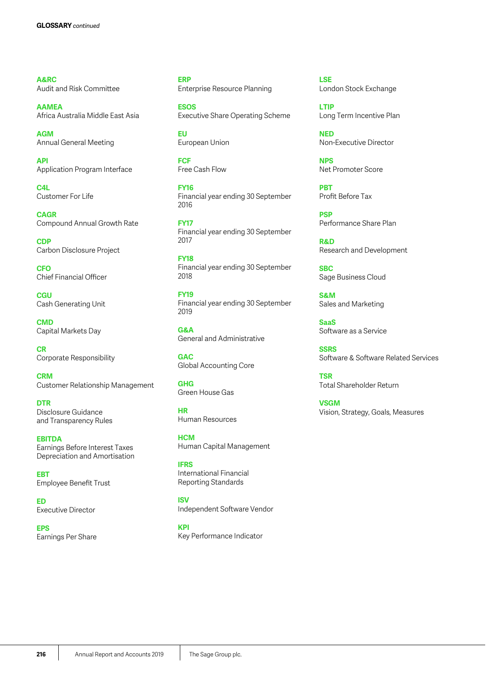**A&RC** Audit and Risk Committee

**AAMEA** Africa Australia Middle East Asia

**AGM** Annual General Meeting

**API** Application Program Interface

**C4L** Customer For Life

**CAGR** Compound Annual Growth Rate

**CDP** Carbon Disclosure Project

**CFO** Chief Financial Officer

**CGU** Cash Generating Unit

**CMD** Capital Markets Day

**CR** Corporate Responsibility

**CRM** Customer Relationship Management

**DTR** Disclosure Guidance and Transparency Rules

**EBITDA** Earnings Before Interest Taxes Depreciation and Amortisation

**EBT** Employee Benefit Trust

**ED**  Executive Director

**EPS** Earnings Per Share **ERP** Enterprise Resource Planning

**ESOS** Executive Share Operating Scheme

**EU** European Union

**FCF** Free Cash Flow

**FY16** Financial year ending 30 September 2016

**FY17** Financial year ending 30 September 2017

**FY18** Financial year ending 30 September 2018

**FY19** Financial year ending 30 September 2019

**G&A** General and Administrative

**GAC** Global Accounting Core

**GHG** Green House Gas

**HR** Human Resources

**HCM** Human Capital Management

**IFRS** International Financial Reporting Standards

**ISV** Independent Software Vendor

**KPI** Key Performance Indicator **LSE** London Stock Exchange

**LTIP** Long Term Incentive Plan

**NED**  Non-Executive Director

**NPS** Net Promoter Score

**PBT** Profit Before Tax

**PSP** Performance Share Plan

**R&D** Research and Development

**SBC**  Sage Business Cloud

**S&M** Sales and Marketing

**SaaS** Software as a Service

**SSRS** Software & Software Related Services

**TSR** Total Shareholder Return

**VSGM** Vision, Strategy, Goals, Measures